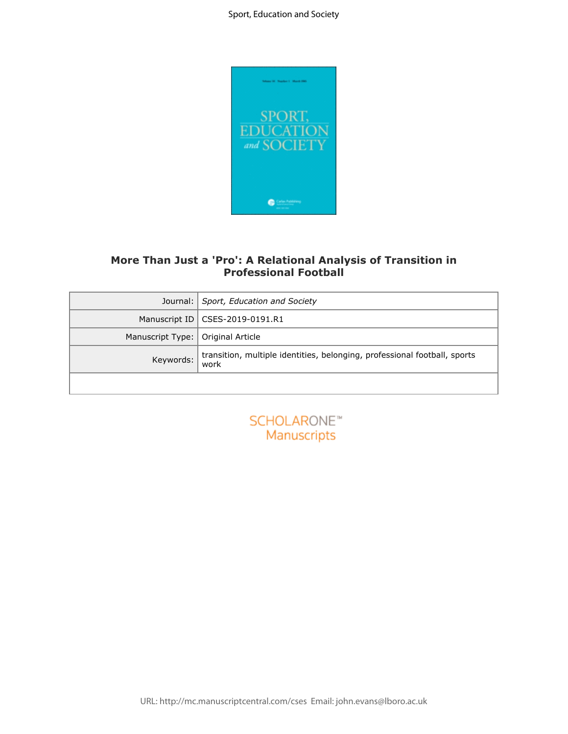

# **More Than Just a 'Pro': A Relational Analysis of Transition in Professional Football**

|                  | More Than Just a 'Pro': A Relational Analysis of Transition in<br><b>Professional Football</b> |
|------------------|------------------------------------------------------------------------------------------------|
| Journal:         | Sport, Education and Society                                                                   |
| Manuscript ID    | CSES-2019-0191.R1                                                                              |
| Manuscript Type: | Original Article                                                                               |
| Keywords:        | transition, multiple identities, belonging, professional football, sports<br>work              |
|                  |                                                                                                |
|                  | SCHOLARONE <sup>®</sup><br>Manuscripts                                                         |
|                  |                                                                                                |
|                  |                                                                                                |
|                  |                                                                                                |
|                  |                                                                                                |

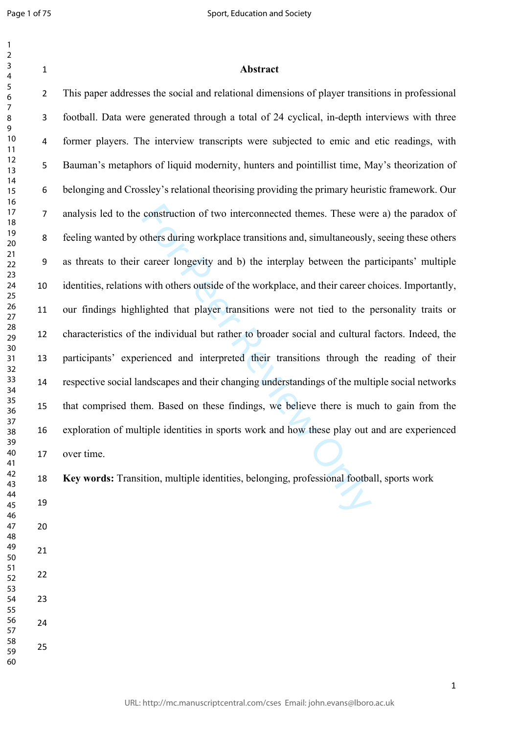| 1               |  |
|-----------------|--|
| 2               |  |
| 3               |  |
| 4               |  |
| 5               |  |
|                 |  |
| 6               |  |
|                 |  |
| 8               |  |
| 9               |  |
| 10              |  |
| 11              |  |
|                 |  |
| $\overline{12}$ |  |
| 3<br>1          |  |
| $\overline{14}$ |  |
| 15              |  |
| 16              |  |
| 1               |  |
|                 |  |
| 18              |  |
| 19              |  |
| 20              |  |
| $\overline{21}$ |  |
| $^{22}$         |  |
| 23              |  |
| 24              |  |
|                 |  |
| 25              |  |
| 26              |  |
| 27              |  |
| 28              |  |
| 29              |  |
| 30              |  |
| 31              |  |
|                 |  |
| 32              |  |
| 33              |  |
| 34              |  |
| 35              |  |
| 36              |  |
| 37              |  |
| R۶              |  |
|                 |  |
| 39              |  |
| 40              |  |
| 41              |  |
| 42              |  |
| 43              |  |
| 44              |  |
|                 |  |
| 45              |  |
| 46              |  |
| 47              |  |
| 48              |  |
| 49              |  |
| 50              |  |
|                 |  |
| 51              |  |
| 52              |  |
| 53              |  |
| 54              |  |
| 55              |  |
| 56              |  |
| 57              |  |
|                 |  |
| 58              |  |
| 59              |  |

### **Abstract**

construction of two interconnected themes. These we<br>others during workplace transitions and, simultaneously<br>career longevity and b) the interplay between the pa<br>with others outside of the workplace, and their career c<br>ight This paper addresses the social and relational dimensions of player transitions in professional football. Data were generated through a total of 24 cyclical, in-depth interviews with three former players. The interview transcripts were subjected to emic and etic readings, with Bauman's metaphors of liquid modernity, hunters and pointillist time, May's theorization of belonging and Crossley's relational theorising providing the primary heuristic framework. Our analysis led to the construction of two interconnected themes. These were a) the paradox of feeling wanted by others during workplace transitions and, simultaneously, seeing these others as threats to their career longevity and b) the interplay between the participants' multiple identities, relations with others outside of the workplace, and their career choices. Importantly, our findings highlighted that player transitions were not tied to the personality traits or characteristics of the individual but rather to broader social and cultural factors. Indeed, the participants' experienced and interpreted their transitions through the reading of their respective social landscapes and their changing understandings of the multiple social networks that comprised them. Based on these findings, we believe there is much to gain from the exploration of multiple identities in sports work and how these play out and are experienced over time.

**Key words:** Transition, multiple identities, belonging, professional football, sports work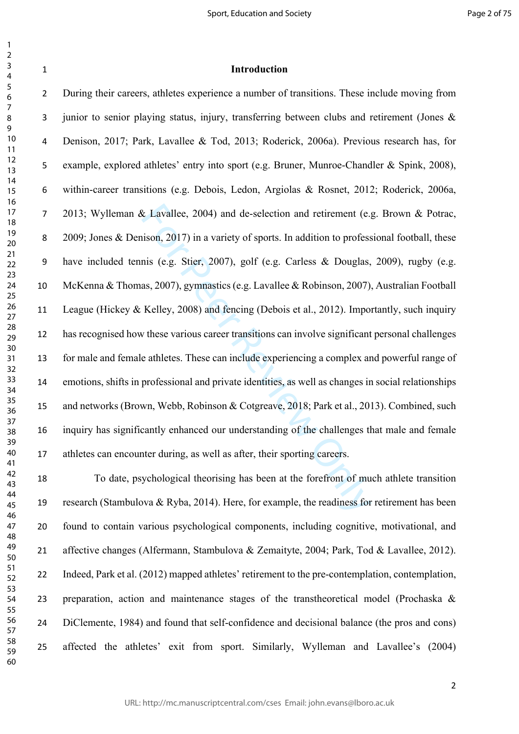| 1               |                 |  |
|-----------------|-----------------|--|
| $\overline{ }$  |                 |  |
| ξ               |                 |  |
| 4               |                 |  |
|                 |                 |  |
| 5               |                 |  |
| 6               |                 |  |
|                 |                 |  |
|                 |                 |  |
| 8               |                 |  |
| 9               |                 |  |
|                 | 10              |  |
|                 |                 |  |
| 11              |                 |  |
| 1               |                 |  |
| 13              | 3               |  |
|                 |                 |  |
|                 | $\overline{14}$ |  |
|                 | 15              |  |
|                 | 16              |  |
|                 |                 |  |
| $\frac{1}{2}$   |                 |  |
| 18              |                 |  |
|                 | 19              |  |
|                 | 20              |  |
|                 |                 |  |
| $\overline{21}$ |                 |  |
| $\overline{2}$  |                 |  |
| $\frac{1}{2}$   |                 |  |
|                 | 24              |  |
|                 |                 |  |
|                 | –<br>25         |  |
|                 | 26              |  |
| $\overline{27}$ |                 |  |
|                 |                 |  |
|                 | 28              |  |
|                 | 29              |  |
|                 | 30              |  |
|                 |                 |  |
|                 | 31              |  |
| $\mathbf{3}$    |                 |  |
| 3               |                 |  |
|                 |                 |  |
|                 | 34              |  |
|                 | 35              |  |
| 36              |                 |  |
| 37              |                 |  |
|                 |                 |  |
|                 | 38              |  |
|                 | 39              |  |
|                 | 40              |  |
|                 |                 |  |
| 41              |                 |  |
| $\overline{4}$  | 2               |  |
|                 | 43              |  |
|                 | 44              |  |
|                 |                 |  |
| 45              |                 |  |
| 46              |                 |  |
| 4.              |                 |  |
|                 |                 |  |
| 48              |                 |  |
| 49              |                 |  |
| 50              |                 |  |
|                 |                 |  |
| 51              |                 |  |
| 5.              | 2               |  |
| 53              |                 |  |
| 54              |                 |  |
|                 |                 |  |
| 55              |                 |  |
| 56              |                 |  |
| 5               |                 |  |
|                 |                 |  |
| 58              |                 |  |
| 59              | )               |  |

### **Introduction**

& Lavallee, 2004) and de-selection and retirement (e.<sub>1</sub><br>ison, 2017) in a variety of sports. In addition to profess<br>nis (e.g. Stier, 2007), golf (e.g. Carless & Douglas,<br>as, 2007), gymnastics (e.g. Lavallee & Robinson, 20 During their careers, athletes experience a number of transitions. These include moving from junior to senior playing status, injury, transferring between clubs and retirement (Jones & Denison, 2017; Park, Lavallee & Tod, 2013; Roderick, 2006a). Previous research has, for example, explored athletes' entry into sport (e.g. Bruner, Munroe-Chandler & Spink, 2008), within-career transitions (e.g. Debois, Ledon, Argiolas & Rosnet, 2012; Roderick, 2006a, 2013; Wylleman & Lavallee, 2004) and de-selection and retirement (e.g. Brown & Potrac, 2009; Jones & Denison, 2017) in a variety of sports. In addition to professional football, these have included tennis (e.g. Stier, 2007), golf (e.g. Carless & Douglas, 2009), rugby (e.g. McKenna & Thomas, 2007), gymnastics (e.g. Lavallee & Robinson, 2007), Australian Football League (Hickey & Kelley, 2008) and fencing (Debois et al., 2012). Importantly, such inquiry has recognised how these various career transitions can involve significant personal challenges for male and female athletes. These can include experiencing a complex and powerful range of emotions, shifts in professional and private identities, as well as changes in social relationships and networks (Brown, Webb, Robinson & Cotgreave, 2018; Park et al., 2013). Combined, such inquiry has significantly enhanced our understanding of the challenges that male and female 17 athletes can encounter during, as well as after, their sporting careers.

 To date, psychological theorising has been at the forefront of much athlete transition research (Stambulova & Ryba, 2014). Here, for example, the readiness for retirement has been found to contain various psychological components, including cognitive, motivational, and affective changes (Alfermann, Stambulova & Zemaityte, 2004; Park, Tod & Lavallee, 2012). Indeed, Park et al. (2012) mapped athletes' retirement to the pre-contemplation, contemplation, preparation, action and maintenance stages of the transtheoretical model (Prochaska & DiClemente, 1984) and found that self-confidence and decisional balance (the pros and cons) affected the athletes' exit from sport. Similarly, Wylleman and Lavallee's (2004)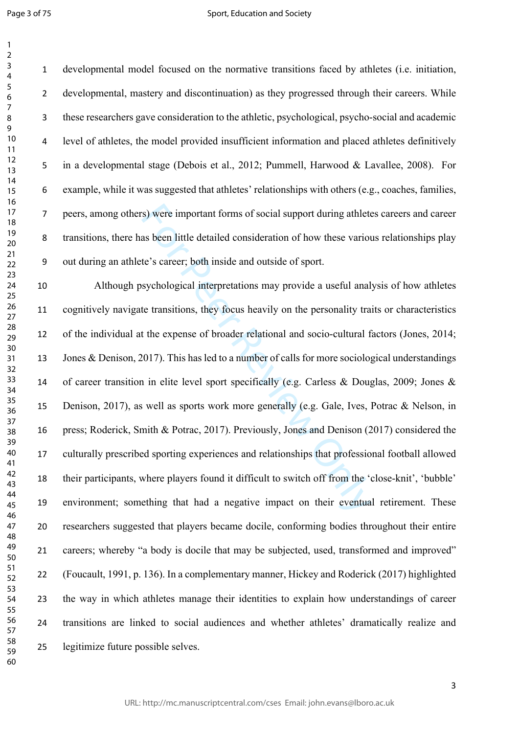Page 3 of 75

 $\mathbf{1}$ 

#### Sport, Education and Society

 developmental model focused on the normative transitions faced by athletes (i.e. initiation, developmental, mastery and discontinuation) as they progressed through their careers. While these researchers gave consideration to the athletic, psychological, psycho-social and academic level of athletes, the model provided insufficient information and placed athletes definitively in a developmental stage (Debois et al., 2012; Pummell, Harwood & Lavallee, 2008). For example, while it was suggested that athletes' relationships with others (e.g., coaches, families, peers, among others) were important forms of social support during athletes careers and career transitions, there has been little detailed consideration of how these various relationships play out during an athlete's career; both inside and outside of sport.

s) were important forms of social support during athlet<br>as been little detailed consideration of how these variou<br>te's career; both inside and outside of sport.<br>sychological interpretations may provide a useful anal<br>te tra Although psychological interpretations may provide a useful analysis of how athletes cognitively navigate transitions, they focus heavily on the personality traits or characteristics of the individual at the expense of broader relational and socio-cultural factors (Jones, 2014; Jones & Denison, 2017). This has led to a number of calls for more sociological understandings of career transition in elite level sport specifically (e.g. Carless & Douglas, 2009; Jones & Denison, 2017), as well as sports work more generally (e.g. Gale, Ives, Potrac & Nelson, in press; Roderick, Smith & Potrac, 2017). Previously, Jones and Denison (2017) considered the culturally prescribed sporting experiences and relationships that professional football allowed their participants, where players found it difficult to switch off from the 'close-knit', 'bubble' environment; something that had a negative impact on their eventual retirement. These researchers suggested that players became docile, conforming bodies throughout their entire careers; whereby "a body is docile that may be subjected, used, transformed and improved" (Foucault, 1991, p. 136). In a complementary manner, Hickey and Roderick (2017) highlighted the way in which athletes manage their identities to explain how understandings of career transitions are linked to social audiences and whether athletes' dramatically realize and legitimize future possible selves.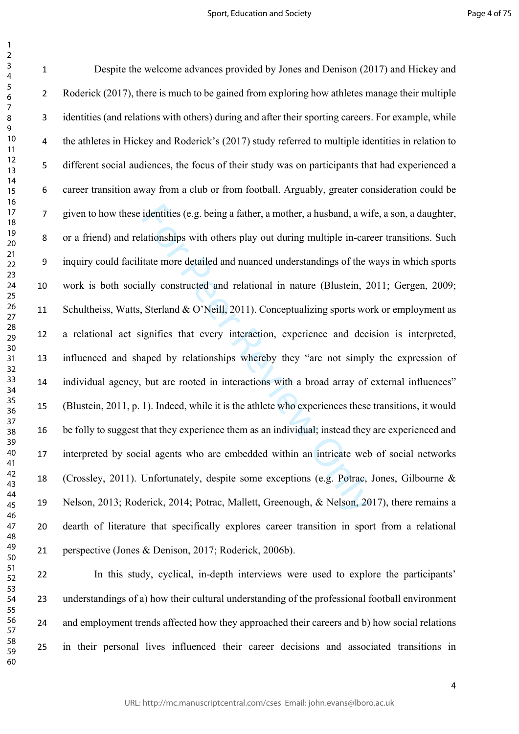$\mathbf{1}$ 

identities (e.g. being a father, a mother, a husband, a will<br>ationships with others play out during multiple in-care<br>itate more detailed and nuanced understandings of the v<br>ally constructed and relational in nature (Bluste Despite the welcome advances provided by Jones and Denison (2017) and Hickey and 2 Roderick (2017), there is much to be gained from exploring how athletes manage their multiple identities (and relations with others) during and after their sporting careers. For example, while the athletes in Hickey and Roderick's (2017) study referred to multiple identities in relation to different social audiences, the focus of their study was on participants that had experienced a career transition away from a club or from football. Arguably, greater consideration could be given to how these identities (e.g. being a father, a mother, a husband, a wife, a son, a daughter, or a friend) and relationships with others play out during multiple in-career transitions. Such inquiry could facilitate more detailed and nuanced understandings of the ways in which sports work is both socially constructed and relational in nature (Blustein, 2011; Gergen, 2009; 11 Schultheiss, Watts, Sterland & O'Neill, 2011). Conceptualizing sports work or employment as a relational act signifies that every interaction, experience and decision is interpreted, influenced and shaped by relationships whereby they "are not simply the expression of individual agency, but are rooted in interactions with a broad array of external influences" (Blustein, 2011, p. 1). Indeed, while it is the athlete who experiences these transitions, it would be folly to suggest that they experience them as an individual; instead they are experienced and interpreted by social agents who are embedded within an intricate web of social networks (Crossley, 2011). Unfortunately, despite some exceptions (e.g. Potrac, Jones, Gilbourne & Nelson, 2013; Roderick, 2014; Potrac, Mallett, Greenough, & Nelson, 2017), there remains a dearth of literature that specifically explores career transition in sport from a relational perspective (Jones & Denison, 2017; Roderick, 2006b).

 In this study, cyclical, in-depth interviews were used to explore the participants' understandings of a) how their cultural understanding of the professional football environment and employment trends affected how they approached their careers and b) how social relations in their personal lives influenced their career decisions and associated transitions in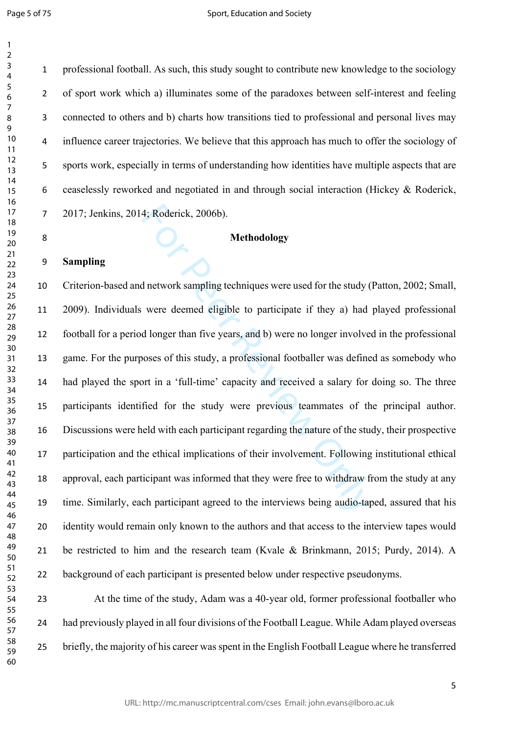professional football. As such, this study sought to contribute new knowledge to the sociology of sport work which a) illuminates some of the paradoxes between self-interest and feeling connected to others and b) charts how transitions tied to professional and personal lives may influence career trajectories. We believe that this approach has much to offer the sociology of sports work, especially in terms of understanding how identities have multiple aspects that are ceaselessly reworked and negotiated in and through social interaction (Hickey & Roderick, 2017; Jenkins, 2014; Roderick, 2006b).

### **Methodology**

## **Sampling**

4; Roderick, 2006b).<br> **Methodology**<br> **Methodology**<br> **Compare All and the methodology**<br> **Compare Review Only and the methodology**<br> **Compare Review Only and the methodology**<br> **Compare All and d longer than five years, and b)**  Criterion-based and network sampling techniques were used for the study (Patton, 2002; Small, 2009). Individuals were deemed eligible to participate if they a) had played professional football for a period longer than five years, and b) were no longer involved in the professional game. For the purposes of this study, a professional footballer was defined as somebody who had played the sport in a 'full-time' capacity and received a salary for doing so. The three participants identified for the study were previous teammates of the principal author. Discussions were held with each participant regarding the nature of the study, their prospective participation and the ethical implications of their involvement. Following institutional ethical approval, each participant was informed that they were free to withdraw from the study at any time. Similarly, each participant agreed to the interviews being audio-taped, assured that his identity would remain only known to the authors and that access to the interview tapes would be restricted to him and the research team (Kvale & Brinkmann, 2015; Purdy, 2014). A background of each participant is presented below under respective pseudonyms.

 At the time of the study, Adam was a 40-year old, former professional footballer who had previously played in all four divisions of the Football League. While Adam played overseas briefly, the majority of his career was spent in the English Football League where he transferred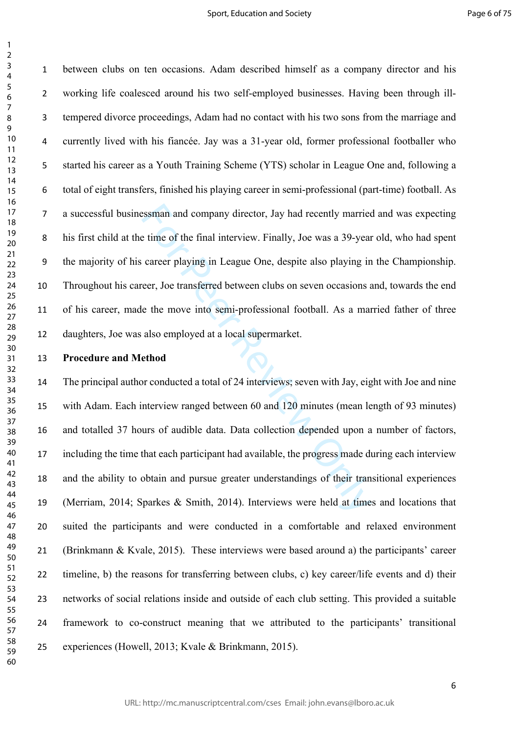$\mathbf{1}$ 

 between clubs on ten occasions. Adam described himself as a company director and his working life coalesced around his two self-employed businesses. Having been through ill- tempered divorce proceedings, Adam had no contact with his two sons from the marriage and currently lived with his fiancée. Jay was a 31-year old, former professional footballer who started his career as a Youth Training Scheme (YTS) scholar in League One and, following a total of eight transfers, finished his playing career in semi-professional (part-time) football. As a successful businessman and company director, Jay had recently married and was expecting his first child at the time of the final interview. Finally, Joe was a 39-year old, who had spent the majority of his career playing in League One, despite also playing in the Championship. Throughout his career, Joe transferred between clubs on seven occasions and, towards the end of his career, made the move into semi-professional football. As a married father of three daughters, Joe was also employed at a local supermarket.

**Procedure and Method**

Example and company director, Jay had recently marries<br>
e time of the final interview. Finally, Joe was a 39-year<br>
career playing in League One, despite also playing in<br>
eer, Joe transferred between clubs on seven occasion The principal author conducted a total of 24 interviews; seven with Jay, eight with Joe and nine with Adam. Each interview ranged between 60 and 120 minutes (mean length of 93 minutes) and totalled 37 hours of audible data. Data collection depended upon a number of factors, including the time that each participant had available, the progress made during each interview and the ability to obtain and pursue greater understandings of their transitional experiences (Merriam, 2014; Sparkes & Smith, 2014). Interviews were held at times and locations that suited the participants and were conducted in a comfortable and relaxed environment (Brinkmann & Kvale, 2015). These interviews were based around a) the participants' career timeline, b) the reasons for transferring between clubs, c) key career/life events and d) their networks of social relations inside and outside of each club setting. This provided a suitable framework to co-construct meaning that we attributed to the participants' transitional experiences (Howell, 2013; Kvale & Brinkmann, 2015).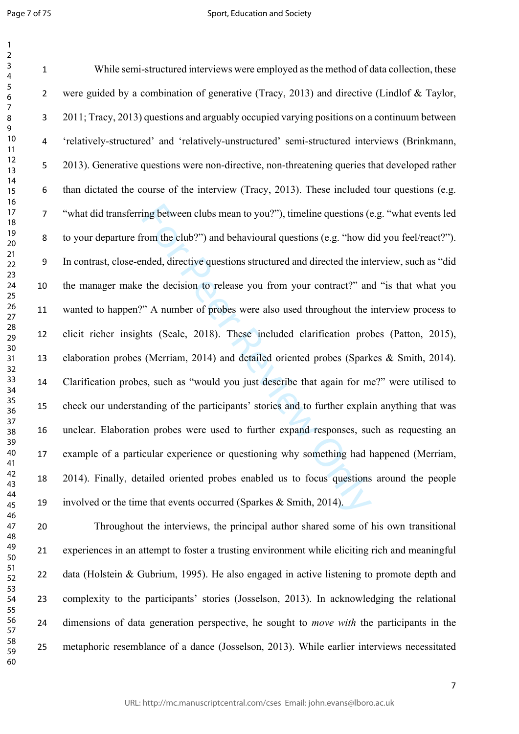Page 7 of 75

 $\mathbf{1}$  $\overline{2}$ 

#### Sport, Education and Society

ing between clubs mean to you?"), timeline questions (e)<br>trom the club?") and behavioural questions (e.g. "how d<br>nded, directive questions structured and directed the int<br>the decision to release you from your contract?" an While semi-structured interviews were employed as the method of data collection, these were guided by a combination of generative (Tracy, 2013) and directive (Lindlof & Taylor, 2011; Tracy, 2013) questions and arguably occupied varying positions on a continuum between 'relatively-structured' and 'relatively-unstructured' semi-structured interviews (Brinkmann, 2013). Generative questions were non-directive, non-threatening queries that developed rather than dictated the course of the interview (Tracy, 2013). These included tour questions (e.g. "what did transferring between clubs mean to you?"), timeline questions (e.g. "what events led to your departure from the club?") and behavioural questions (e.g. "how did you feel/react?"). In contrast, close-ended, directive questions structured and directed the interview, such as "did the manager make the decision to release you from your contract?" and "is that what you wanted to happen?" A number of probes were also used throughout the interview process to elicit richer insights (Seale, 2018). These included clarification probes (Patton, 2015), elaboration probes (Merriam, 2014) and detailed oriented probes (Sparkes & Smith, 2014). Clarification probes, such as "would you just describe that again for me?" were utilised to check our understanding of the participants' stories and to further explain anything that was unclear. Elaboration probes were used to further expand responses, such as requesting an example of a particular experience or questioning why something had happened (Merriam, 2014). Finally, detailed oriented probes enabled us to focus questions around the people involved or the time that events occurred (Sparkes & Smith, 2014).

 Throughout the interviews, the principal author shared some of his own transitional experiences in an attempt to foster a trusting environment while eliciting rich and meaningful data (Holstein & Gubrium, 1995). He also engaged in active listening to promote depth and complexity to the participants' stories (Josselson, 2013). In acknowledging the relational dimensions of data generation perspective, he sought to *move with* the participants in the metaphoric resemblance of a dance (Josselson, 2013). While earlier interviews necessitated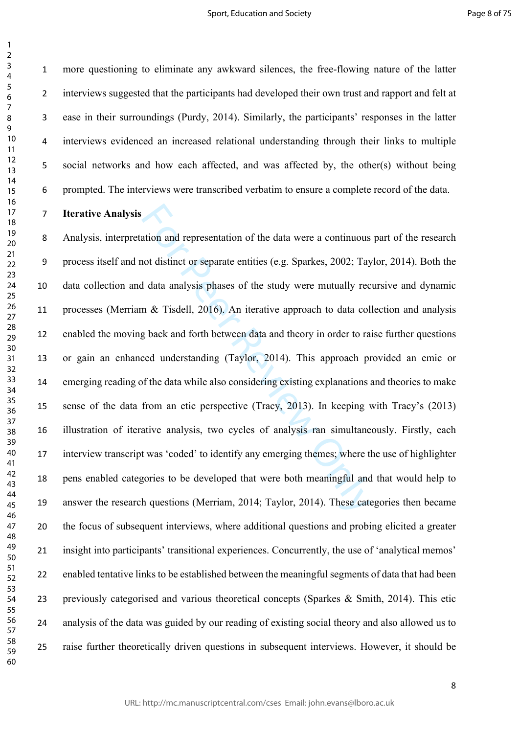$\mathbf{1}$  $\overline{2}$ 

 more questioning to eliminate any awkward silences, the free-flowing nature of the latter interviews suggested that the participants had developed their own trust and rapport and felt at ease in their surroundings (Purdy, 2014). Similarly, the participants' responses in the latter interviews evidenced an increased relational understanding through their links to multiple social networks and how each affected, and was affected by, the other(s) without being prompted. The interviews were transcribed verbatim to ensure a complete record of the data.

### **Iterative Analysis**

ation and representation of the data were a continuous<br>not distinct or separate entities (e.g. Sparkes, 2002; Tay<br>data analysis phases of the study were mutually rec<br>n & Tisdell, 2016). An iterative approach to data col<br>g Analysis, interpretation and representation of the data were a continuous part of the research process itself and not distinct or separate entities (e.g. Sparkes, 2002; Taylor, 2014). Both the data collection and data analysis phases of the study were mutually recursive and dynamic processes (Merriam & Tisdell, 2016). An iterative approach to data collection and analysis enabled the moving back and forth between data and theory in order to raise further questions or gain an enhanced understanding (Taylor, 2014). This approach provided an emic or emerging reading of the data while also considering existing explanations and theories to make sense of the data from an etic perspective (Tracy, 2013). In keeping with Tracy's (2013) illustration of iterative analysis, two cycles of analysis ran simultaneously. Firstly, each interview transcript was 'coded' to identify any emerging themes; where the use of highlighter pens enabled categories to be developed that were both meaningful and that would help to answer the research questions (Merriam, 2014; Taylor, 2014). These categories then became the focus of subsequent interviews, where additional questions and probing elicited a greater insight into participants' transitional experiences. Concurrently, the use of 'analytical memos' enabled tentative links to be established between the meaningful segments of data that had been previously categorised and various theoretical concepts (Sparkes & Smith, 2014). This etic analysis of the data was guided by our reading of existing social theory and also allowed us to raise further theoretically driven questions in subsequent interviews. However, it should be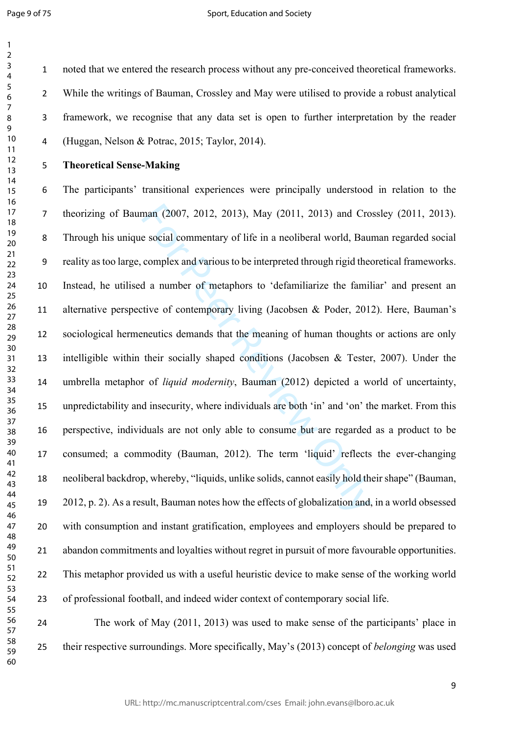$\mathbf{1}$ 

#### Sport, Education and Society

 noted that we entered the research process without any pre-conceived theoretical frameworks. While the writings of Bauman, Crossley and May were utilised to provide a robust analytical framework, we recognise that any data set is open to further interpretation by the reader (Huggan, Nelson & Potrac, 2015; Taylor, 2014).

## **Theoretical Sense-Making**

man (2007, 2012, 2013), May (2011, 2013) and Cro<br>e social commentary of life in a neoliberal world, Bau<br>complex and various to be interpreted through rigid the<br>d a number of metaphors to 'defamiliarize the famil<br>tive of co The participants' transitional experiences were principally understood in relation to the theorizing of Bauman (2007, 2012, 2013), May (2011, 2013) and Crossley (2011, 2013). Through his unique social commentary of life in a neoliberal world, Bauman regarded social reality as too large, complex and various to be interpreted through rigid theoretical frameworks. Instead, he utilised a number of metaphors to 'defamiliarize the familiar' and present an alternative perspective of contemporary living (Jacobsen & Poder, 2012). Here, Bauman's sociological hermeneutics demands that the meaning of human thoughts or actions are only intelligible within their socially shaped conditions (Jacobsen & Tester, 2007). Under the umbrella metaphor of *liquid modernity*, Bauman (2012) depicted a world of uncertainty, unpredictability and insecurity, where individuals are both 'in' and 'on' the market. From this perspective, individuals are not only able to consume but are regarded as a product to be consumed; a commodity (Bauman, 2012). The term 'liquid' reflects the ever-changing neoliberal backdrop, whereby, "liquids, unlike solids, cannot easily hold their shape" (Bauman, 2012, p. 2). As a result, Bauman notes how the effects of globalization and, in a world obsessed with consumption and instant gratification, employees and employers should be prepared to abandon commitments and loyalties without regret in pursuit of more favourable opportunities. This metaphor provided us with a useful heuristic device to make sense of the working world of professional football, and indeed wider context of contemporary social life.

 The work of May (2011, 2013) was used to make sense of the participants' place in their respective surroundings. More specifically, May's (2013) concept of *belonging* was used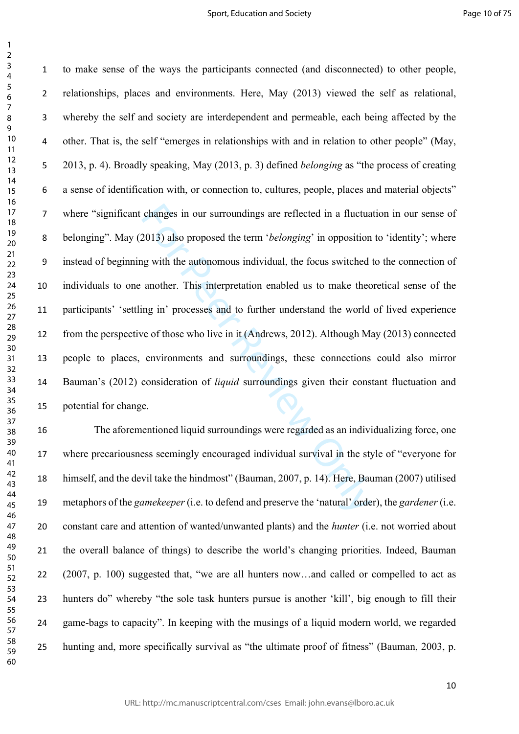$\mathbf{1}$ 

changes in our surroundings are reflected in a fluctua<br>2013) also proposed the term *'belonging'* in opposition<br>g with the autonomous individual, the focus switched<br>another. This interpretation enabled us to make thec<br>mg i to make sense of the ways the participants connected (and disconnected) to other people, relationships, places and environments. Here, May (2013) viewed the self as relational, whereby the self and society are interdependent and permeable, each being affected by the other. That is, the self "emerges in relationships with and in relation to other people" (May, 2013, p. 4). Broadly speaking, May (2013, p. 3) defined *belonging* as "the process of creating a sense of identification with, or connection to, cultures, people, places and material objects" where "significant changes in our surroundings are reflected in a fluctuation in our sense of belonging". May (2013) also proposed the term '*belonging*' in opposition to 'identity'; where instead of beginning with the autonomous individual, the focus switched to the connection of individuals to one another. This interpretation enabled us to make theoretical sense of the participants' 'settling in' processes and to further understand the world of lived experience from the perspective of those who live in it (Andrews, 2012). Although May (2013) connected people to places, environments and surroundings, these connections could also mirror Bauman's (2012) consideration of *liquid* surroundings given their constant fluctuation and potential for change.

 The aforementioned liquid surroundings were regarded as an individualizing force, one where precariousness seemingly encouraged individual survival in the style of "everyone for himself, and the devil take the hindmost" (Bauman, 2007, p. 14). Here, Bauman (2007) utilised metaphors of the *gamekeeper* (i.e. to defend and preserve the 'natural' order), the *gardener* (i.e. constant care and attention of wanted/unwanted plants) and the *hunter* (i.e. not worried about the overall balance of things) to describe the world's changing priorities. Indeed, Bauman (2007, p. 100) suggested that, "we are all hunters now…and called or compelled to act as hunters do" whereby "the sole task hunters pursue is another 'kill', big enough to fill their game-bags to capacity". In keeping with the musings of a liquid modern world, we regarded hunting and, more specifically survival as "the ultimate proof of fitness" (Bauman, 2003, p.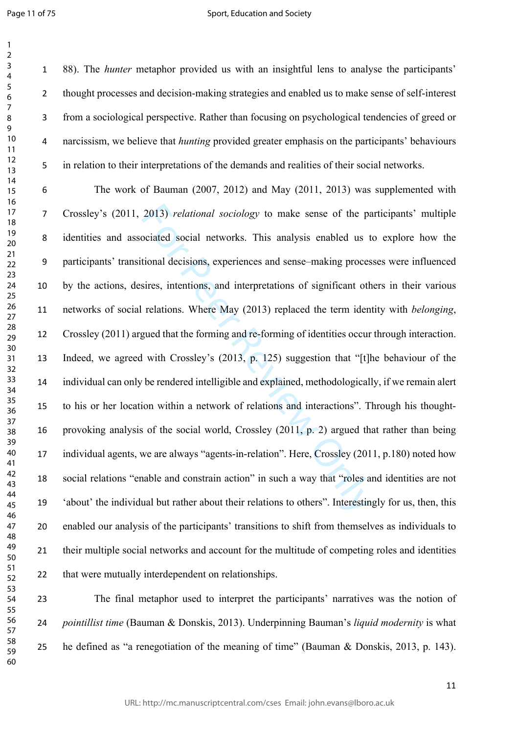$\mathbf{1}$ 

#### Sport, Education and Society

 88). The *hunter* metaphor provided us with an insightful lens to analyse the participants' thought processes and decision-making strategies and enabled us to make sense of self-interest from a sociological perspective. Rather than focusing on psychological tendencies of greed or narcissism, we believe that *hunting* provided greater emphasis on the participants' behaviours in relation to their interpretations of the demands and realities of their social networks.

2013) *relational sociology* to make sense of the paciated social networks. This analysis enabled us t<br>tional decisions, experiences and sense-making proces<br>sires, intentions, and interpretations of significant oth<br>relati The work of Bauman (2007, 2012) and May (2011, 2013) was supplemented with Crossley's (2011, 2013) *relational sociology* to make sense of the participants' multiple identities and associated social networks. This analysis enabled us to explore how the participants' transitional decisions, experiences and sense–making processes were influenced by the actions, desires, intentions, and interpretations of significant others in their various networks of social relations. Where May (2013) replaced the term identity with *belonging*, Crossley (2011) argued that the forming and re-forming of identities occur through interaction. Indeed, we agreed with Crossley's (2013, p. 125) suggestion that "[t]he behaviour of the individual can only be rendered intelligible and explained, methodologically, if we remain alert to his or her location within a network of relations and interactions". Through his thought- provoking analysis of the social world, Crossley (2011, p. 2) argued that rather than being individual agents, we are always "agents-in-relation". Here, Crossley (2011, p.180) noted how social relations "enable and constrain action" in such a way that "roles and identities are not 'about' the individual but rather about their relations to others". Interestingly for us, then, this enabled our analysis of the participants' transitions to shift from themselves as individuals to their multiple social networks and account for the multitude of competing roles and identities that were mutually interdependent on relationships.

 The final metaphor used to interpret the participants' narratives was the notion of *pointillist time* (Bauman & Donskis, 2013). Underpinning Bauman's *liquid modernity* is what he defined as "a renegotiation of the meaning of time" (Bauman & Donskis, 2013, p. 143).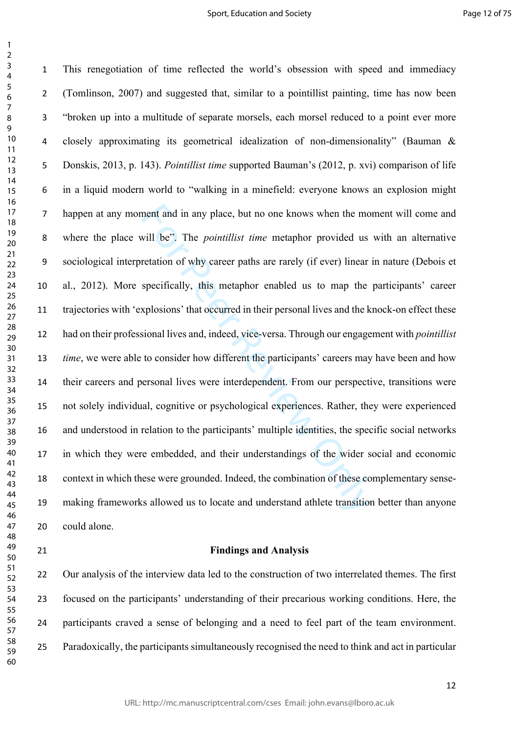$\mathbf{1}$ 

ment and in any place, but no one knows when the movill be". The *pointillist time* metaphor provided us retation of why career paths are rarely (if ever) linear specifically, this metaphor enabled us to map the specifical This renegotiation of time reflected the world's obsession with speed and immediacy (Tomlinson, 2007) and suggested that, similar to a pointillist painting, time has now been "broken up into a multitude of separate morsels, each morsel reduced to a point ever more closely approximating its geometrical idealization of non-dimensionality" (Bauman & Donskis, 2013, p. 143). *Pointillist time* supported Bauman's (2012, p. xvi) comparison of life in a liquid modern world to "walking in a minefield: everyone knows an explosion might happen at any moment and in any place, but no one knows when the moment will come and where the place will be". The *pointillist time* metaphor provided us with an alternative sociological interpretation of why career paths are rarely (if ever) linear in nature (Debois et al., 2012). More specifically, this metaphor enabled us to map the participants' career trajectories with 'explosions' that occurred in their personal lives and the knock-on effect these had on their professional lives and, indeed, vice-versa. Through our engagement with *pointillist time*, we were able to consider how different the participants' careers may have been and how their careers and personal lives were interdependent. From our perspective, transitions were not solely individual, cognitive or psychological experiences. Rather, they were experienced and understood in relation to the participants' multiple identities, the specific social networks in which they were embedded, and their understandings of the wider social and economic context in which these were grounded. Indeed, the combination of these complementary sense- making frameworks allowed us to locate and understand athlete transition better than anyone could alone.

## **Findings and Analysis**

 Our analysis of the interview data led to the construction of two interrelated themes. The first focused on the participants' understanding of their precarious working conditions. Here, the participants craved a sense of belonging and a need to feel part of the team environment. Paradoxically, the participants simultaneously recognised the need to think and act in particular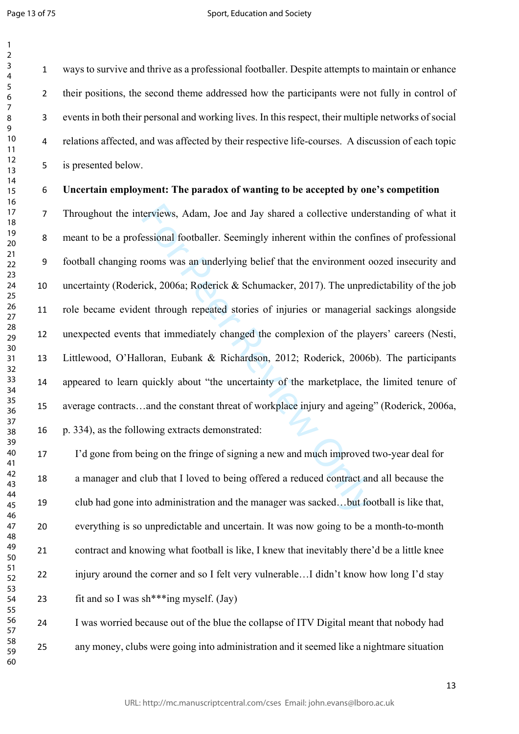ways to survive and thrive as a professional footballer. Despite attempts to maintain or enhance 2 their positions, the second theme addressed how the participants were not fully in control of events in both their personal and working lives. In this respect, their multiple networks of social relations affected, and was affected by their respective life-courses. A discussion of each topic is presented below.

## **Uncertain employment: The paradox of wanting to be accepted by one's competition**

terviews, Adam, Joe and Jay shared a collective unde<br>essional footballer. Seemingly inherent within the cont<br>rooms was an underlying belief that the environment c<br>ick, 2006a; Roderick & Schumacker, 2017). The unpre-<br>nt thr Throughout the interviews, Adam, Joe and Jay shared a collective understanding of what it meant to be a professional footballer. Seemingly inherent within the confines of professional football changing rooms was an underlying belief that the environment oozed insecurity and uncertainty (Roderick, 2006a; Roderick & Schumacker, 2017). The unpredictability of the job role became evident through repeated stories of injuries or managerial sackings alongside unexpected events that immediately changed the complexion of the players' careers (Nesti, Littlewood, O'Halloran, Eubank & Richardson, 2012; Roderick, 2006b). The participants appeared to learn quickly about "the uncertainty of the marketplace, the limited tenure of average contracts…and the constant threat of workplace injury and ageing" (Roderick, 2006a, p. 334), as the following extracts demonstrated:

 I'd gone from being on the fringe of signing a new and much improved two-year deal for a manager and club that I loved to being offered a reduced contract and all because the club had gone into administration and the manager was sacked…but football is like that, everything is so unpredictable and uncertain. It was now going to be a month-to-month contract and knowing what football is like, I knew that inevitably there'd be a little knee injury around the corner and so I felt very vulnerable…I didn't know how long I'd stay 23 fit and so I was  $\sin^{***}$ ing myself. (Jay)

 I was worried because out of the blue the collapse of ITV Digital meant that nobody had any money, clubs were going into administration and it seemed like a nightmare situation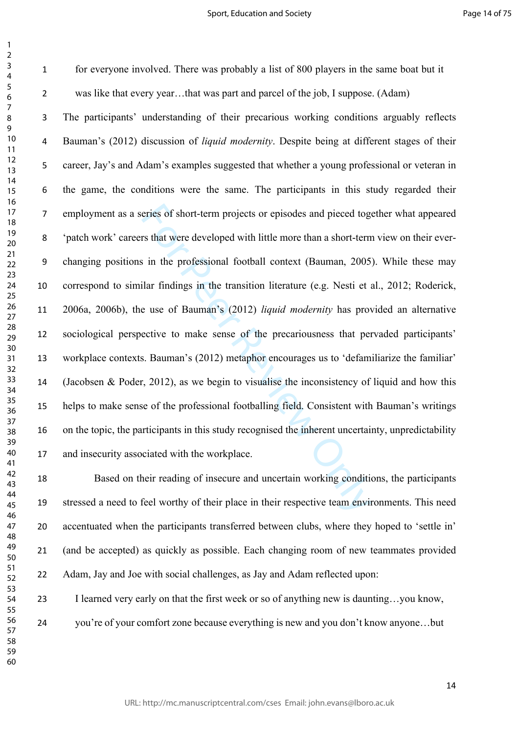$\mathbf{1}$ 

 for everyone involved. There was probably a list of 800 players in the same boat but it was like that every year…that was part and parcel of the job, I suppose. (Adam)

eries of short-term projects or episodes and pieced tog<br>rs that were developed with little more than a short-term<br>in the professional football context (Bauman, 2005<br>ilar findings in the transition literature (e.g. Nesti et The participants' understanding of their precarious working conditions arguably reflects Bauman's (2012) discussion of *liquid modernity*. Despite being at different stages of their career, Jay's and Adam's examples suggested that whether a young professional or veteran in the game, the conditions were the same. The participants in this study regarded their employment as a series of short-term projects or episodes and pieced together what appeared 'patch work' careers that were developed with little more than a short-term view on their ever- changing positions in the professional football context (Bauman, 2005). While these may correspond to similar findings in the transition literature (e.g. Nesti et al., 2012; Roderick, 2006a, 2006b), the use of Bauman's (2012) *liquid modernity* has provided an alternative sociological perspective to make sense of the precariousness that pervaded participants' workplace contexts. Bauman's (2012) metaphor encourages us to 'defamiliarize the familiar' (Jacobsen & Poder, 2012), as we begin to visualise the inconsistency of liquid and how this helps to make sense of the professional footballing field. Consistent with Bauman's writings on the topic, the participants in this study recognised the inherent uncertainty, unpredictability and insecurity associated with the workplace.

 Based on their reading of insecure and uncertain working conditions, the participants stressed a need to feel worthy of their place in their respective team environments. This need accentuated when the participants transferred between clubs, where they hoped to 'settle in' (and be accepted) as quickly as possible. Each changing room of new teammates provided Adam, Jay and Joe with social challenges, as Jay and Adam reflected upon:

I learned very early on that the first week or so of anything new is daunting…you know,

you're of your comfort zone because everything is new and you don't know anyone…but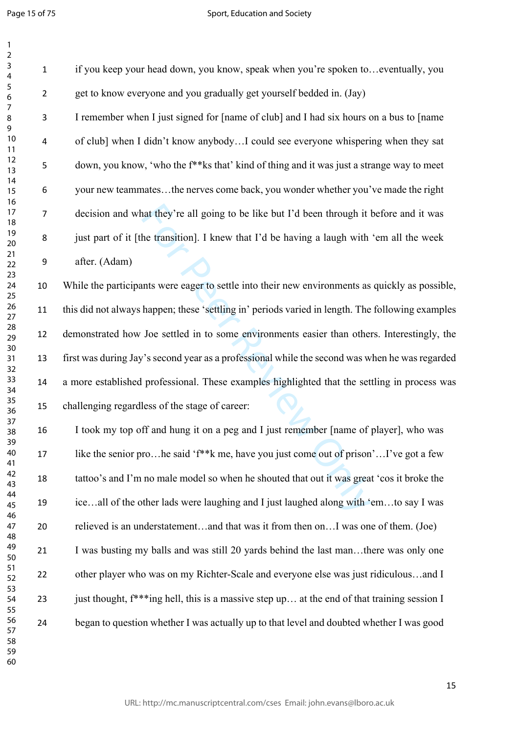| 1                                                                                                                 |  |
|-------------------------------------------------------------------------------------------------------------------|--|
|                                                                                                                   |  |
|                                                                                                                   |  |
|                                                                                                                   |  |
|                                                                                                                   |  |
|                                                                                                                   |  |
|                                                                                                                   |  |
|                                                                                                                   |  |
|                                                                                                                   |  |
|                                                                                                                   |  |
|                                                                                                                   |  |
|                                                                                                                   |  |
|                                                                                                                   |  |
|                                                                                                                   |  |
|                                                                                                                   |  |
|                                                                                                                   |  |
|                                                                                                                   |  |
|                                                                                                                   |  |
|                                                                                                                   |  |
|                                                                                                                   |  |
|                                                                                                                   |  |
|                                                                                                                   |  |
|                                                                                                                   |  |
| 2 3 4 5 6 7 8 9 1 1 1 2 3 4 5 6 7 8 9 0 1 2 3 4 5 6 7 8 9 0 1 2 3 4 5 6 7 8 9 0 1 2 3 4 5 6 7 8 9 0 1 2 3 4 5 6 7 |  |
|                                                                                                                   |  |
|                                                                                                                   |  |
|                                                                                                                   |  |
|                                                                                                                   |  |
|                                                                                                                   |  |
|                                                                                                                   |  |
|                                                                                                                   |  |
|                                                                                                                   |  |
|                                                                                                                   |  |
|                                                                                                                   |  |
|                                                                                                                   |  |
|                                                                                                                   |  |
|                                                                                                                   |  |
|                                                                                                                   |  |
|                                                                                                                   |  |
|                                                                                                                   |  |
|                                                                                                                   |  |
|                                                                                                                   |  |
| 38                                                                                                                |  |
| 39                                                                                                                |  |
| 40                                                                                                                |  |
| 41                                                                                                                |  |
| 4.<br>,                                                                                                           |  |
| 43                                                                                                                |  |
| 44                                                                                                                |  |
| 45                                                                                                                |  |
|                                                                                                                   |  |
| 46                                                                                                                |  |
| 4                                                                                                                 |  |
| 48                                                                                                                |  |
| 49                                                                                                                |  |
| 50                                                                                                                |  |
| 5<br>1                                                                                                            |  |
| 5.<br>,                                                                                                           |  |
| l<br>$\overline{\mathbf{5}}$                                                                                      |  |
|                                                                                                                   |  |
| 54                                                                                                                |  |
| C<br>$\overline{5}5$                                                                                              |  |
| 56                                                                                                                |  |
| 5                                                                                                                 |  |
| 58                                                                                                                |  |
| 59                                                                                                                |  |
| 60                                                                                                                |  |
|                                                                                                                   |  |

| if you keep your head down, you know, speak when you're spoken toeventually, you                      |
|-------------------------------------------------------------------------------------------------------|
| get to know everyone and you gradually get yourself bedded in. (Jay)                                  |
| I remember when I just signed for [name of club] and I had six hours on a bus to [name                |
| of club] when I didn't know anybodyI could see everyone whispering when they sat                      |
| down, you know, 'who the f <sup>**</sup> ks that' kind of thing and it was just a strange way to meet |
| your new teammatesthe nerves come back, you wonder whether you've made the right                      |
| decision and what they're all going to be like but I'd been through it before and it was              |
| just part of it [the transition]. I knew that I'd be having a laugh with 'em all the week             |
| after. (Adam)                                                                                         |
| While the participants were eager to settle into their new environments as quickly as possible,       |
| this did not always happen; these 'settling in' periods varied in length. The following examples      |
| demonstrated how Joe settled in to some environments easier than others. Interestingly, the           |
| first was during Jay's second year as a professional while the second was when he was regarded        |
| a more established professional. These examples highlighted that the settling in process was          |
| challenging regardless of the stage of career:                                                        |
| I took my top off and hung it on a peg and I just remember [name of player], who was                  |
| like the senior prohe said 'f <sup>**</sup> k me, have you just come out of prison'I've got a few     |
| tattoo's and I'm no male model so when he shouted that out it was great 'cos it broke the             |
| iceall of the other lads were laughing and I just laughed along with 'emto say I was                  |
| relieved is an understatementand that was it from then onI was one of them. (Joe)                     |
| I was busting my balls and was still 20 yards behind the last manthere was only one                   |
| other player who was on my Richter-Scale and everyone else was just ridiculousand I                   |
| just thought, $f^{**}$ ing hell, this is a massive step up at the end of that training session I      |
| began to question whether I was actually up to that level and doubted whether I was good              |
|                                                                                                       |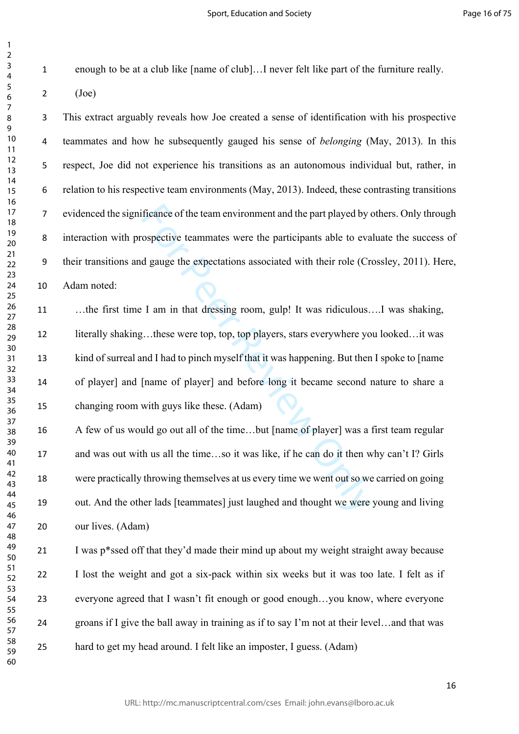$\mathbf{1}$ 

enough to be at a club like [name of club]…I never felt like part of the furniture really.

 $2 \qquad \text{(Joe)}$ 

 This extract arguably reveals how Joe created a sense of identification with his prospective teammates and how he subsequently gauged his sense of *belonging* (May, 2013). In this respect, Joe did not experience his transitions as an autonomous individual but, rather, in relation to his respective team environments (May, 2013). Indeed, these contrasting transitions evidenced the significance of the team environment and the part played by others. Only through interaction with prospective teammates were the participants able to evaluate the success of their transitions and gauge the expectations associated with their role (Crossley, 2011). Here, Adam noted:

ficance of the team environment and the part played by obspective teammates were the participants able to evaluate dependent of gauge the expectations associated with their role (Cr<br>I am in that dressing room, gulp! It was …the first time I am in that dressing room, gulp! It was ridiculous….I was shaking, literally shaking…these were top, top, top players, stars everywhere you looked…it was kind of surreal and I had to pinch myself that it was happening. But then I spoke to [name of player] and [name of player] and before long it became second nature to share a changing room with guys like these. (Adam)

 A few of us would go out all of the time…but [name of player] was a first team regular and was out with us all the time…so it was like, if he can do it then why can't I? Girls were practically throwing themselves at us every time we went out so we carried on going out. And the other lads [teammates] just laughed and thought we were young and living our lives. (Adam)

 I was p\*ssed off that they'd made their mind up about my weight straight away because I lost the weight and got a six-pack within six weeks but it was too late. I felt as if everyone agreed that I wasn't fit enough or good enough…you know, where everyone groans if I give the ball away in training as if to say I'm not at their level…and that was hard to get my head around. I felt like an imposter, I guess. (Adam)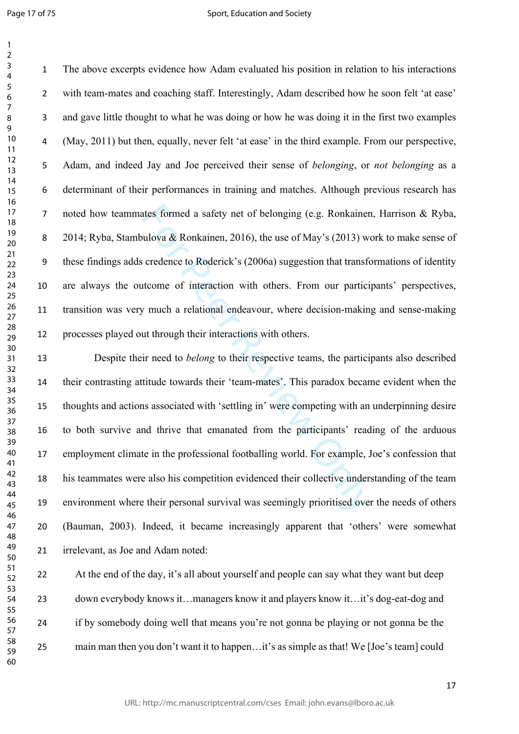Page 17 of 75

 The above excerpts evidence how Adam evaluated his position in relation to his interactions with team-mates and coaching staff. Interestingly, Adam described how he soon felt 'at ease' and gave little thought to what he was doing or how he was doing it in the first two examples (May, 2011) but then, equally, never felt 'at ease' in the third example. From our perspective, Adam, and indeed Jay and Joe perceived their sense of *belonging*, or *not belonging* as a determinant of their performances in training and matches. Although previous research has noted how teammates formed a safety net of belonging (e.g. Ronkainen, Harrison & Ryba, 2014; Ryba, Stambulova & Ronkainen, 2016), the use of May's (2013) work to make sense of these findings adds credence to Roderick's (2006a) suggestion that transformations of identity are always the outcome of interaction with others. From our participants' perspectives, transition was very much a relational endeavour, where decision-making and sense-making processes played out through their interactions with others.

ates formed a safety net of belonging (e.g. Ronkainen<br>ulova & Ronkainen, 2016), the use of May's (2013) we<br>credence to Roderick's (2006a) suggestion that transfer<br>tecome of interaction with others. From our particity<br>provi Despite their need to *belong* to their respective teams, the participants also described their contrasting attitude towards their 'team-mates'. This paradox became evident when the thoughts and actions associated with 'settling in' were competing with an underpinning desire to both survive and thrive that emanated from the participants' reading of the arduous employment climate in the professional footballing world. For example, Joe's confession that his teammates were also his competition evidenced their collective understanding of the team environment where their personal survival was seemingly prioritised over the needs of others (Bauman, 2003). Indeed, it became increasingly apparent that 'others' were somewhat irrelevant, as Joe and Adam noted:

22 At the end of the day, it's all about yourself and people can say what they want but deep down everybody knows it…managers know it and players know it…it's dog-eat-dog and if by somebody doing well that means you're not gonna be playing or not gonna be the main man then you don't want it to happen…it's as simple as that! We [Joe's team] could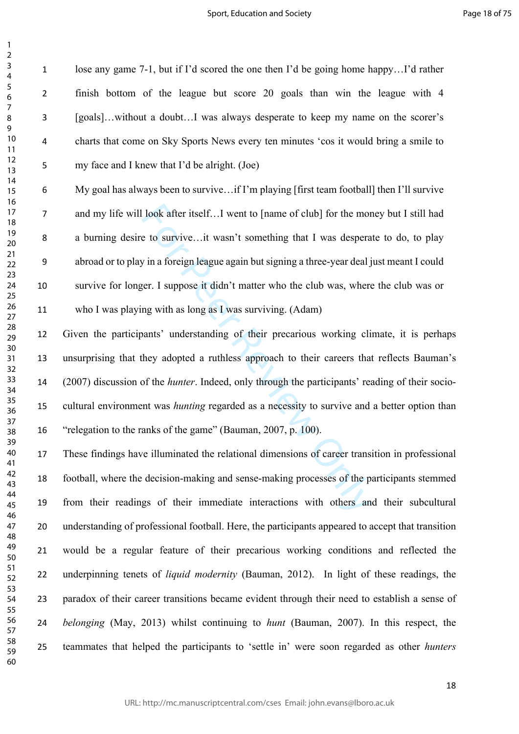lose any game 7-1, but if I'd scored the one then I'd be going home happy…I'd rather finish bottom of the league but score 20 goals than win the league with 4 [goals]…without a doubt…I was always desperate to keep my name on the scorer's charts that come on Sky Sports News every ten minutes 'cos it would bring a smile to my face and I knew that I'd be alright. (Joe)

 $\mathbf{1}$  $\overline{2}$  $\overline{3}$  $\overline{4}$  $\overline{7}$ 

look after itself...I went to [name of club] for the mone to survive...it wasn't something that I was desperaly in a foreign league again but signing a three-year deal jer. I suppose it didn't matter who the club was, wher My goal has always been to survive…if I'm playing [first team football] then I'll survive and my life will look after itself…I went to [name of club] for the money but I still had a burning desire to survive…it wasn't something that I was desperate to do, to play abroad or to play in a foreign league again but signing a three-year deal just meant I could survive for longer. I suppose it didn't matter who the club was, where the club was or who I was playing with as long as I was surviving. (Adam)

 Given the participants' understanding of their precarious working climate, it is perhaps unsurprising that they adopted a ruthless approach to their careers that reflects Bauman's (2007) discussion of the *hunter*. Indeed, only through the participants' reading of their socio- cultural environment was *hunting* regarded as a necessity to survive and a better option than "relegation to the ranks of the game" (Bauman, 2007, p. 100).

 These findings have illuminated the relational dimensions of career transition in professional football, where the decision-making and sense-making processes of the participants stemmed from their readings of their immediate interactions with others and their subcultural understanding of professional football. Here, the participants appeared to accept that transition would be a regular feature of their precarious working conditions and reflected the underpinning tenets of *liquid modernity* (Bauman, 2012). In light of these readings, the paradox of their career transitions became evident through their need to establish a sense of *belonging* (May, 2013) whilst continuing to *hunt* (Bauman, 2007). In this respect, the teammates that helped the participants to 'settle in' were soon regarded as other *hunters*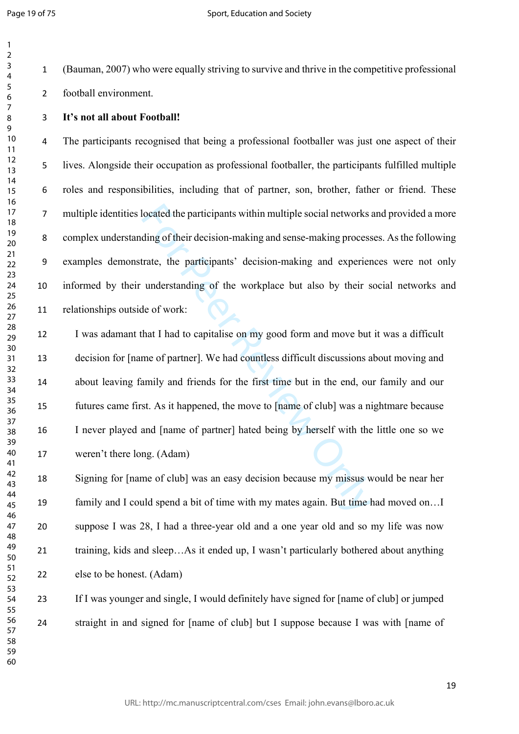$\mathbf{1}$  $\overline{2}$  $\overline{3}$ 

 (Bauman, 2007) who were equally striving to survive and thrive in the competitive professional football environment.

## **It's not all about Football!**

 The participants recognised that being a professional footballer was just one aspect of their lives. Alongside their occupation as professional footballer, the participants fulfilled multiple roles and responsibilities, including that of partner, son, brother, father or friend. These multiple identities located the participants within multiple social networks and provided a more complex understanding of their decision-making and sense-making processes. As the following examples demonstrate, the participants' decision-making and experiences were not only informed by their understanding of the workplace but also by their social networks and relationships outside of work:

located the participants within multiple social networks<br>ding of their decision-making and sense-making process<br>trate, the participants' decision-making and experier<br>understanding of the workplace but also by their s<br>le of I was adamant that I had to capitalise on my good form and move but it was a difficult decision for [name of partner]. We had countless difficult discussions about moving and about leaving family and friends for the first time but in the end, our family and our futures came first. As it happened, the move to [name of club] was a nightmare because I never played and [name of partner] hated being by herself with the little one so we weren't there long. (Adam)

 Signing for [name of club] was an easy decision because my missus would be near her family and I could spend a bit of time with my mates again. But time had moved on…I suppose I was 28, I had a three-year old and a one year old and so my life was now training, kids and sleep…As it ended up, I wasn't particularly bothered about anything else to be honest. (Adam)

 If I was younger and single, I would definitely have signed for [name of club] or jumped straight in and signed for [name of club] but I suppose because I was with [name of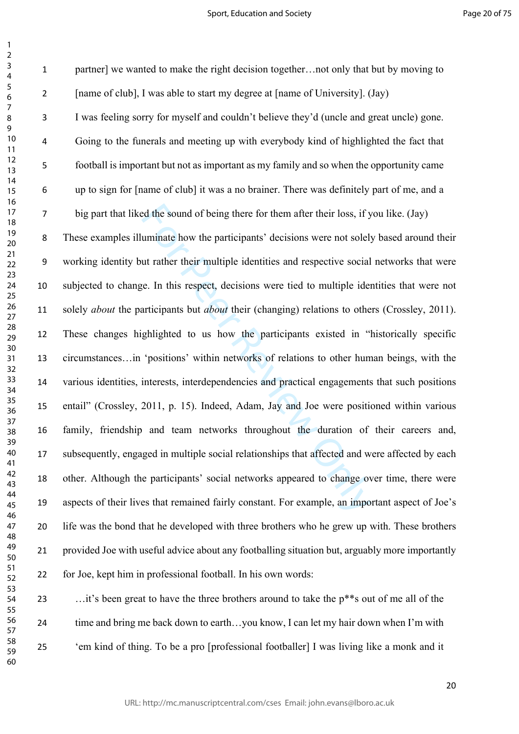Example 10 and of being there for them after their loss, if y<br>turninate how the participants' decisions were not solely<br>tut rather their multiple identities and respective social<br>e. In this respect, decisions were tied to partner] we wanted to make the right decision together…not only that but by moving to [name of club], I was able to start my degree at [name of University]. (Jay) I was feeling sorry for myself and couldn't believe they'd (uncle and great uncle) gone. Going to the funerals and meeting up with everybody kind of highlighted the fact that football is important but not as important as my family and so when the opportunity came up to sign for [name of club] it was a no brainer. There was definitely part of me, and a big part that liked the sound of being there for them after their loss, if you like. (Jay) These examples illuminate how the participants' decisions were not solely based around their working identity but rather their multiple identities and respective social networks that were subjected to change. In this respect, decisions were tied to multiple identities that were not solely *about* the participants but *about* their (changing) relations to others (Crossley, 2011). These changes highlighted to us how the participants existed in "historically specific circumstances…in 'positions' within networks of relations to other human beings, with the various identities, interests, interdependencies and practical engagements that such positions entail" (Crossley, 2011, p. 15). Indeed, Adam, Jay and Joe were positioned within various family, friendship and team networks throughout the duration of their careers and, subsequently, engaged in multiple social relationships that affected and were affected by each other. Although the participants' social networks appeared to change over time, there were aspects of their lives that remained fairly constant. For example, an important aspect of Joe's life was the bond that he developed with three brothers who he grew up with. These brothers provided Joe with useful advice about any footballing situation but, arguably more importantly for Joe, kept him in professional football. In his own words: …it's been great to have the three brothers around to take the p\*\*s out of me all of the time and bring me back down to earth…you know, I can let my hair down when I'm with

 'em kind of thing. To be a pro [professional footballer] I was living like a monk and it 

 $\mathbf{1}$  $\overline{2}$  $\overline{3}$  $\overline{4}$  $\overline{7}$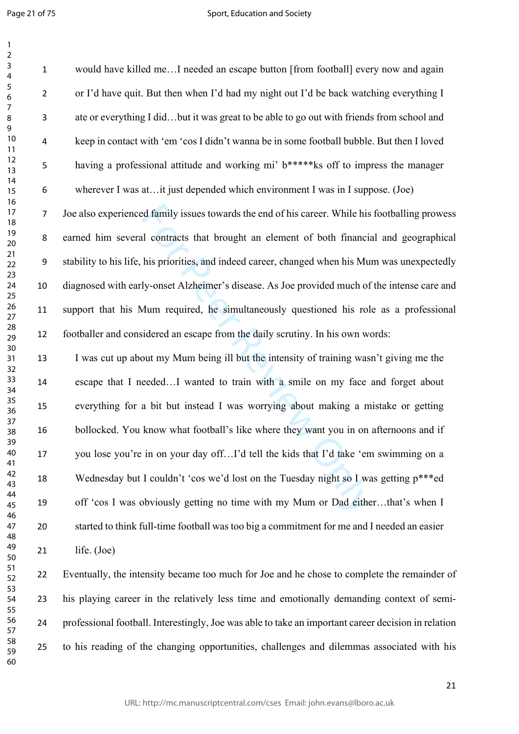Page 21 of 75

 $\mathbf{1}$ 

#### Sport, Education and Society

d family issues towards the end of his career. While his<br>il contracts that brought an element of both financia<br>his priorities, and indeed career, changed when his Mu<br>ly-onset Alzheimer's disease. As Joe provided much of<br>Au would have killed me…I needed an escape button [from football] every now and again or I'd have quit. But then when I'd had my night out I'd be back watching everything I ate or everything I did…but it was great to be able to go out with friends from school and keep in contact with 'em 'cos I didn't wanna be in some football bubble. But then I loved having a professional attitude and working mi' b\*\*\*\*\*ks off to impress the manager wherever I was at…it just depended which environment I was in I suppose. (Joe) Joe also experienced family issues towards the end of his career. While his footballing prowess earned him several contracts that brought an element of both financial and geographical stability to his life, his priorities, and indeed career, changed when his Mum was unexpectedly diagnosed with early-onset Alzheimer's disease. As Joe provided much of the intense care and support that his Mum required, he simultaneously questioned his role as a professional footballer and considered an escape from the daily scrutiny. In his own words: I was cut up about my Mum being ill but the intensity of training wasn't giving me the escape that I needed…I wanted to train with a smile on my face and forget about everything for a bit but instead I was worrying about making a mistake or getting bollocked. You know what football's like where they want you in on afternoons and if you lose you're in on your day off…I'd tell the kids that I'd take 'em swimming on a Wednesday but I couldn't 'cos we'd lost on the Tuesday night so I was getting p\*\*\*ed off 'cos I was obviously getting no time with my Mum or Dad either…that's when I started to think full-time football was too big a commitment for me and I needed an easier life. (Joe) Eventually, the intensity became too much for Joe and he chose to complete the remainder of his playing career in the relatively less time and emotionally demanding context of semi-

professional football. Interestingly, Joe was able to take an important career decision in relation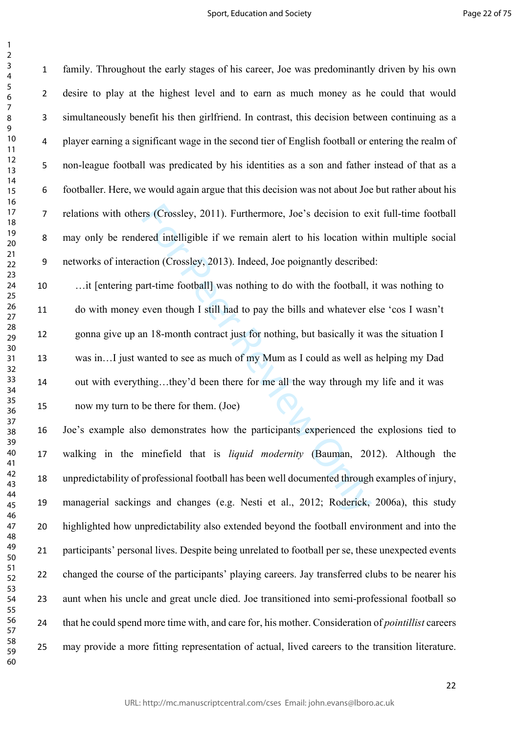$\mathbf{1}$ 

rs (Crossley, 2011). Furthermore, Joe's decision to exered intelligible if we remain alert to his location wition (Crossley, 2013). Indeed, Joe poignantly described ant-time football] was nothing to do with the football, e family. Throughout the early stages of his career, Joe was predominantly driven by his own desire to play at the highest level and to earn as much money as he could that would simultaneously benefit his then girlfriend. In contrast, this decision between continuing as a player earning a significant wage in the second tier of English football or entering the realm of non-league football was predicated by his identities as a son and father instead of that as a footballer. Here, we would again argue that this decision was not about Joe but rather about his relations with others (Crossley, 2011). Furthermore, Joe's decision to exit full-time football may only be rendered intelligible if we remain alert to his location within multiple social networks of interaction (Crossley, 2013). Indeed, Joe poignantly described: …it [entering part-time football] was nothing to do with the football, it was nothing to do with money even though I still had to pay the bills and whatever else 'cos I wasn't gonna give up an 18-month contract just for nothing, but basically it was the situation I was in…I just wanted to see as much of my Mum as I could as well as helping my Dad out with everything…they'd been there for me all the way through my life and it was now my turn to be there for them. (Joe) Joe's example also demonstrates how the participants experienced the explosions tied to walking in the minefield that is *liquid modernity* (Bauman, 2012). Although the unpredictability of professional football has been well documented through examples of injury, managerial sackings and changes (e.g. Nesti et al., 2012; Roderick, 2006a), this study highlighted how unpredictability also extended beyond the football environment and into the participants' personal lives. Despite being unrelated to football per se, these unexpected events changed the course of the participants' playing careers. Jay transferred clubs to be nearer his aunt when his uncle and great uncle died. Joe transitioned into semi-professional football so that he could spend more time with, and care for, his mother. Consideration of *pointillist* careers

may provide a more fitting representation of actual, lived careers to the transition literature.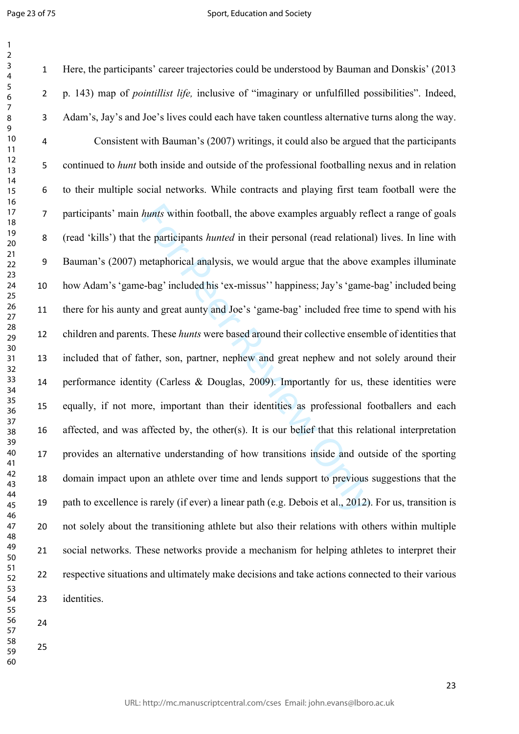$\mathbf{1}$ 

#### Sport, Education and Society

hunts within football, the above examples arguably ref<br>he participants hunted in their personal (read relationa<br>metaphorical analysis, we would argue that the above<br>e-bag' included his 'ex-missus'' happiness; Jay's 'game-<br> Here, the participants' career trajectories could be understood by Bauman and Donskis' (2013 p. 143) map of *pointillist life,* inclusive of "imaginary or unfulfilled possibilities". Indeed, Adam's, Jay's and Joe's lives could each have taken countless alternative turns along the way. Consistent with Bauman's (2007) writings, it could also be argued that the participants continued to *hunt* both inside and outside of the professional footballing nexus and in relation to their multiple social networks. While contracts and playing first team football were the participants' main *hunts* within football, the above examples arguably reflect a range of goals (read 'kills') that the participants *hunted* in their personal (read relational) lives. In line with Bauman's (2007) metaphorical analysis, we would argue that the above examples illuminate how Adam's 'game-bag' included his 'ex-missus'' happiness; Jay's 'game-bag' included being there for his aunty and great aunty and Joe's 'game-bag' included free time to spend with his children and parents. These *hunts* were based around their collective ensemble of identities that included that of father, son, partner, nephew and great nephew and not solely around their performance identity (Carless & Douglas, 2009). Importantly for us, these identities were equally, if not more, important than their identities as professional footballers and each affected, and was affected by, the other(s). It is our belief that this relational interpretation provides an alternative understanding of how transitions inside and outside of the sporting domain impact upon an athlete over time and lends support to previous suggestions that the path to excellence is rarely (if ever) a linear path (e.g. Debois et al., 2012). For us, transition is not solely about the transitioning athlete but also their relations with others within multiple social networks. These networks provide a mechanism for helping athletes to interpret their respective situations and ultimately make decisions and take actions connected to their various identities.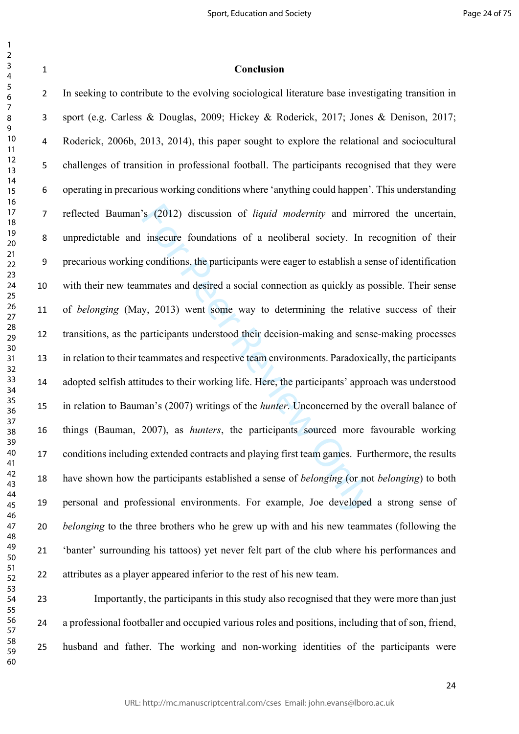### $\mathbf{1}$   $\overline{2}$  $\overline{3}$  $\overline{4}$  $\overline{7}$

 

| Conclusion |
|------------|
|            |

S (2012) discussion of *liquid modernity* and mirrimsecure foundations of a neoliberal society. In r conditions, the participants were eager to establish a semmates and desired a social connection as quickly as p y, 2013) In seeking to contribute to the evolving sociological literature base investigating transition in sport (e.g. Carless & Douglas, 2009; Hickey & Roderick, 2017; Jones & Denison, 2017; Roderick, 2006b, 2013, 2014), this paper sought to explore the relational and sociocultural challenges of transition in professional football. The participants recognised that they were operating in precarious working conditions where 'anything could happen'. This understanding reflected Bauman's (2012) discussion of *liquid modernity* and mirrored the uncertain, unpredictable and insecure foundations of a neoliberal society. In recognition of their precarious working conditions, the participants were eager to establish a sense of identification with their new teammates and desired a social connection as quickly as possible. Their sense of *belonging* (May, 2013) went some way to determining the relative success of their transitions, as the participants understood their decision-making and sense-making processes in relation to their teammates and respective team environments. Paradoxically, the participants adopted selfish attitudes to their working life. Here, the participants' approach was understood in relation to Bauman's (2007) writings of the *hunter*. Unconcerned by the overall balance of things (Bauman, 2007), as *hunters*, the participants sourced more favourable working conditions including extended contracts and playing first team games. Furthermore, the results have shown how the participants established a sense of *belonging* (or not *belonging*) to both personal and professional environments. For example, Joe developed a strong sense of *belonging* to the three brothers who he grew up with and his new teammates (following the 'banter' surrounding his tattoos) yet never felt part of the club where his performances and attributes as a player appeared inferior to the rest of his new team.

 Importantly, the participants in this study also recognised that they were more than just a professional footballer and occupied various roles and positions, including that of son, friend, husband and father. The working and non-working identities of the participants were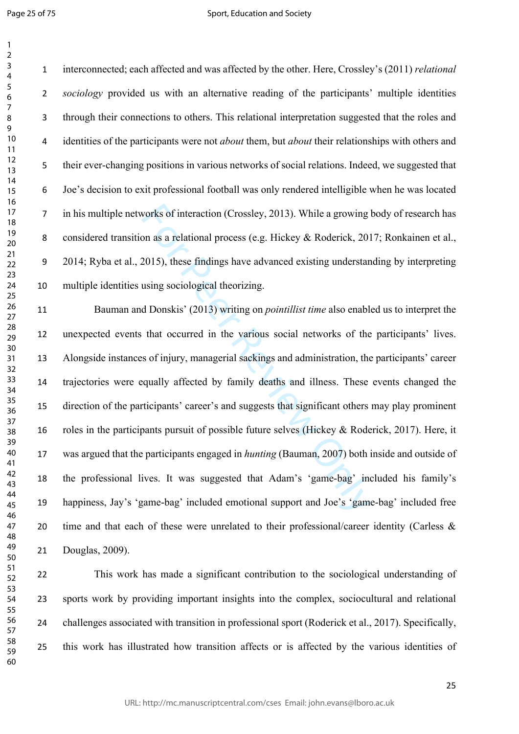Page 25 of 75

 interconnected; each affected and was affected by the other. Here, Crossley's (2011) *relational sociology* provided us with an alternative reading of the participants' multiple identities through their connections to others. This relational interpretation suggested that the roles and identities of the participants were not *about* them, but *about* their relationships with others and their ever-changing positions in various networks of social relations. Indeed, we suggested that Joe's decision to exit professional football was only rendered intelligible when he was located in his multiple networks of interaction (Crossley, 2013). While a growing body of research has considered transition as a relational process (e.g. Hickey & Roderick, 2017; Ronkainen et al., 2014; Ryba et al., 2015), these findings have advanced existing understanding by interpreting multiple identities using sociological theorizing.

vorks of interaction (Crossley, 2013). While a growing lon as a relational process (e.g. Hickey & Roderick, 201<br>2015), these findings have advanced existing understan<br>using sociological theorizing.<br>d Donskis' (2013) writin Bauman and Donskis' (2013) writing on *pointillist time* also enabled us to interpret the unexpected events that occurred in the various social networks of the participants' lives. Alongside instances of injury, managerial sackings and administration, the participants' career trajectories were equally affected by family deaths and illness. These events changed the direction of the participants' career's and suggests that significant others may play prominent roles in the participants pursuit of possible future selves (Hickey & Roderick, 2017). Here, it was argued that the participants engaged in *hunting* (Bauman, 2007) both inside and outside of the professional lives. It was suggested that Adam's 'game-bag' included his family's happiness, Jay's 'game-bag' included emotional support and Joe's 'game-bag' included free 20 time and that each of these were unrelated to their professional/career identity (Carless  $\&$ Douglas, 2009).

 This work has made a significant contribution to the sociological understanding of sports work by providing important insights into the complex, sociocultural and relational challenges associated with transition in professional sport (Roderick et al., 2017). Specifically, this work has illustrated how transition affects or is affected by the various identities of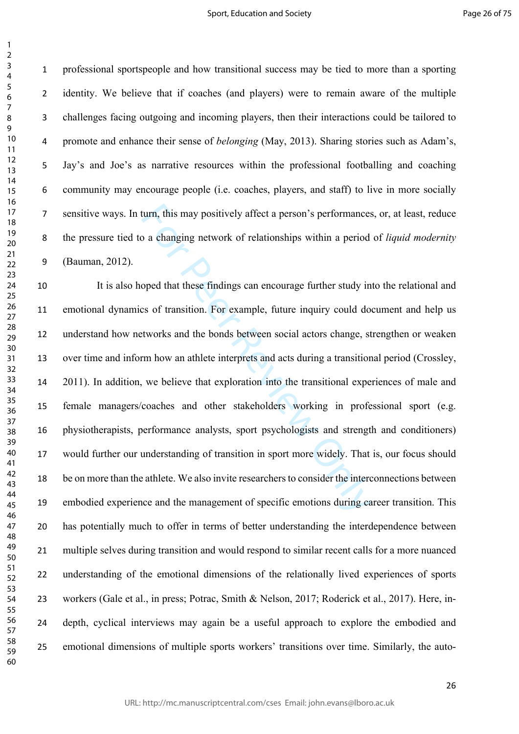$\mathbf{1}$ 

 professional sportspeople and how transitional success may be tied to more than a sporting identity. We believe that if coaches (and players) were to remain aware of the multiple challenges facing outgoing and incoming players, then their interactions could be tailored to promote and enhance their sense of *belonging* (May, 2013). Sharing stories such as Adam's, Jay's and Joe's as narrative resources within the professional footballing and coaching community may encourage people (i.e. coaches, players, and staff) to live in more socially sensitive ways. In turn, this may positively affect a person's performances, or, at least, reduce the pressure tied to a changing network of relationships within a period of *liquid modernity* (Bauman, 2012).

turn, this may positively affect a person's performances<br>o a changing network of relationships within a period<br>oped that these findings can encourage further study in<br>so f transition. For example, future inquiry could do<br>t It is also hoped that these findings can encourage further study into the relational and emotional dynamics of transition. For example, future inquiry could document and help us understand how networks and the bonds between social actors change, strengthen or weaken over time and inform how an athlete interprets and acts during a transitional period (Crossley, 2011). In addition, we believe that exploration into the transitional experiences of male and female managers/coaches and other stakeholders working in professional sport (e.g. physiotherapists, performance analysts, sport psychologists and strength and conditioners) would further our understanding of transition in sport more widely. That is, our focus should be on more than the athlete. We also invite researchers to consider the interconnections between embodied experience and the management of specific emotions during career transition. This has potentially much to offer in terms of better understanding the interdependence between multiple selves during transition and would respond to similar recent calls for a more nuanced understanding of the emotional dimensions of the relationally lived experiences of sports workers (Gale et al., in press; Potrac, Smith & Nelson, 2017; Roderick et al., 2017). Here, in- depth, cyclical interviews may again be a useful approach to explore the embodied and emotional dimensions of multiple sports workers' transitions over time. Similarly, the auto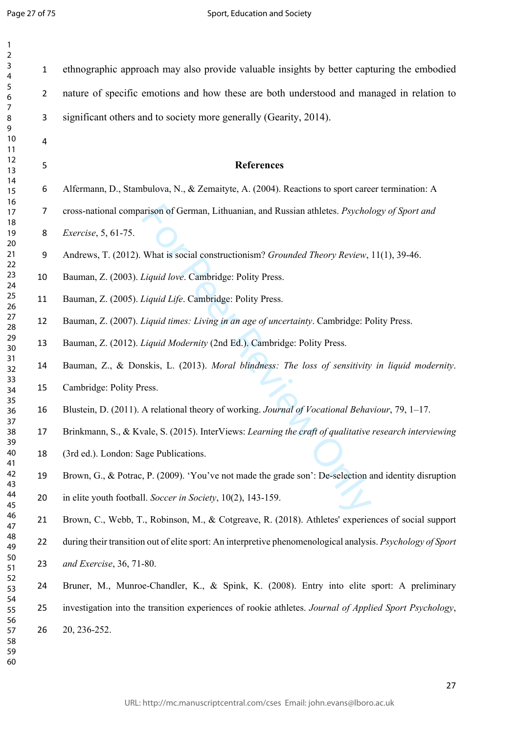Page 27 of 75

 $\mathbf{1}$ 

| $\mathbf{1}$<br>$\overline{2}$ |                |                                                                                                            |
|--------------------------------|----------------|------------------------------------------------------------------------------------------------------------|
| 3<br>4                         | $\mathbf 1$    | ethnographic approach may also provide valuable insights by better capturing the embodied                  |
| 5<br>6                         | $\overline{2}$ | nature of specific emotions and how these are both understood and managed in relation to                   |
| 7<br>8<br>9                    | 3              | significant others and to society more generally (Gearity, 2014).                                          |
| 10<br>11                       | 4              |                                                                                                            |
| 12<br>13                       | 5              | <b>References</b>                                                                                          |
| 14<br>15                       | 6              | Alfermann, D., Stambulova, N., & Zemaityte, A. (2004). Reactions to sport career termination: A            |
| 16<br>17<br>18                 | $\overline{7}$ | cross-national comparison of German, Lithuanian, and Russian athletes. Psychology of Sport and             |
| 19<br>20                       | 8              | <i>Exercise</i> , 5, 61-75.                                                                                |
| 21<br>22                       | 9              | Andrews, T. (2012). What is social constructionism? Grounded Theory Review, 11(1), 39-46.                  |
| 23<br>24                       | 10             | Bauman, Z. (2003). Liquid love. Cambridge: Polity Press.                                                   |
| 25<br>26                       | 11             | Bauman, Z. (2005). Liquid Life. Cambridge: Polity Press.                                                   |
| 27<br>28                       | 12             | Bauman, Z. (2007). Liquid times: Living in an age of uncertainty. Cambridge: Polity Press.                 |
| 29<br>30                       | 13             | Bauman, Z. (2012). Liquid Modernity (2nd Ed.). Cambridge: Polity Press.                                    |
| 31<br>32<br>33                 | 14             | Bauman, Z., & Donskis, L. (2013). Moral blindness: The loss of sensitivity in liquid modernity.            |
| 34<br>35                       | 15             | Cambridge: Polity Press.                                                                                   |
| 36<br>37                       | 16             | Blustein, D. (2011). A relational theory of working. Journal of Vocational Behaviour, 79, 1-17.            |
| 38<br>39                       | 17             | Brinkmann, S., & Kvale, S. (2015). InterViews: Learning the craft of qualitative research interviewing     |
| 40<br>41                       | 18             | (3rd ed.). London: Sage Publications.                                                                      |
| 42<br>43                       | 19             | Brown, G., & Potrac, P. (2009). 'You've not made the grade son': De-selection and identity disruption      |
| 44<br>45                       | 20             | in elite youth football. Soccer in Society, 10(2), 143-159.                                                |
| 46<br>47                       | 21             | Brown, C., Webb, T., Robinson, M., & Cotgreave, R. (2018). Athletes' experiences of social support         |
| 48<br>49                       | 22             | during their transition out of elite sport: An interpretive phenomenological analysis. Psychology of Sport |
| 50<br>51<br>52                 | 23             | and Exercise, 36, 71-80.                                                                                   |
| 53<br>54                       | 24             | Bruner, M., Munroe-Chandler, K., & Spink, K. (2008). Entry into elite sport: A preliminary                 |
| 55<br>56                       | 25             | investigation into the transition experiences of rookie athletes. Journal of Applied Sport Psychology,     |
| 57<br>58<br>59<br>60           | 26             | 20, 236-252.                                                                                               |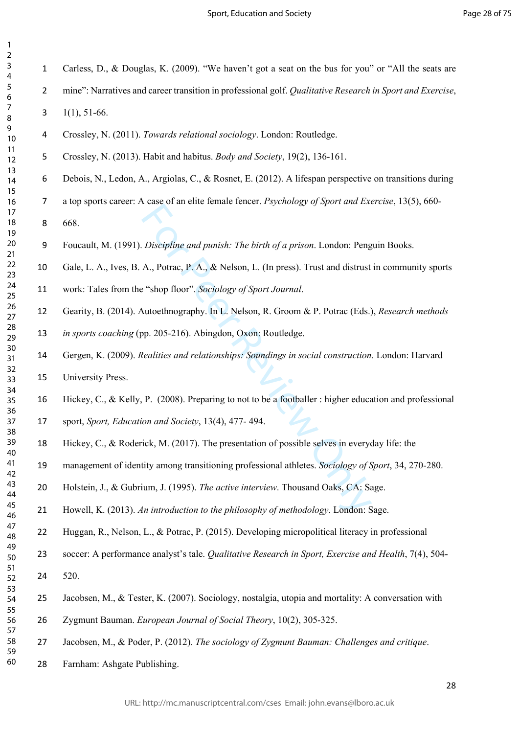$\mathbf{1}$ 

Carless, D., & Douglas, K. (2009). "We haven't got a seat on the bus for you" or "All the seats are

- mine": Narratives and career transition in professional golf. *Qualitative Research in Sport and Exercise*,
- $3 \quad 1(1), 51-66.$
- Crossley, N. (2011). *Towards relational sociology*. London: Routledge.
- Crossley, N. (2013). Habit and habitus. *Body and Society*, 19(2), 136-161.
- Debois, N., Ledon, A., Argiolas, C., & Rosnet, E. (2012). A lifespan perspective on transitions during
- a top sports career: A case of an elite female fencer. *Psychology of Sport and Exercise*, 13(5), 660-

668.

- Foucault, M. (1991). *Discipline and punish: The birth of a prison*. London: Penguin Books.
- Gale, L. A., Ives, B. A., Potrac, P. A., & Nelson, L. (In press). Trust and distrust in community sports
- work: Tales from the "shop floor". *Sociology of Sport Journal* .
- Gearity, B. (2014). Autoethnography. In L. Nelson, R. Groom & P. Potrac (Eds.), *Research methods*
- *in sports coaching* (pp. 205-216). Abingdon, Oxon: Routledge.
- For Peer and punish: The birth of a prison. London: Peng<br>
A., Potrac, P. A., & Nelson, L. (In press). Trust and distrust<br>
"shop floor". Sociology of Sport Journal.<br>
Nutoethnography. In L. Nelson, R. Groom & P. Potrac (Eds Gergen, K. (2009). *Realities and relationships: Soundings in social construction*. London: Harvard
- University Press.
- Hickey, C., & Kelly, P. (2008). Preparing to not to be a footballer : higher education and professional
- sport, *Sport, Education and Society*, 13(4), 477- 494.
- Hickey, C., & Roderick, M. (2017). The presentation of possible selves in everyday life: the
- management of identity among transitioning professional athletes. *Sociology of Sport*, 34, 270-280.
- Holstein, J., & Gubrium, J. (1995). *The active interview*. Thousand Oaks, CA: Sage.
- Howell, K. (2013). *An introduction to the philosophy of methodology*. London: Sage.
- Huggan, R., Nelson, L., & Potrac, P. (2015). Developing micropolitical literacy in professional
- soccer: A performance analyst's tale. *Qualitative Research in Sport, Exercise and Health*, 7(4), 504-

520.

- Jacobsen, M., & Tester, K. (2007). Sociology, nostalgia, utopia and mortality: A conversation with
- Zygmunt Bauman. *European Journal of Social Theory*, 10(2), 305-325.
- Jacobsen, M., & Poder, P. (2012). *The sociology of Zygmunt Bauman: Challenges and critique*.
- Farnham: Ashgate Publishing.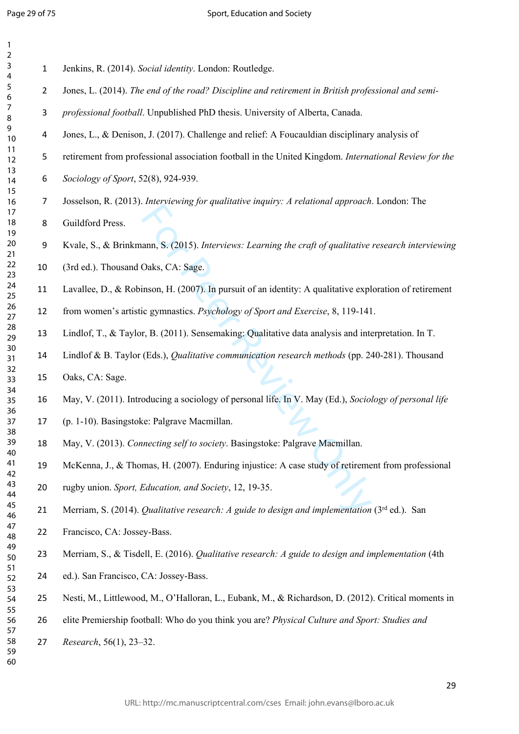$\mathbf{1}$  $\overline{2}$ 

- Jenkins, R. (2014). *Social identity*. London: Routledge.
- Jones, L. (2014). *The end of the road? Discipline and retirement in British professional and semi-*
- *professional football*. Unpublished PhD thesis. University of Alberta, Canada.
- Jones, L., & Denison, J. (2017). Challenge and relief: A Foucauldian disciplinary analysis of
- retirement from professional association football in the United Kingdom. *International Review for the*
- *Sociology of Sport*, 52(8), 924-939.
- Josselson, R. (2013). *Interviewing for qualitative inquiry: A relational approach*. London: The
- Guildford Press.
- Kvale, S., & Brinkmann, S. (2015). *Interviews: Learning the craft of qualitative research interviewing*
- (3rd ed.). Thousand Oaks, CA: Sage.
- Lavallee, D., & Robinson, H. (2007). In pursuit of an identity: A qualitative exploration of retirement
- from women's artistic gymnastics. *Psychology of Sport and Exercise*, 8, 119-141.
- Lindlof, T., & Taylor, B. (2011). Sensemaking: Qualitative data analysis and interpretation. In T.
- Lindlof & B. Taylor (Eds.), *Qualitative communication research methods* (pp. 240-281). Thousand
- Oaks, CA: Sage.
- May, V. (2011). Introducing a sociology of personal life. In V. May (Ed.), *Sociology of personal life*
- (p. 1-10). Basingstoke: Palgrave Macmillan.
- May, V. (2013). *Connecting self to society*. Basingstoke: Palgrave Macmillan.
- For Persons, S. (2015). *Interviews: Learning the craft of qualitative* Oaks, CA: Sage.<br>
inson, H. (2007). In pursuit of an identity: A qualitative explic gymnastics. *Psychology of Sport and Exercise*, 8, 119-141<br>
r, B. McKenna, J., & Thomas, H. (2007). Enduring injustice: A case study of retirement from professional
- rugby union. *Sport, Education, and Society*, 12, 19-35.
- 21 Merriam, S. (2014). *Qualitative research: A guide to design and implementation* (3<sup>rd</sup> ed.). San
- Francisco, CA: Jossey-Bass.
- Merriam, S., & Tisdell, E. (2016). *Qualitative research: A guide to design and implementation* (4th
- ed.). San Francisco, CA: Jossey-Bass.
- Nesti, M., Littlewood, M., O'Halloran, L., Eubank, M., & Richardson, D. (2012). Critical moments in
- elite Premiership football: Who do you think you are? *Physical Culture and Sport: Studies and*
- *Research*, 56(1), 23–32.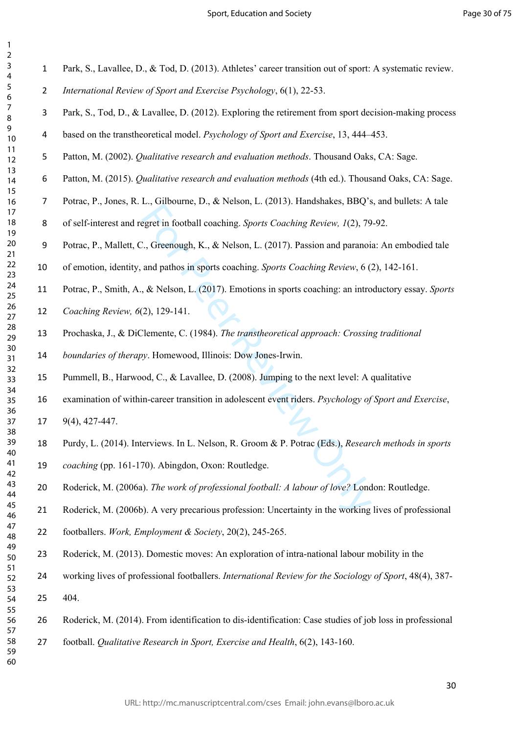$\mathbf{1}$  $\overline{2}$ 

Park, S., Lavallee, D., & Tod, D. (2013). Athletes' career transition out of sport: A systematic review.

- *International Review of Sport and Exercise Psychology*, 6(1), 22-53.
- Park, S., Tod, D., & Lavallee, D. (2012). Exploring the retirement from sport decision-making process
- based on the transtheoretical model. *Psychology of Sport and Exercise*, 13, 444–453.
- Patton, M. (2002). *Qualitative research and evaluation methods*. Thousand Oaks, CA: Sage.
- Patton, M. (2015). *Qualitative research and evaluation methods* (4th ed.). Thousand Oaks, CA: Sage.
- Potrac, P., Jones, R. L., Gilbourne, D., & Nelson, L. (2013). Handshakes, BBQ's, and bullets: A tale
- of self-interest and regret in football coaching. *Sports Coaching Review, 1*(2), 79-92.
- Potrac, P., Mallett, C., Greenough, K., & Nelson, L. (2017). Passion and paranoia: An embodied tale

of emotion, identity, and pathos in sports coaching. *Sports Coaching Review*, 6 (2), 142-161.

- 21, statemin, 21, 21, 1000 and particles, 11, 2009, 11, 2009, 11, 2009, 11, 300, 11, 300, 11, 300, 11, 300, 11, 300, 11, 300, 11, 4000, 11, 4000, 11, 1000, 11, 1000, 11, 1000, 11, 1000, 11, 1000, 11, 1000, 11, 1000, 11, 1 Potrac, P., Smith, A., & Nelson, L. (2017). Emotions in sports coaching: an introductory essay. *Sports Coaching Review, 6*(2), 129-141.
- Prochaska, J., & DiClemente, C. (1984). *The transtheoretical approach: Crossing traditional*
- *boundaries of therapy*. Homewood, Illinois: Dow Jones-Irwin.
- Pummell, B., Harwood, C., & Lavallee, D. (2008). Jumping to the next level: A qualitative
- examination of within-career transition in adolescent event riders. *Psychology of Sport and Exercise*,
	- 9(4), 427-447.
- Purdy, L. (2014). Interviews. In L. Nelson, R. Groom & P. Potrac (Eds.), *Research methods in sports*
- *coaching* (pp. 161-170). Abingdon, Oxon: Routledge.
- Roderick, M. (2006a). *The work of professional football: A labour of love?* London: Routledge.
- Roderick, M. (2006b). A very precarious profession: Uncertainty in the working lives of professional
- footballers. *Work, Employment & Society*, 20(2), 245-265.
- Roderick, M. (2013). Domestic moves: An exploration of intra-national labour mobility in the
- working lives of professional footballers. *International Review for the Sociology of Sport*, 48(4), 387-

404.

- Roderick, M. (2014). From identification to dis-identification: Case studies of job loss in professional
	- football. *Qualitative Research in Sport, Exercise and Health*, 6(2), 143-160.

URL: http://mc.manuscriptcentral.com/cses Email: john.evans@lboro.ac.uk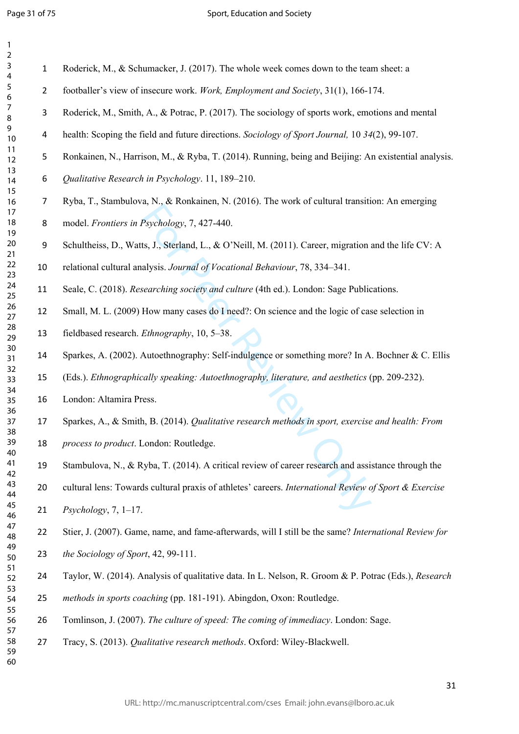| 1                                         |  |
|-------------------------------------------|--|
| ,                                         |  |
| 3                                         |  |
| 4                                         |  |
| 5                                         |  |
| 6                                         |  |
|                                           |  |
| 8                                         |  |
| $\mathbf$<br>)                            |  |
|                                           |  |
| 10                                        |  |
| $\mathbf{1}$<br>1                         |  |
| 1<br>$\overline{2}$                       |  |
| $\overline{1}$ :<br>3                     |  |
| 1<br>4                                    |  |
| 15                                        |  |
| 16                                        |  |
| 17                                        |  |
| 18                                        |  |
| 19                                        |  |
| 20                                        |  |
| $\overline{21}$                           |  |
| $\overline{2}$<br>$\overline{ }$          |  |
| $\overline{2}$<br>ξ                       |  |
|                                           |  |
| $\frac{2}{4}$                             |  |
| 25                                        |  |
| 26                                        |  |
| $\overline{2}$                            |  |
| $^{28}$                                   |  |
| $\overline{2}$<br>∢                       |  |
| 30                                        |  |
| $\overline{\mathbf{3}}$                   |  |
| $\overline{\mathbf{S}}$<br>$\overline{2}$ |  |
| $\overline{\mathbf{S}}$<br>ξ              |  |
| 4<br>3                                    |  |
| 35                                        |  |
|                                           |  |
| 36                                        |  |
| 37                                        |  |
| $\overline{\mathbf{S}}$                   |  |
| 39                                        |  |
| 40                                        |  |
| 41                                        |  |
| 42                                        |  |
| $\overline{4}$<br>ξ                       |  |
| 44                                        |  |
| 45                                        |  |
| 46                                        |  |
| 47                                        |  |
| 48                                        |  |
|                                           |  |
| 49                                        |  |
| 50                                        |  |
| 51                                        |  |
| 52                                        |  |
| $\overline{\mathbf{5}}$<br>3              |  |
| 54                                        |  |
| 55                                        |  |
| 56                                        |  |
| 57                                        |  |
| 58                                        |  |
| 59                                        |  |
| 60                                        |  |
|                                           |  |

Roderick, M., & Schumacker, J. (2017). The whole week comes down to the team sheet: a

- footballer's view of insecure work. *Work, Employment and Society*, 31(1), 166-174.
- Roderick, M., Smith, A., & Potrac, P. (2017). The sociology of sports work, emotions and mental
- health: Scoping the field and future directions. *Sociology of Sport Journal,* 10 *34*(2), 99-107.
- Ronkainen, N., Harrison, M., & Ryba, T. (2014). Running, being and Beijing: An existential analysis.
- *Qualitative Research in Psychology*. 11, 189–210.
- Ryba, T., Stambulova, N., & Ronkainen, N. (2016). The work of cultural transition: An emerging
- model. *Frontiers in Psychology*, 7, 427-440.
- Schultheiss, D., Watts, J., Sterland, L., & O'Neill, M. (2011). Career, migration and the life CV: A

relational cultural analysis. *Journal of Vocational Behaviour*, 78, 334–341.

- Seale, C. (2018). *Researching society and culture* (4th ed.). London: Sage Publications.
- Small, M. L. (2009) How many cases do I need?: On science and the logic of case selection in
- fieldbased research. *Ethnography*, 10, 5–38.
- Sparkes, A. (2002). Autoethnography: Self-indulgence or something more? In A. Bochner & C. Ellis
- (Eds.). *Ethnographically speaking: Autoethnography, literature, and aesthetics* (pp. 209-232).
- London: Altamira Press.
- Sparkes, A., & Smith, B. (2014). *Qualitative research methods in sport, exercise and health: From*
- *process to product*. London: Routledge.
- Stambulova, N., & Ryba, T. (2014). A critical review of career research and assistance through the
- Psychology, 7, 427-440.<br>
Its, J., Sterland, L., & O'Neill, M. (2011). Career, migration and<br>
sists. Journal of Vocational Behaviour, 78, 334–341.<br>
searching society and culture (4th ed.). London: Sage Public<br>
How many case cultural lens: Towards cultural praxis of athletes' careers. *International Review of Sport & Exercise Psychology*, 7, 1–17.
- Stier, J. (2007). Game, name, and fame-afterwards, will I still be the same? *International Review for the Sociology of Sport*, 42, 99-111.
	- Taylor, W. (2014). Analysis of qualitative data. In L. Nelson, R. Groom & P. Potrac (Eds.), *Research*
	- *methods in sports coaching* (pp. 181-191). Abingdon, Oxon: Routledge.
- Tomlinson, J. (2007). *The culture of speed: The coming of immediacy*. London: Sage.
- Tracy, S. (2013). *Qualitative research methods*. Oxford: Wiley-Blackwell.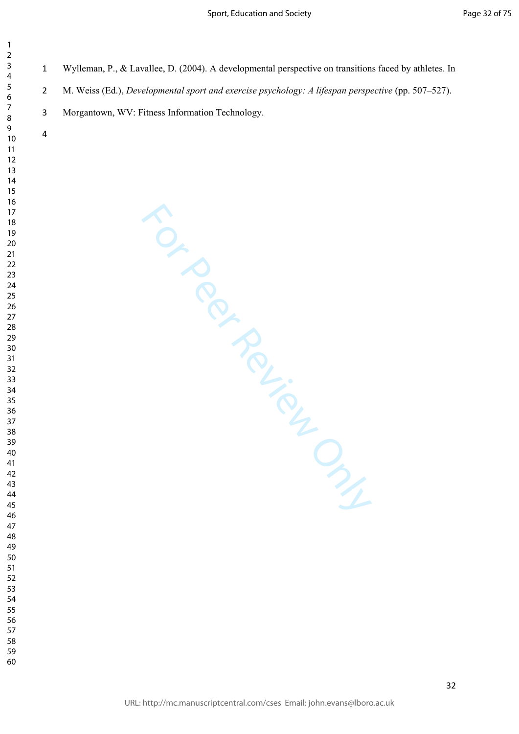- Wylleman, P., & Lavallee, D. (2004). A developmental perspective on transitions faced by athletes. In
- 2 M. Weiss (Ed.), *Developmental sport and exercise psychology: A lifespan perspective* (pp. 507–527).
- Morgantown, WV: Fitness Information Technology.

For Per Review Only

- 
-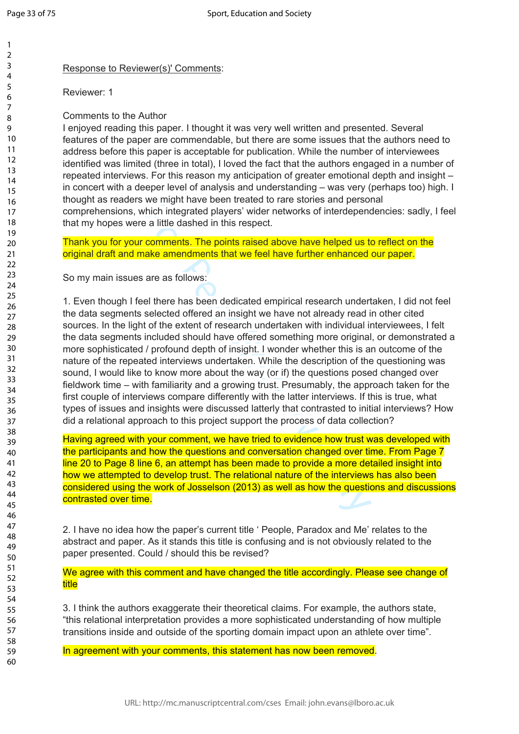59 60

Response to Reviewer(s)' Comments:

Reviewer: 1

Comments to the Author

I enjoyed reading this paper. I thought it was very well written and presented. Several features of the paper are commendable, but there are some issues that the authors need to address before this paper is acceptable for publication. While the number of interviewees identified was limited (three in total), I loved the fact that the authors engaged in a number of repeated interviews. For this reason my anticipation of greater emotional depth and insight – in concert with a deeper level of analysis and understanding – was very (perhaps too) high. I thought as readers we might have been treated to rare stories and personal comprehensions, which integrated players' wider networks of interdependencies: sadly, I feel that my hopes were a little dashed in this respect.

Thank you for your comments. The points raised above have helped us to reflect on the original draft and make amendments that we feel have further enhanced our paper.

So my main issues are as follows:

which integrated players' wider networks of interdepend<br>
e a little dashed in this respect.<br>
Comments. The points raised above have helped us to<br>
rake amendments that we feel have further enhanced<br>
are as follows:<br>
eel the 1. Even though I feel there has been dedicated empirical research undertaken, I did not feel the data segments selected offered an insight we have not already read in other cited sources. In the light of the extent of research undertaken with individual interviewees, I felt the data segments included should have offered something more original, or demonstrated a more sophisticated / profound depth of insight. I wonder whether this is an outcome of the nature of the repeated interviews undertaken. While the description of the questioning was sound, I would like to know more about the way (or if) the questions posed changed over fieldwork time – with familiarity and a growing trust. Presumably, the approach taken for the first couple of interviews compare differently with the latter interviews. If this is true, what types of issues and insights were discussed latterly that contrasted to initial interviews? How did a relational approach to this project support the process of data collection?

Having agreed with your comment, we have tried to evidence how trust was developed with the participants and how the questions and conversation changed over time. From Page 7 line 20 to Page 8 line 6, an attempt has been made to provide a more detailed insight into how we attempted to develop trust. The relational nature of the interviews has also been considered using the work of Josselson (2013) as well as how the questions and discussions contrasted over time.

2. I have no idea how the paper's current title ' People, Paradox and Me' relates to the abstract and paper. As it stands this title is confusing and is not obviously related to the paper presented. Could / should this be revised?

We agree with this comment and have changed the title accordingly. Please see change of title

3. I think the authors exaggerate their theoretical claims. For example, the authors state, "this relational interpretation provides a more sophisticated understanding of how multiple transitions inside and outside of the sporting domain impact upon an athlete over time".

In agreement with your comments, this statement has now been removed.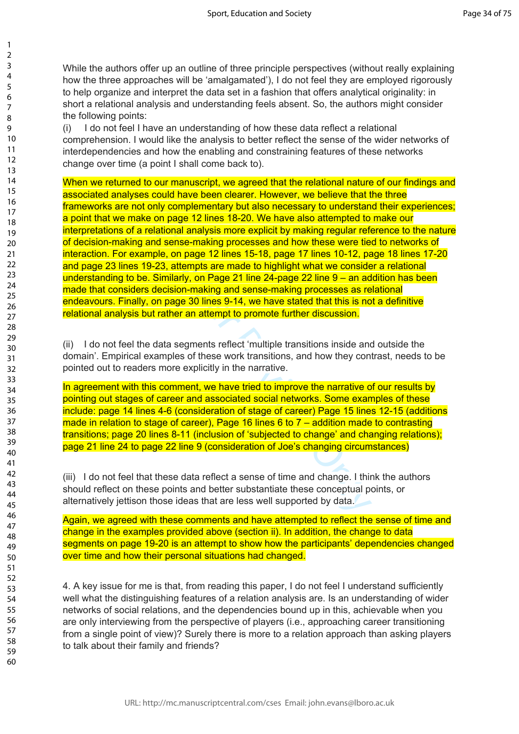While the authors offer up an outline of three principle perspectives (without really explaining how the three approaches will be 'amalgamated'), I do not feel they are employed rigorously to help organize and interpret the data set in a fashion that offers analytical originality: in short a relational analysis and understanding feels absent. So, the authors might consider the following points:

(i) I do not feel I have an understanding of how these data reflect a relational comprehension. I would like the analysis to better reflect the sense of the wider networks of interdependencies and how the enabling and constraining features of these networks change over time (a point I shall come back to).

t only complementary but also necessary to understanke on page 12 lines 18-20. We have also attempted to relational analysis more explicit by making regular referred and sense-making processes and how these were tie ample, When we returned to our manuscript, we agreed that the relational nature of our findings and associated analyses could have been clearer. However, we believe that the three frameworks are not only complementary but also necessary to understand their experiences; a point that we make on page 12 lines 18-20. We have also attempted to make our interpretations of a relational analysis more explicit by making regular reference to the nature of decision-making and sense-making processes and how these were tied to networks of interaction. For example, on page 12 lines 15-18, page 17 lines 10-12, page 18 lines 17-20 and page 23 lines 19-23, attempts are made to highlight what we consider a relational understanding to be. Similarly, on Page 21 line 24-page 22 line 9 – an addition has been made that considers decision-making and sense-making processes as relational endeavours. Finally, on page 30 lines 9-14, we have stated that this is not a definitive relational analysis but rather an attempt to promote further discussion.

(ii) I do not feel the data segments reflect 'multiple transitions inside and outside the domain'. Empirical examples of these work transitions, and how they contrast, needs to be pointed out to readers more explicitly in the narrative.

In agreement with this comment, we have tried to improve the narrative of our results by pointing out stages of career and associated social networks. Some examples of these include: page 14 lines 4-6 (consideration of stage of career) Page 15 lines 12-15 (additions made in relation to stage of career), Page 16 lines 6 to 7 – addition made to contrasting transitions; page 20 lines 8-11 (inclusion of 'subjected to change' and changing relations); page 21 line 24 to page 22 line 9 (consideration of Joe's changing circumstances)

(iii) I do not feel that these data reflect a sense of time and change. I think the authors should reflect on these points and better substantiate these conceptual points, or alternatively jettison those ideas that are less well supported by data.

Again, we agreed with these comments and have attempted to reflect the sense of time and change in the examples provided above (section ii). In addition, the change to data segments on page 19-20 is an attempt to show how the participants' dependencies changed over time and how their personal situations had changed.

4. A key issue for me is that, from reading this paper, I do not feel I understand sufficiently well what the distinguishing features of a relation analysis are. Is an understanding of wider networks of social relations, and the dependencies bound up in this, achievable when you are only interviewing from the perspective of players (i.e., approaching career transitioning from a single point of view)? Surely there is more to a relation approach than asking players to talk about their family and friends?

 $\mathbf{1}$  $\overline{2}$  $\overline{3}$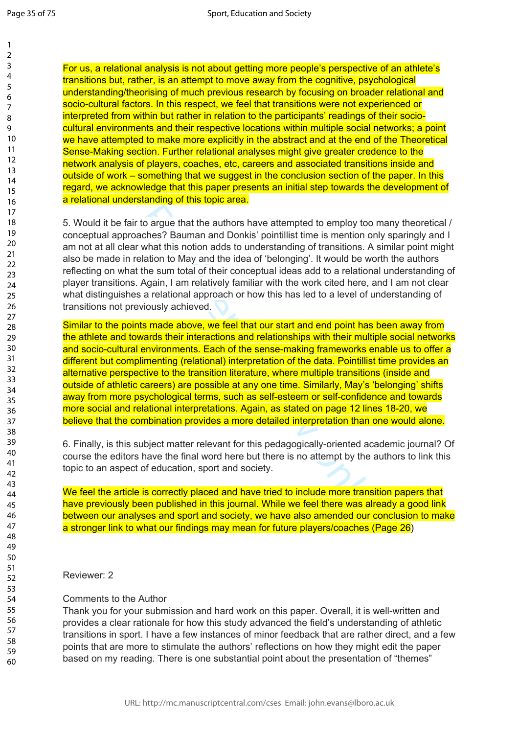For us, a relational analysis is not about getting more people's perspective of an athlete's transitions but, rather, is an attempt to move away from the cognitive, psychological understanding/theorising of much previous research by focusing on broader relational and socio-cultural factors. In this respect, we feel that transitions were not experienced or interpreted from within but rather in relation to the participants' readings of their sociocultural environments and their respective locations within multiple social networks; a point we have attempted to make more explicitly in the abstract and at the end of the Theoretical Sense-Making section. Further relational analyses might give greater credence to the network analysis of players, coaches, etc, careers and associated transitions inside and outside of work – something that we suggest in the conclusion section of the paper. In this regard, we acknowledge that this paper presents an initial step towards the development of a relational understanding of this topic area.

5. Would it be fair to argue that the authors have attempted to employ too many theoretical / conceptual approaches? Bauman and Donkis' pointillist time is mention only sparingly and I am not at all clear what this notion adds to understanding of transitions. A similar point might also be made in relation to May and the idea of 'belonging'. It would be worth the authors reflecting on what the sum total of their conceptual ideas add to a relational understanding of player transitions. Again, I am relatively familiar with the work cited here, and I am not clear what distinguishes a relational approach or how this has led to a level of understanding of transitions not previously achieved.

to argue that the authors have attempted to employ to ches? Bauman and Donkis' pointillist time is mention ches? Bauman and Donkis' pointillist time is mention chest and that this notion adds to understanding of transition Similar to the points made above, we feel that our start and end point has been away from the athlete and towards their interactions and relationships with their multiple social networks and socio-cultural environments. Each of the sense-making frameworks enable us to offer a different but complimenting (relational) interpretation of the data. Pointillist time provides an alternative perspective to the transition literature, where multiple transitions (inside and outside of athletic careers) are possible at any one time. Similarly, May's 'belonging' shifts away from more psychological terms, such as self-esteem or self-confidence and towards more social and relational interpretations. Again, as stated on page 12 lines 18-20, we believe that the combination provides a more detailed interpretation than one would alone.

6. Finally, is this subject matter relevant for this pedagogically-oriented academic journal? Of course the editors have the final word here but there is no attempt by the authors to link this topic to an aspect of education, sport and society.

We feel the article is correctly placed and have tried to include more transition papers that have previously been published in this journal. While we feel there was already a good link between our analyses and sport and society, we have also amended our conclusion to make a stronger link to what our findings may mean for future players/coaches (Page 26)

### Reviewer: 2

## Comments to the Author

Thank you for your submission and hard work on this paper. Overall, it is well-written and provides a clear rationale for how this study advanced the field's understanding of athletic transitions in sport. I have a few instances of minor feedback that are rather direct, and a few points that are more to stimulate the authors' reflections on how they might edit the paper based on my reading. There is one substantial point about the presentation of "themes"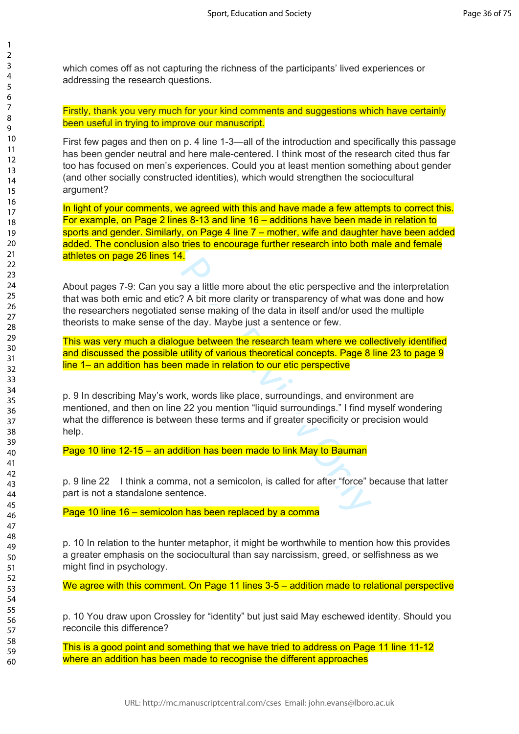which comes off as not capturing the richness of the participants' lived experiences or addressing the research questions.

Firstly, thank you very much for your kind comments and suggestions which have certainly been useful in trying to improve our manuscript.

First few pages and then on p. 4 line 1-3—all of the introduction and specifically this passage has been gender neutral and here male-centered. I think most of the research cited thus far too has focused on men's experiences. Could you at least mention something about gender (and other socially constructed identities), which would strengthen the sociocultural argument?

ments, we agreed with this and have made a few atterage 2 lines 8-13 and line 16 – additions have been mate Similarly, on Page 4 line 7 – mother, wife and daughtesion also tries to encourage further research into both 6 li In light of your comments, we agreed with this and have made a few attempts to correct this. For example, on Page 2 lines 8-13 and line 16 – additions have been made in relation to sports and gender. Similarly, on Page 4 line 7 – mother, wife and daughter have been added added. The conclusion also tries to encourage further research into both male and female athletes on page 26 lines 14.

About pages 7-9: Can you say a little more about the etic perspective and the interpretation that was both emic and etic? A bit more clarity or transparency of what was done and how the researchers negotiated sense making of the data in itself and/or used the multiple theorists to make sense of the day. Maybe just a sentence or few.

This was very much a dialogue between the research team where we collectively identified and discussed the possible utility of various theoretical concepts. Page 8 line 23 to page 9 line 1– an addition has been made in relation to our etic perspective

p. 9 In describing May's work, words like place, surroundings, and environment are mentioned, and then on line 22 you mention "liquid surroundings." I find myself wondering what the difference is between these terms and if greater specificity or precision would help.

Page 10 line 12-15 – an addition has been made to link May to Bauman

p. 9 line 22 I think a comma, not a semicolon, is called for after "force" because that latter part is not a standalone sentence.

Page 10 line 16 – semicolon has been replaced by a comma

p. 10 In relation to the hunter metaphor, it might be worthwhile to mention how this provides a greater emphasis on the sociocultural than say narcissism, greed, or selfishness as we might find in psychology.

We agree with this comment. On Page 11 lines 3-5 – addition made to relational perspective

p. 10 You draw upon Crossley for "identity" but just said May eschewed identity. Should you reconcile this difference?

This is a good point and something that we have tried to address on Page 11 line 11-12 where an addition has been made to recognise the different approaches

 $\mathbf{1}$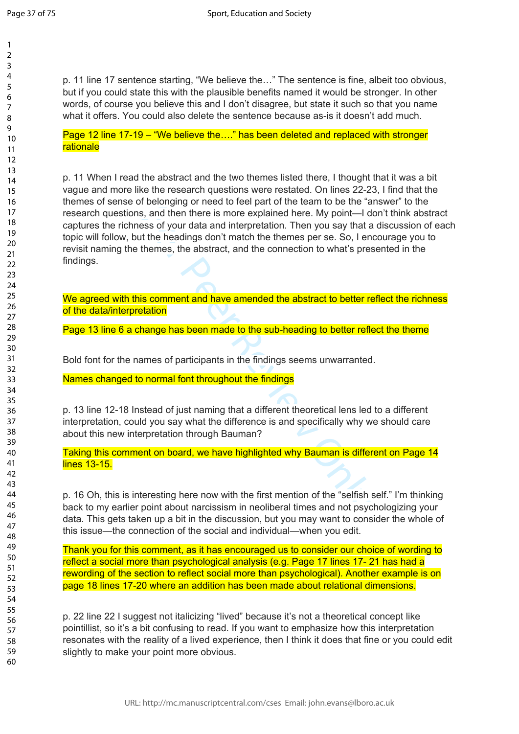123456789

 $\mathbf{1}$  $\overline{2}$  $\overline{3}$  $\overline{4}$ 5 6  $\overline{7}$ 8  $\mathsf{o}$ 

p. 11 line 17 sentence starting, "We believe the…" The sentence is fine, albeit too obvious, but if you could state this with the plausible benefits named it would be stronger. In other words, of course you believe this and I don't disagree, but state it such so that you name what it offers. You could also delete the sentence because as-is it doesn't add much.

Page 12 line 17-19 – "We believe the…." has been deleted and replaced with stronger rationale

For Peer and the first mention of the "selfish"<br>
For all then there is more explained here. My point—I dess of your data and interpretation. Then you say that<br>
for the headings don't match the themes per se. So, I en<br>
them p. 11 When I read the abstract and the two themes listed there, I thought that it was a bit vague and more like the research questions were restated. On lines 22-23, I find that the themes of sense of belonging or need to feel part of the team to be the "answer" to the research questions, and then there is more explained here. My point—I don't think abstract captures the richness of your data and interpretation. Then you say that a discussion of each topic will follow, but the headings don't match the themes per se. So, I encourage you to revisit naming the themes, the abstract, and the connection to what's presented in the findings.

We agreed with this comment and have amended the abstract to better reflect the richness of the data/interpretation

Page 13 line 6 a change has been made to the sub-heading to better reflect the theme

Bold font for the names of participants in the findings seems unwarranted.

Names changed to normal font throughout the findings

p. 13 line 12-18 Instead of just naming that a different theoretical lens led to a different interpretation, could you say what the difference is and specifically why we should care about this new interpretation through Bauman?

Taking this comment on board, we have highlighted why Bauman is different on Page 14 lines 13-15.

p. 16 Oh, this is interesting here now with the first mention of the "selfish self." I'm thinking back to my earlier point about narcissism in neoliberal times and not psychologizing your data. This gets taken up a bit in the discussion, but you may want to consider the whole of this issue—the connection of the social and individual—when you edit.

Thank you for this comment, as it has encouraged us to consider our choice of wording to reflect a social more than psychological analysis (e.g. Page 17 lines 17- 21 has had a rewording of the section to reflect social more than psychological). Another example is on page 18 lines 17-20 where an addition has been made about relational dimensions.

p. 22 line 22 I suggest not italicizing "lived" because it's not a theoretical concept like pointillist, so it's a bit confusing to read. If you want to emphasize how this interpretation resonates with the reality of a lived experience, then I think it does that fine or you could edit slightly to make your point more obvious.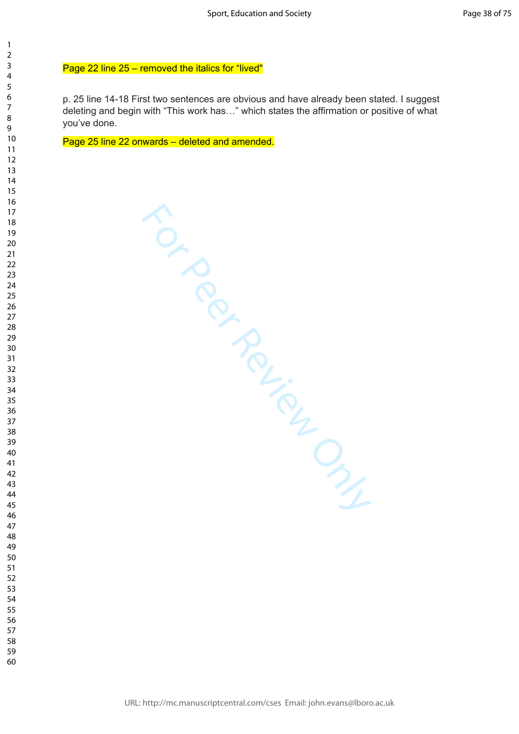### Page 22 line 25 – removed the italics for "lived"

p. 25 line 14-18 First two sentences are obvious and have already been stated. I suggest deleting and begin with "This work has…" which states the affirmation or positive of what you've done.

Page 25 line 22 onwards – deleted and amended.

Section distribution distribution distribution distribution distribution distribution distribution distribution distribution distribution distribution distribution distribution distribution distribution distribution distri

 $\mathbf{1}$  $\overline{2}$  $\overline{3}$  $\overline{4}$  $\overline{7}$  $\mathsf{o}$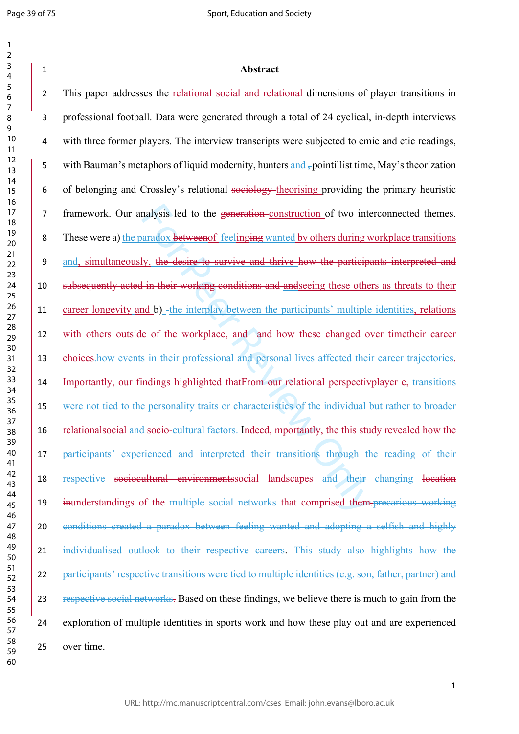| 1                       |                              |  |
|-------------------------|------------------------------|--|
| フ                       |                              |  |
| 3                       |                              |  |
| 4                       |                              |  |
| 5                       |                              |  |
| б                       |                              |  |
| 7                       |                              |  |
| 8                       |                              |  |
| )<br>$\mathbf$          |                              |  |
|                         | 10                           |  |
|                         |                              |  |
| 1                       | $\mathbf{1}$                 |  |
| $\mathbf{1}$            | フ                            |  |
|                         | 13                           |  |
|                         | $\overline{14}$              |  |
|                         | 15                           |  |
|                         | 16                           |  |
| 1                       |                              |  |
|                         | 18                           |  |
|                         | 19                           |  |
|                         | 20                           |  |
|                         | $\overline{21}$              |  |
| $\overline{2}$          | C                            |  |
|                         | $^{23}$                      |  |
|                         | 24                           |  |
|                         | 25                           |  |
|                         |                              |  |
|                         | 26                           |  |
|                         | 27                           |  |
|                         | 28                           |  |
|                         | 29                           |  |
|                         | 30                           |  |
|                         | $\overline{31}$              |  |
| $\overline{\mathbf{3}}$ | ,                            |  |
| $\overline{\mathbf{3}}$ | ξ                            |  |
| $\overline{\mathbf{3}}$ | 4                            |  |
|                         | 35                           |  |
|                         | 36                           |  |
|                         | 37                           |  |
|                         | $\overline{\mathbf{S}}$<br>₹ |  |
|                         |                              |  |
|                         | 39                           |  |
|                         | 40                           |  |
| 41                      |                              |  |
| 4                       | C                            |  |
| 4                       | 3                            |  |
| 44                      |                              |  |
| 45                      |                              |  |
| 46                      |                              |  |
| 4                       |                              |  |
| 48                      |                              |  |
| 49                      |                              |  |
| 50                      |                              |  |
| 51                      |                              |  |
| 5                       | $\overline{c}$               |  |
| 5.                      |                              |  |
|                         | 3                            |  |
| 54                      |                              |  |
| 55                      |                              |  |
| 56                      |                              |  |
| 5                       |                              |  |
|                         | 58                           |  |
| 59                      |                              |  |

malysis led to the generation-construction of two internations and and and and by others during we used to survive and thrive how the participal with their working conditions and and seeing these other domestion of the int 2 This paper addresses the relational-social and relational dimensions of player transitions in professional football. Data were generated through a total of 24 cyclical, in-depth interviews with three former players. The interview transcripts were subjected to emic and etic readings, 5 with Bauman's metaphors of liquid modernity, hunters and -pointillist time, May's theorization of belonging and Crossley's relational sociology theorising providing the primary heuristic framework. Our analysis led to the generation construction of two interconnected themes. These were a) the paradox betweenof feelinging wanted by others during workplace transitions and, simultaneously, the desire to survive and thrive how the participants interpreted and subsequently acted in their working conditions and andseeing these others as threats to their 11 career longevity and b) -the interplay between the participants' multiple identities, relations 12 with others outside of the workplace, and and how these changed over timetheir career 13 choices how events in their professional and personal lives affected their career trajectories. 14 Importantly, our findings highlighted that From our relational perspectivplayer e, transitions were not tied to the personality traits or characteristics of the individual but rather to broader 16 relationalsocial and socio-cultural factors. Indeed, mportantly, the this study revealed how the participants' experienced and interpreted their transitions through the reading of their respective sociocultural environmentssocial landscapes and their changing location 19 inunderstandings of the multiple social networks that comprised them.precarious working conditions created a paradox between feeling wanted and adopting a selfish and highly individualised outlook to their respective careers . This study also highlights how the participants' respective transitions were tied to multiple identities (e.g. son, father, partner) and 23 respective social networks. Based on these findings, we believe there is much to gain from the exploration of multiple identities in sports work and how these play out and are experienced over time.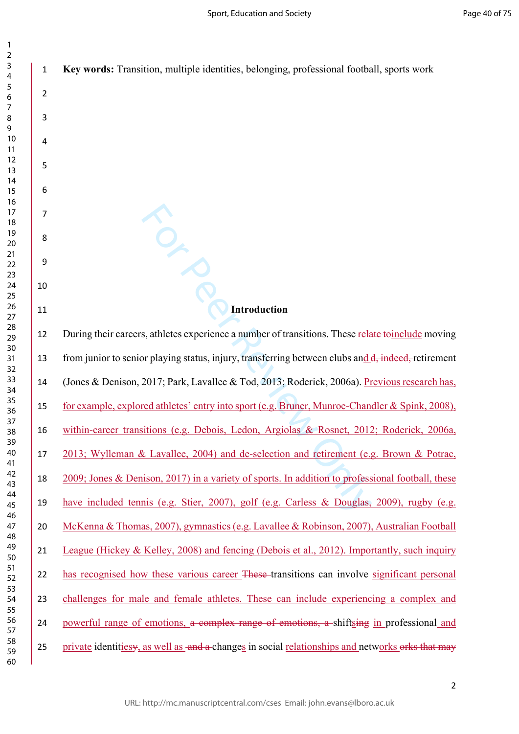| 1              | Key words: Transition, multiple identities, belonging, professional football, sports work          |
|----------------|----------------------------------------------------------------------------------------------------|
| $\overline{2}$ |                                                                                                    |
| 3              |                                                                                                    |
| 4              |                                                                                                    |
| 5              |                                                                                                    |
| 6              |                                                                                                    |
| 7              |                                                                                                    |
| 8              |                                                                                                    |
| 9              |                                                                                                    |
| 10             |                                                                                                    |
| 11             | Introduction                                                                                       |
| 12             | During their careers, athletes experience a number of transitions. These relate to include moving  |
| 13             | from junior to senior playing status, injury, transferring between clubs and d, indeed, retirement |
| 14             | (Jones & Denison, 2017; Park, Lavallee & Tod, 2013; Roderick, 2006a). Previous research has,       |
| 15             | for example, explored athletes' entry into sport (e.g. Bruner, Munroe-Chandler & Spink, 2008),     |
| 16             | within-career transitions (e.g. Debois, Ledon, Argiolas & Rosnet, 2012; Roderick, 2006a,           |
| 17             | 2013; Wylleman & Lavallee, 2004) and de-selection and retirement (e.g. Brown & Potrac,             |
| 18             | 2009; Jones & Denison, 2017) in a variety of sports. In addition to professional football, these   |
| 19             | have included tennis (e.g. Stier, 2007), golf (e.g. Carless & Douglas, 2009), rugby (e.g.          |
| 20             | McKenna & Thomas, 2007), gymnastics (e.g. Lavallee & Robinson, 2007), Australian Football          |
| 21             | League (Hickey & Kelley, 2008) and fencing (Debois et al., 2012). Importantly, such inquiry        |
| 22             | has recognised how these various career These-transitions can involve significant personal         |
| 23             | challenges for male and female athletes. These can include experiencing a complex and              |
| 24             | powerful range of emotions, a complex range of emotions, a shiftsing in professional and           |
| 25             | private identitiesy, as well as and a changes in social relationships and networks orks that may   |
|                |                                                                                                    |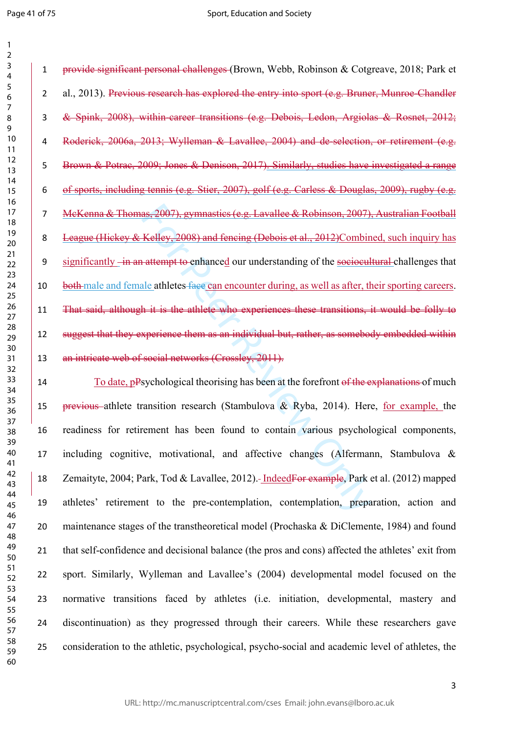as, 2007), gymnasties (e.g. Lavallee & Robinson, 2007),<br>Kelley, 2008) and fencing (Debois et al., 2012)Combin<br>attempt to enhanced our understanding of the socioculal<br>ale athletes face can encounter during, as well as after provide significant personal challenges (Brown, Webb, Robinson & Cotgreave, 2018; Park et 2 al., 2013). Previous research has explored the entry into sport (e.g. Bruner, Munroe-Chandler & Spink, 2008), within-career transitions (e.g. Debois, Ledon, Argiolas & Rosnet, 2012; Roderick, 2006a, 2013; Wylleman & Lavallee, 2004) and de-selection, or retirement (e.g. Brown & Potrac, 2009; Jones & Denison, 2017). Similarly, studies have investigated a range of sports, including tennis (e.g. Stier, 2007), golf (e.g. Carless & Douglas, 2009), rugby (e.g. McKenna & Thomas, 2007), gymnastics (e.g. Lavallee & Robinson, 2007), Australian Football League (Hickey & Kelley, 2008) and fencing (Debois et al., 2012)Combined, such inquiry has 9 significantly -in an attempt to enhanced our understanding of the sociocultural challenges that 10 both male and female athletes face can encounter during, as well as after, their sporting careers. That said, although it is the athlete who experiences these transitions, it would be folly to 12 suggest that they experience them as an individual but, rather, as somebody embedded within 13 an intricate web of social networks (Crossley, 2011).

14 To date, pPsychological theorising has been at the forefront of the explanations of much 15 previous athlete transition research (Stambulova  $\&$  Ryba, 2014). Here, for example, the readiness for retirement has been found to contain various psychological components, including cognitive, motivational, and affective changes (Alfermann, Stambulova & Zemaityte, 2004; Park, Tod & Lavallee, 2012). IndeedFor example, Park et al. (2012) mapped athletes' retirement to the pre-contemplation, contemplation, preparation, action and maintenance stages of the transtheoretical model (Prochaska & DiClemente, 1984) and found that self-confidence and decisional balance (the pros and cons) affected the athletes' exit from sport. Similarly, Wylleman and Lavallee's (2004) developmental model focused on the normative transitions faced by athletes (i.e. initiation, developmental, mastery and discontinuation) as they progressed through their careers. While these researchers gave consideration to the athletic, psychological, psycho-social and academic level of athletes, the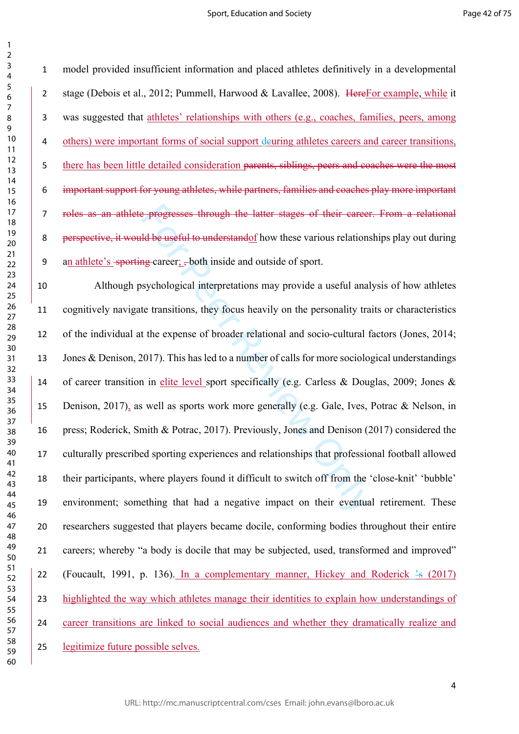$\mathbf{1}$  $\overline{2}$ 

 model provided insufficient information and placed athletes definitively in a developmental stage (Debois et al., 2012; Pummell, Harwood & Lavallee, 2008). HereFor example, while it was suggested that athletes' relationships with others (e.g., coaches, families, peers, among 4 others) were important forms of social support deuring athletes careers and career transitions, there has been little detailed consideration parents, siblings, peers and coaches were the most important support for young athletes, while partners, families and coaches play more important roles as an athlete progresses through the latter stages of their career. From a relational perspective, it would be useful to understandof how these various relationships play out during 9 an athlete's -sporting-career; ,-both inside and outside of sport.

**Example 18 EV and FI and FI and FI and FI and FI and FI and FI and FI and FI and FI and FI and FI and FI and FI and FI and FI and FI and FI and FI and FI and FI and FI and FI and FI and FI and FI and FI and FI and FI and**  Although psychological interpretations may provide a useful analysis of how athletes cognitively navigate transitions, they focus heavily on the personality traits or characteristics of the individual at the expense of broader relational and socio-cultural factors (Jones, 2014; Jones & Denison, 2017). This has led to a number of calls for more sociological understandings of career transition in elite level sport specifically (e.g. Carless & Douglas, 2009; Jones & 15 Denison, 2017), as well as sports work more generally (e.g. Gale, Ives, Potrac & Nelson, in press; Roderick, Smith & Potrac, 2017). Previously, Jones and Denison (2017) considered the culturally prescribed sporting experiences and relationships that professional football allowed their participants, where players found it difficult to switch off from the 'close-knit' 'bubble' environment; something that had a negative impact on their eventual retirement. These researchers suggested that players became docile, conforming bodies throughout their entire careers; whereby "a body is docile that may be subjected, used, transformed and improved" 22 (Foucault, 1991, p. 136). In a complementary manner, Hickey and Roderick  $\frac{1}{5}$  (2017) highlighted the way which athletes manage their identities to explain how understandings of career transitions are linked to social audiences and whether they dramatically realize and legitimize future possible selves.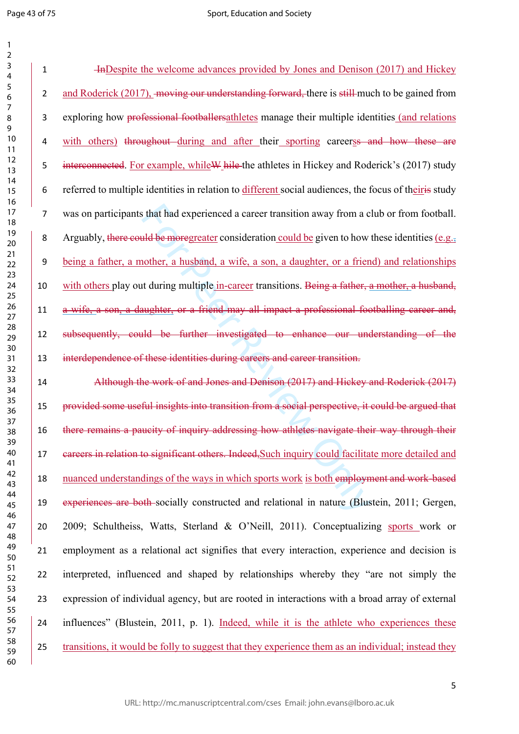$\mathbf{1}$  $\overline{2}$ 

It is that had experienced a career transition away from a c<br>
and be more<br>
graded to more and the substantian could be given to how<br>
nother, a husband, a wife, a son, a daughter, or a frien<br>
at during multiple in-career tr InDespite the welcome advances provided by Jones and Denison (2017) and Hickey 2 and Roderick (2017), moving our understanding forward, there is still much to be gained from exploring how professional footballersathletes manage their multiple identities (and relations 4 with others) throughout during and after their sporting careers and how these are 5 interconnected. For example, while W hile the athletes in Hickey and Roderick's (2017) study referred to multiple identities in relation to different social audiences, the focus of theiris study was on participants that had experienced a career transition away from a club or from football. 8 Arguably, there could be moregreater consideration could be given to how these identities (e.g., being a father, a mother, a husband, a wife, a son, a daughter, or a friend) and relationships 10 with others play out during multiple in-career transitions. Being a father, a mother, a husband, a wife, a son, a daughter, or a friend may all impact a professional footballing career and, subsequently, could be further investigated to enhance our understanding of the interdependence of these identities during careers and career transition.

 Although the work of and Jones and Denison (2017) and Hickey and Roderick (2017) provided some useful insights into transition from a social perspective, it could be argued that there remains a paucity of inquiry addressing how athletes navigate their way through their 17 eareers in relation to significant others. Indeed, Such inquiry could facilitate more detailed and nuanced understandings of the ways in which sports work is both employment and work-based experiences are both socially constructed and relational in nature (Blustein, 2011; Gergen, 2009; Schultheiss, Watts, Sterland & O'Neill, 2011). Conceptualizing sports work or employment as a relational act signifies that every interaction, experience and decision is interpreted, influenced and shaped by relationships whereby they "are not simply the expression of individual agency, but are rooted in interactions with a broad array of external influences" (Blustein, 2011, p. 1). Indeed, while it is the athlete who experiences these transitions, it would be folly to suggest that they experience them as an individual; instead they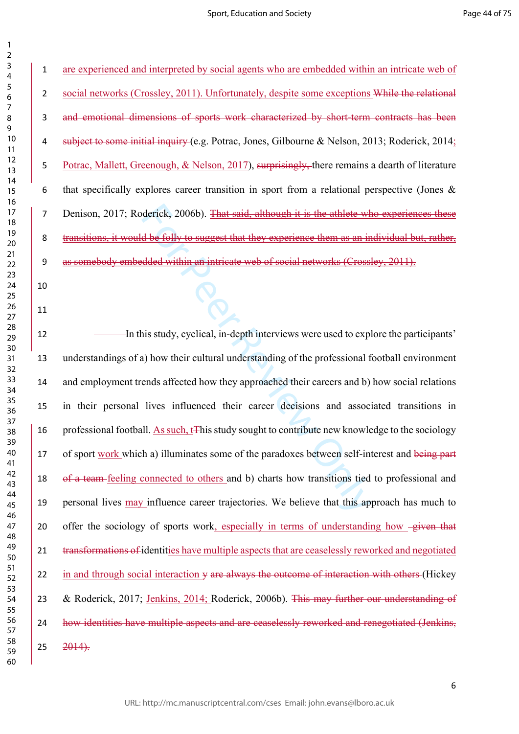are experienced and interpreted by social agents who are embedded within an intricate web of 2 social networks (Crossley, 2011). Unfortunately, despite some exceptions While the relational and emotional dimensions of sports work characterized by short-term contracts has been subject to some initial inquiry (e.g. Potrac, Jones, Gilbourne & Nelson, 2013; Roderick, 2014; Potrac, Mallett, Greenough, & Nelson, 2017), surprisingly, there remains a dearth of literature that specifically explores career transition in sport from a relational perspective (Jones & 7 Denison, 2017; Roderick, 2006b). That said, although it is the athlete who experiences these transitions, it would be folly to suggest that they experience them as an individual but, rather, as somebody embedded within an intricate web of social networks (Crossley, 2011).

derick, 2006b). <del>That said, although it is the athlete where</del><br> **Example 18 and Although it is the athlete where the as an indeed within an intricate web of social networks (Crossis<br>
indeed within an intricate web of social In this study, cyclical, in-depth interviews were used to explore the participants'**  understandings of a) how their cultural understanding of the professional football environment and employment trends affected how they approached their careers and b) how social relations in their personal lives influenced their career decisions and associated transitions in 16 professional football. As such, t<sup>he</sup> study sought to contribute new knowledge to the sociology 17 of sport work which a) illuminates some of the paradoxes between self-interest and being part 18 of a team-feeling connected to others and b) charts how transitions tied to professional and personal lives may influence career trajectories. We believe that this approach has much to 20 offer the sociology of sports work, especially in terms of understanding how -given that 21 transformations of identities have multiple aspects that are ceaselessly reworked and negotiated 22 in and through social interaction  $\psi$  are always the outcome of interaction with others (Hickey & Roderick, 2017; Jenkins, 2014; Roderick, 2006b). This may further our understanding of 24 how identities have multiple aspects and are ceaselessly reworked and renegotiated (Jenkins,  $25 \quad 2014$ .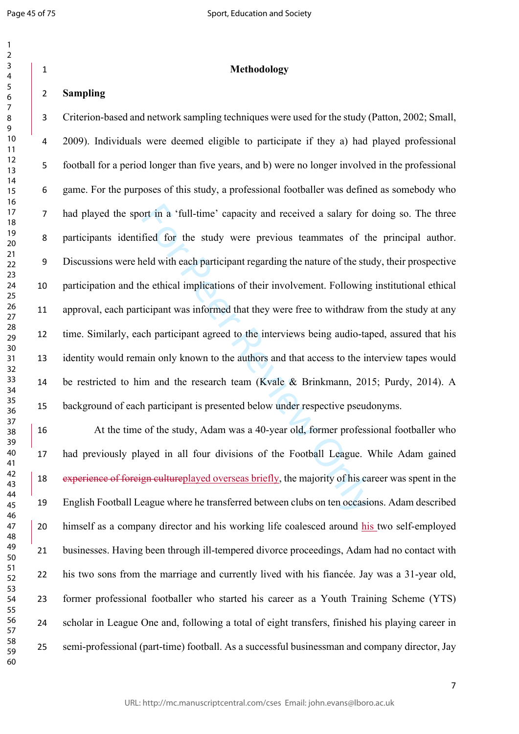$\mathbf{1}$  $\overline{2}$ 

| 1                                |
|----------------------------------|
| 2                                |
| 3                                |
| 4                                |
| 5                                |
| б                                |
| 7                                |
| 8                                |
| )<br>d                           |
| 10                               |
| 1<br>$\mathbf{1}$                |
| 1<br>フ                           |
| 13                               |
| $\overline{14}$                  |
| 15                               |
| 16                               |
| 1<br>7                           |
| 18                               |
| 19                               |
| 20                               |
| $\overline{21}$                  |
| $\overline{2}$<br>2              |
| 23                               |
| 24                               |
| 25                               |
| 26                               |
| 27                               |
| 28                               |
| 29                               |
|                                  |
| 30                               |
| $\overline{31}$                  |
| $\overline{\mathbf{3}}$<br>2     |
| $\overline{\mathbf{3}}$<br>ξ     |
| 3.<br>4                          |
| 35                               |
| 36                               |
| 37                               |
| şξ<br>ξ                          |
| 39                               |
| 40                               |
| 41                               |
| $\overline{c}$<br>$\overline{4}$ |
| 3<br>$\overline{4}$              |
| 44                               |
| 45                               |
| 46                               |
| 47                               |
| 48                               |
| 49                               |
| 50                               |
| 51                               |
| 5<br>$\overline{c}$              |
| 5.<br>ξ                          |
| 54                               |
| 55                               |
| 56                               |
| 57                               |
| 58                               |
| 59                               |
|                                  |

## **Methodology**

# **Sampling**

ort in a 'full-time' capacity and received a salary for<br>fied for the study were previous teammates of th<br>eld with each participant regarding the nature of the stu-<br>ne ethical implications of their involvement. Following<br>ic Criterion-based and network sampling techniques were used for the study (Patton, 2002; Small, 2009). Individuals were deemed eligible to participate if they a) had played professional football for a period longer than five years, and b) were no longer involved in the professional game. For the purposes of this study, a professional footballer was defined as somebody who had played the sport in a 'full-time' capacity and received a salary for doing so. The three participants identified for the study were previous teammates of the principal author. Discussions were held with each participant regarding the nature of the study, their prospective participation and the ethical implications of their involvement. Following institutional ethical approval, each participant was informed that they were free to withdraw from the study at any time. Similarly, each participant agreed to the interviews being audio-taped, assured that his identity would remain only known to the authors and that access to the interview tapes would be restricted to him and the research team (Kvale & Brinkmann, 2015; Purdy, 2014). A background of each participant is presented below under respective pseudonyms.

 At the time of the study, Adam was a 40-year old, former professional footballer who had previously played in all four divisions of the Football League. While Adam gained experience of foreign cultureplayed overseas briefly, the majority of his career was spent in the English Football League where he transferred between clubs on ten occasions. Adam described himself as a company director and his working life coalesced around his two self-employed businesses. Having been through ill-tempered divorce proceedings, Adam had no contact with his two sons from the marriage and currently lived with his fiancée. Jay was a 31-year old, former professional footballer who started his career as a Youth Training Scheme (YTS) scholar in League One and, following a total of eight transfers, finished his playing career in semi-professional (part-time) football. As a successful businessman and company director, Jay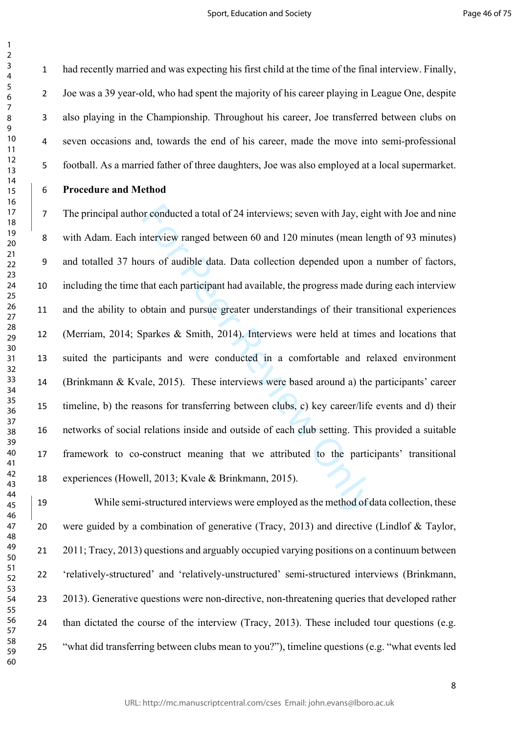$\mathbf{1}$  $\overline{2}$ 

 had recently married and was expecting his first child at the time of the final interview. Finally, Joe was a 39 year-old, who had spent the majority of his career playing in League One, despite also playing in the Championship. Throughout his career, Joe transferred between clubs on seven occasions and, towards the end of his career, made the move into semi-professional football. As a married father of three daughters, Joe was also employed at a local supermarket.

## **Procedure and Method**

or conducted a total of 24 interviews; seven with Jay, eignterview ranged between 60 and 120 minutes (mean lead urs of audible data. Data collection depended upon a that each participant had available, the progress made do The principal author conducted a total of 24 interviews; seven with Jay, eight with Joe and nine with Adam. Each interview ranged between 60 and 120 minutes (mean length of 93 minutes) and totalled 37 hours of audible data. Data collection depended upon a number of factors, including the time that each participant had available, the progress made during each interview and the ability to obtain and pursue greater understandings of their transitional experiences (Merriam, 2014; Sparkes & Smith, 2014). Interviews were held at times and locations that suited the participants and were conducted in a comfortable and relaxed environment (Brinkmann & Kvale, 2015). These interviews were based around a) the participants' career timeline, b) the reasons for transferring between clubs, c) key career/life events and d) their networks of social relations inside and outside of each club setting. This provided a suitable framework to co-construct meaning that we attributed to the participants' transitional experiences (Howell, 2013; Kvale & Brinkmann, 2015).

 While semi-structured interviews were employed as the method of data collection, these were guided by a combination of generative (Tracy, 2013) and directive (Lindlof & Taylor, 2011; Tracy, 2013) questions and arguably occupied varying positions on a continuum between 'relatively-structured' and 'relatively-unstructured' semi-structured interviews (Brinkmann, 2013). Generative questions were non-directive, non-threatening queries that developed rather 24 than dictated the course of the interview (Tracy, 2013). These included tour questions (e.g. "what did transferring between clubs mean to you?"), timeline questions (e.g. "what events led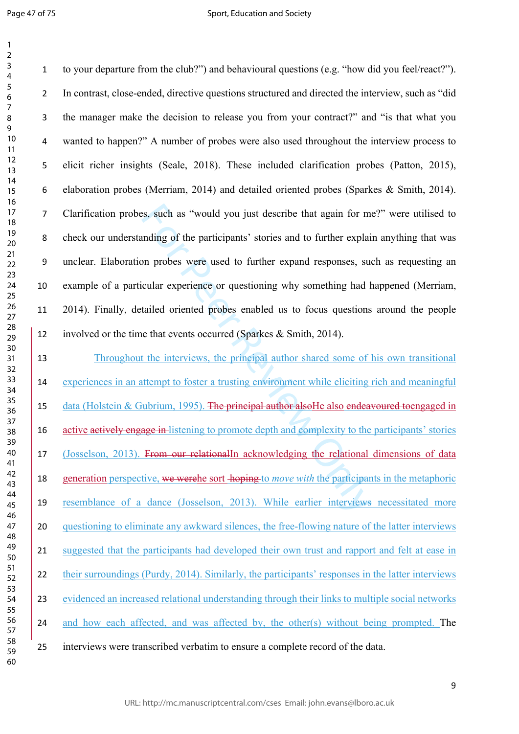is, such as "would you just describe that again for m<br>mding of the participants' stories and to further explain<br>on probes were used to further expand responses, su<br>cular experience or questioning why something had l<br>tailed to your departure from the club?") and behavioural questions (e.g. "how did you feel/react?"). In contrast, close-ended, directive questions structured and directed the interview, such as "did the manager make the decision to release you from your contract?" and "is that what you wanted to happen?" A number of probes were also used throughout the interview process to elicit richer insights (Seale, 2018). These included clarification probes (Patton, 2015), elaboration probes (Merriam, 2014) and detailed oriented probes (Sparkes & Smith, 2014). Clarification probes, such as "would you just describe that again for me?" were utilised to check our understanding of the participants' stories and to further explain anything that was unclear. Elaboration probes were used to further expand responses, such as requesting an example of a particular experience or questioning why something had happened (Merriam, 2014). Finally, detailed oriented probes enabled us to focus questions around the people 12 involved or the time that events occurred (Sparkes & Smith, 2014). Throughout the interviews, the principal author shared some of his own transitional 14 experiences in an attempt to foster a trusting environment while eliciting rich and meaningful 15 data (Holstein & Gubrium, 1995). The principal author also He also endeavoured toengaged in 16 active actively engage in-listening to promote depth and complexity to the participants' stories

(Josselson, 2013). From our relationalIn acknowledging the relational dimensions of data

generation perspective, we werehe sort hoping to *move with* the participants in the metaphoric

resemblance of a dance (Josselson, 2013). While earlier interviews necessitated more

questioning to eliminate any awkward silences, the free-flowing nature of the latter interviews

 suggested that the participants had developed their own trust and rapport and felt at ease in their surroundings (Purdy, 2014). Similarly, the participants' responses in the latter interviews

evidenced an increased relational understanding through their links to multiple social networks

24 and how each affected, and was affected by, the other(s) without being prompted. The

interviews were transcribed verbatim to ensure a complete record of the data.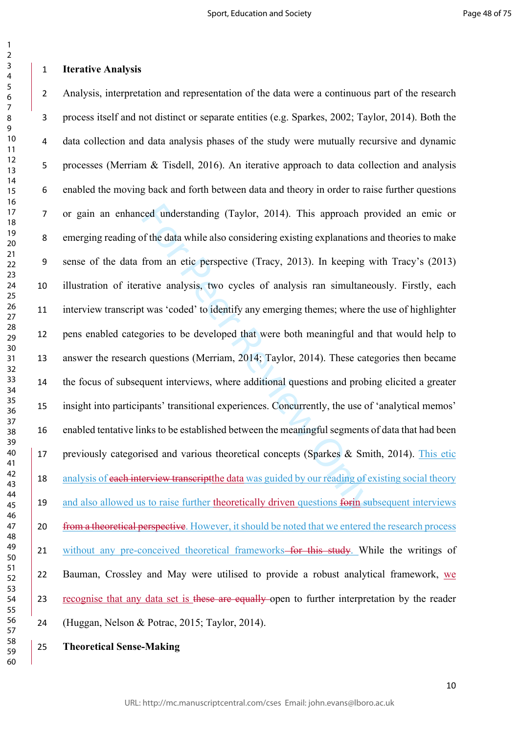### $\overline{3}$  $\overline{4}$  $\overline{7}$

 $\mathbf{1}$  $\overline{2}$ 

 

## **Iterative Analysis**

ced understanding (Taylor, 2014). This approach pro<br>f the data while also considering existing explanations a<br>from an etic perspective (Tracy, 2013). In keeping v<br>ative analysis, two cycles of analysis ran simultane<br>t was Analysis, interpretation and representation of the data were a continuous part of the research process itself and not distinct or separate entities (e.g. Sparkes, 2002; Taylor, 2014). Both the data collection and data analysis phases of the study were mutually recursive and dynamic processes (Merriam & Tisdell, 2016). An iterative approach to data collection and analysis enabled the moving back and forth between data and theory in order to raise further questions or gain an enhanced understanding (Taylor, 2014). This approach provided an emic or emerging reading of the data while also considering existing explanations and theories to make sense of the data from an etic perspective (Tracy, 2013). In keeping with Tracy's (2013) illustration of iterative analysis, two cycles of analysis ran simultaneously. Firstly, each interview transcript was 'coded' to identify any emerging themes; where the use of highlighter pens enabled categories to be developed that were both meaningful and that would help to answer the research questions (Merriam, 2014; Taylor, 2014). These categories then became the focus of subsequent interviews, where additional questions and probing elicited a greater insight into participants' transitional experiences. Concurrently, the use of 'analytical memos' enabled tentative links to be established between the meaningful segments of data that had been previously categorised and various theoretical concepts (Sparkes & Smith, 2014). This etic 18 analysis of each interview transcript the data was guided by our reading of existing social theory 19 and also allowed us to raise further theoretically driven questions form subsequent interviews 20 from a theoretical perspective. However, it should be noted that we entered the research process 21 without any pre-conceived theoretical frameworks–for this study. While the writings of Bauman, Crossley and May were utilised to provide a robust analytical framework, we 23 recognise that any data set is these are equally open to further interpretation by the reader (Huggan, Nelson & Potrac, 2015; Taylor, 2014).

**Theoretical Sense-Making**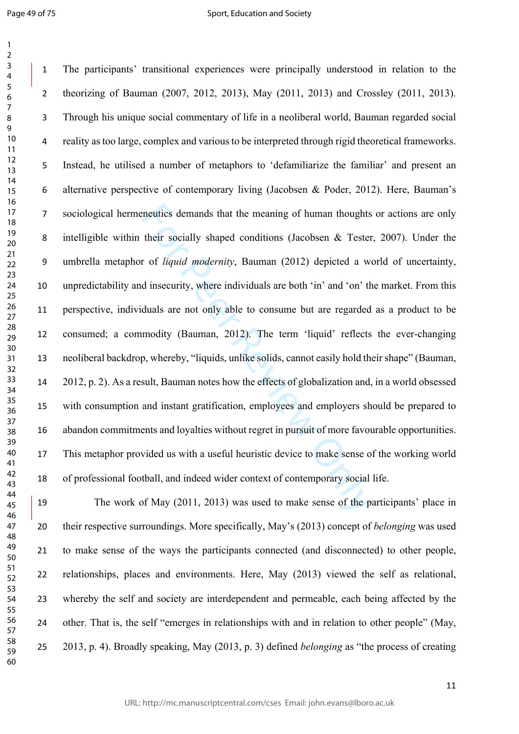$\mathbf{1}$  $\overline{2}$ 

meutics demands that the meaning of human thoughts<br>their socially shaped conditions (Jacobsen & Tester<br>r of *liquid modernity*, Bauman (2012) depicted a w<br>d insecurity, where individuals are both 'in' and 'on' th<br>duals are The participants' transitional experiences were principally understood in relation to the theorizing of Bauman (2007, 2012, 2013), May (2011, 2013) and Crossley (2011, 2013). Through his unique social commentary of life in a neoliberal world, Bauman regarded social reality as too large, complex and various to be interpreted through rigid theoretical frameworks. Instead, he utilised a number of metaphors to 'defamiliarize the familiar' and present an alternative perspective of contemporary living (Jacobsen & Poder, 2012). Here, Bauman's sociological hermeneutics demands that the meaning of human thoughts or actions are only intelligible within their socially shaped conditions (Jacobsen & Tester, 2007). Under the umbrella metaphor of *liquid modernity*, Bauman (2012) depicted a world of uncertainty, unpredictability and insecurity, where individuals are both 'in' and 'on' the market. From this perspective, individuals are not only able to consume but are regarded as a product to be consumed; a commodity (Bauman, 2012). The term 'liquid' reflects the ever-changing neoliberal backdrop, whereby, "liquids, unlike solids, cannot easily hold their shape" (Bauman, 2012, p. 2). As a result, Bauman notes how the effects of globalization and, in a world obsessed with consumption and instant gratification, employees and employers should be prepared to abandon commitments and loyalties without regret in pursuit of more favourable opportunities. This metaphor provided us with a useful heuristic device to make sense of the working world of professional football, and indeed wider context of contemporary social life.

 The work of May (2011, 2013) was used to make sense of the participants' place in their respective surroundings. More specifically, May's (2013) concept of *belonging* was used to make sense of the ways the participants connected (and disconnected) to other people, relationships, places and environments. Here, May (2013) viewed the self as relational, whereby the self and society are interdependent and permeable, each being affected by the other. That is, the self "emerges in relationships with and in relation to other people" (May, 2013, p. 4). Broadly speaking, May (2013, p. 3) defined *belonging* as "the process of creating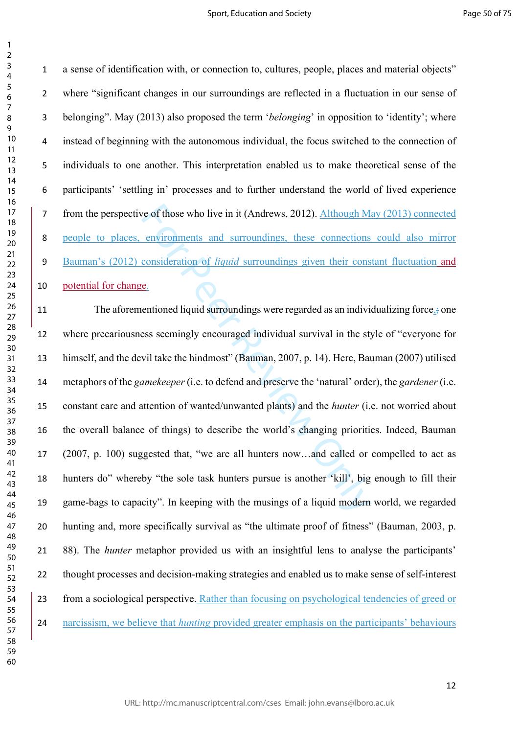$\mathbf{1}$ 

 a sense of identification with, or connection to, cultures, people, places and material objects" where "significant changes in our surroundings are reflected in a fluctuation in our sense of belonging". May (2013) also proposed the term '*belonging*' in opposition to 'identity'; where instead of beginning with the autonomous individual, the focus switched to the connection of individuals to one another. This interpretation enabled us to make theoretical sense of the participants' 'settling in' processes and to further understand the world of lived experience 7 from the perspective of those who live in it (Andrews, 2012). Although May (2013) connected people to places, environments and surroundings, these connections could also mirror Bauman's (2012) consideration of *liquid* surroundings given their constant fluctuation and potential for change.

For Peer Review Only 11 The aforementioned liquid surroundings were regarded as an individualizing force, one where precariousness seemingly encouraged individual survival in the style of "everyone for himself, and the devil take the hindmost" (Bauman, 2007, p. 14). Here, Bauman (2007) utilised metaphors of the *gamekeeper* (i.e. to defend and preserve the 'natural' order), the *gardener* (i.e. constant care and attention of wanted/unwanted plants) and the *hunter* (i.e. not worried about the overall balance of things) to describe the world's changing priorities. Indeed, Bauman (2007, p. 100) suggested that, "we are all hunters now…and called or compelled to act as hunters do" whereby "the sole task hunters pursue is another 'kill', big enough to fill their game-bags to capacity". In keeping with the musings of a liquid modern world, we regarded hunting and, more specifically survival as "the ultimate proof of fitness" (Bauman, 2003, p. 88). The *hunter* metaphor provided us with an insightful lens to analyse the participants' thought processes and decision-making strategies and enabled us to make sense of self-interest from a sociological perspective. Rather than focusing on psychological tendencies of greed or narcissism, we believe that *hunting* provided greater emphasis on the participants' behaviours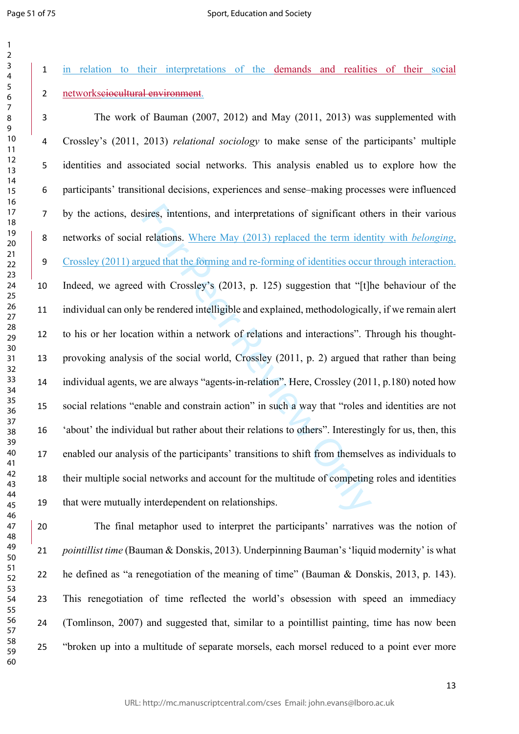in relation to their interpretations of the demands and realities of their social networksciocultural environment.

sires, intentions, and interpretations of significant oth<br>relations. Where May (2013) replaced the term iden<br>gued that the forming and re-forming of identities occur<br>with Crossley's (2013, p. 125) suggestion that "[t]]<br>be The work of Bauman (2007, 2012) and May (2011, 2013) was supplemented with Crossley's (2011, 2013) *relational sociology* to make sense of the participants' multiple identities and associated social networks. This analysis enabled us to explore how the participants' transitional decisions, experiences and sense–making processes were influenced by the actions, desires, intentions, and interpretations of significant others in their various networks of social relations. Where May (2013) replaced the term identity with *belonging*, Crossley (2011) argued that the forming and re-forming of identities occur through interaction. Indeed, we agreed with Crossley's (2013, p. 125) suggestion that "[t]he behaviour of the individual can only be rendered intelligible and explained, methodologically, if we remain alert to his or her location within a network of relations and interactions". Through his thought- provoking analysis of the social world, Crossley (2011, p. 2) argued that rather than being individual agents, we are always "agents-in-relation". Here, Crossley (2011, p.180) noted how social relations "enable and constrain action" in such a way that "roles and identities are not 'about' the individual but rather about their relations to others". Interestingly for us, then, this enabled our analysis of the participants' transitions to shift from themselves as individuals to their multiple social networks and account for the multitude of competing roles and identities that were mutually interdependent on relationships.

 The final metaphor used to interpret the participants' narratives was the notion of *pointillist time* (Bauman & Donskis, 2013). Underpinning Bauman's 'liquid modernity' is what he defined as "a renegotiation of the meaning of time" (Bauman & Donskis, 2013, p. 143). This renegotiation of time reflected the world's obsession with speed an immediacy (Tomlinson, 2007) and suggested that, similar to a pointillist painting, time has now been "broken up into a multitude of separate morsels, each morsel reduced to a point ever more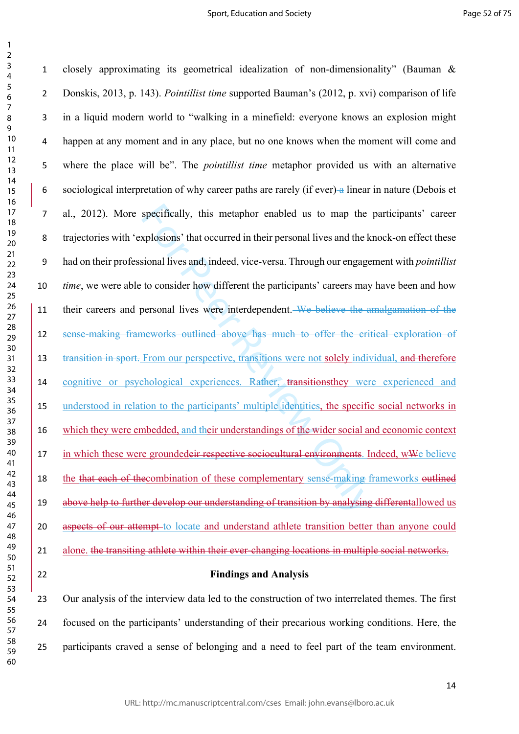$\mathbf{1}$ 

specifically, this metaphor enabled us to map the xplosions' that occurred in their personal lives and the k<br>sional lives and, indeed, vice-versa. Through our engage<br>to consider how different the participants' careers may<br> closely approximating its geometrical idealization of non-dimensionality" (Bauman & Donskis, 2013, p. 143). *Pointillist time* supported Bauman's (2012, p. xvi) comparison of life in a liquid modern world to "walking in a minefield: everyone knows an explosion might happen at any moment and in any place, but no one knows when the moment will come and where the place will be". The *pointillist time* metaphor provided us with an alternative sociological interpretation of why career paths are rarely (if ever) a linear in nature (Debois et al., 2012). More specifically, this metaphor enabled us to map the participants' career trajectories with 'explosions' that occurred in their personal lives and the knock-on effect these had on their professional lives and, indeed, vice-versa. Through our engagement with *pointillist time*, we were able to consider how different the participants' careers may have been and how 11 their careers and personal lives were interdependent. We believe the amalgamation of the sense-making frameworks outlined above has much to offer the critical exploration of 13 transition in sport. From our perspective, transitions were not solely individual, and therefore cognitive or psychological experiences. Rather, transitionsthey were experienced and understood in relation to the participants' multiple identities, the specific social networks in which they were embedded, and their understandings of the wider social and economic context 17 in which these were groundedeir respective sociocultural environments. Indeed, wWe believe 18 the that each of the combination of these complementary sense-making frameworks outlined 19 above help to further develop our understanding of transition by analysing differentallowed us 20 aspects of our attempt-to locate and understand athlete transition better than anyone could 21 alone, the transiting athlete within their ever-changing locations in multiple social networks. **Findings and Analysis**

 Our analysis of the interview data led to the construction of two interrelated themes. The first focused on the participants' understanding of their precarious working conditions. Here, the participants craved a sense of belonging and a need to feel part of the team environment.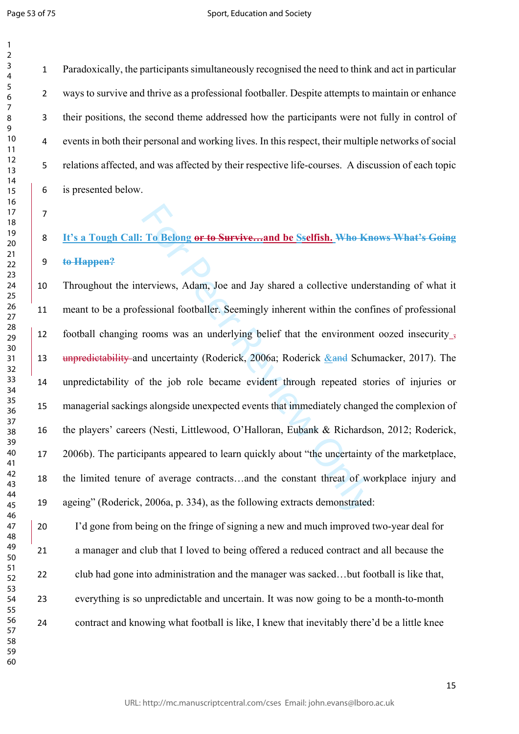Paradoxically, the participants simultaneously recognised the need to think and act in particular ways to survive and thrive as a professional footballer. Despite attempts to maintain or enhance their positions, the second theme addressed how the participants were not fully in control of events in both their personal and working lives. In this respect, their multiple networks of social relations affected, and was affected by their respective life-courses. A discussion of each topic is presented below.

 **It's a Tough Call: To Belong or to Survive…and be Sselfish. Who Knows What's Going to Happen?**

To Belong or to Survive....and be Sselfish. Who Knet<br>terviews, Adam, Joe and Jay shared a collective unde<br>essional footballer. Seemingly inherent within the controoms was an underlying belief that the environmen<br>or the pr Throughout the interviews, Adam, Joe and Jay shared a collective understanding of what it meant to be a professional footballer. Seemingly inherent within the confines of professional football changing rooms was an underlying belief that the environment oozed insecurity , 13 unpredictability and uncertainty (Roderick, 2006a; Roderick & and Schumacker, 2017). The unpredictability of the job role became evident through repeated stories of injuries or managerial sackings alongside unexpected events that immediately changed the complexion of the players' careers (Nesti, Littlewood, O'Halloran, Eubank & Richardson, 2012; Roderick, 2006b). The participants appeared to learn quickly about "the uncertainty of the marketplace, the limited tenure of average contracts…and the constant threat of workplace injury and ageing" (Roderick, 2006a, p. 334), as the following extracts demonstrated:

 I'd gone from being on the fringe of signing a new and much improved two-year deal for a manager and club that I loved to being offered a reduced contract and all because the club had gone into administration and the manager was sacked…but football is like that, everything is so unpredictable and uncertain. It was now going to be a month-to-month contract and knowing what football is like, I knew that inevitably there'd be a little knee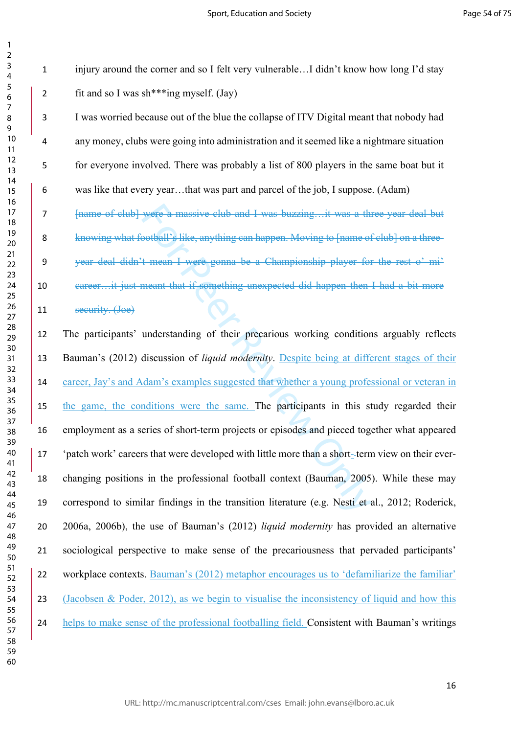$\mathbf{1}$  $\overline{2}$ 

 injury around the corner and so I felt very vulnerable…I didn't know how long I'd stay 2 fit and so I was sh\*\*\*ing myself.  $(Java)$ 

 I was worried because out of the blue the collapse of ITV Digital meant that nobody had any money, clubs were going into administration and it seemed like a nightmare situation for everyone involved. There was probably a list of 800 players in the same boat but it was like that every year…that was part and parcel of the job, I suppose. (Adam)

7 [name of club] were a massive club and I was buzzing...it was a three-year deal but knowing what football's like, anything can happen. Moving to [name of club] on a three- year deal didn't mean I were gonna be a Championship player for the rest o' mi' career…it just meant that if something unexpected did happen then I had a bit more

security. (Joe)

were a massive club and I was buzzing....it was a theoriball's like, anything can happen. Moving to [name of t mean I were gonna be a Championship player for meant that if something unexpected did happen then meant that if The participants' understanding of their precarious working conditions arguably reflects Bauman's (2012) discussion of *liquid modernity*. Despite being at different stages of their career, Jay's and Adam's examples suggested that whether a young professional or veteran in the game, the conditions were the same. The participants in this study regarded their employment as a series of short-term projects or episodes and pieced together what appeared 'patch work' careers that were developed with little more than a short- term view on their ever- changing positions in the professional football context (Bauman, 2005). While these may correspond to similar findings in the transition literature (e.g. Nesti et al., 2012; Roderick, 2006a, 2006b), the use of Bauman's (2012) *liquid modernity* has provided an alternative sociological perspective to make sense of the precariousness that pervaded participants' 22 workplace contexts. Bauman's (2012) metaphor encourages us to 'defamiliarize the familiar' 23 (Jacobsen & Poder, 2012), as we begin to visualise the inconsistency of liquid and how this helps to make sense of the professional footballing field. Consistent with Bauman's writings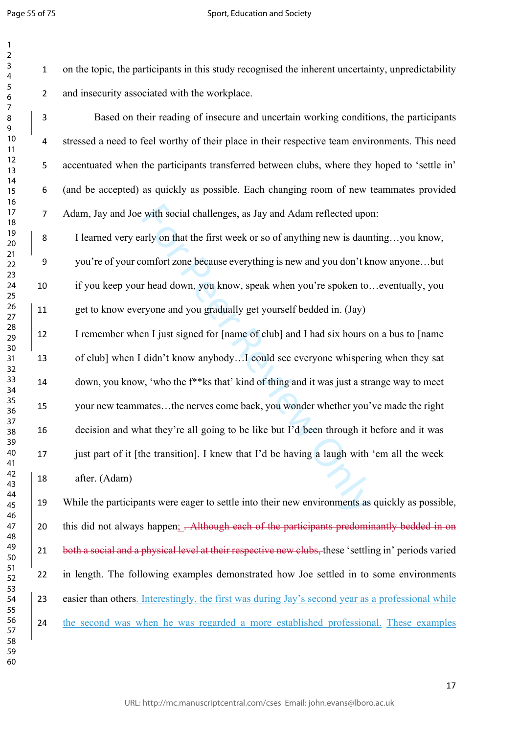$\mathbf{1}$  $\overline{2}$ 

#### Sport, Education and Society

 on the topic, the participants in this study recognised the inherent uncertainty, unpredictability and insecurity associated with the workplace.

 Based on their reading of insecure and uncertain working conditions, the participants stressed a need to feel worthy of their place in their respective team environments. This need accentuated when the participants transferred between clubs, where they hoped to 'settle in' (and be accepted) as quickly as possible. Each changing room of new teammates provided Adam, Jay and Joe with social challenges, as Jay and Adam reflected upon:

 I learned very early on that the first week or so of anything new is daunting…you know, you're of your comfort zone because everything is new and you don't know anyone…but if you keep your head down, you know, speak when you're spoken to…eventually, you get to know everyone and you gradually get yourself bedded in. (Jay)

with social challenges, as Jay and Adam reflected upor<br>arly on that the first week or so of anything new is daun<br>omfort zone because everything is new and you don't kr<br>r head down, you know, speak when you're spoken to.<br>ry I remember when I just signed for [name of club] and I had six hours on a bus to [name of club] when I didn't know anybody…I could see everyone whispering when they sat down, you know, 'who the f\*\*ks that' kind of thing and it was just a strange way to meet your new teammates…the nerves come back, you wonder whether you've made the right decision and what they're all going to be like but I'd been through it before and it was 17 just part of it [the transition]. I knew that I'd be having a laugh with 'em all the week after. (Adam)

 While the participants were eager to settle into their new environments as quickly as possible, 20 this did not always happen; <del>. Although each of the participants predominantly bedded in on</del> 21 both a social and a physical level at their respective new clubs, these 'settling in' periods varied in length. The following examples demonstrated how Joe settled in to some environments 23 easier than others. Interestingly, the first was during Jay's second year as a professional while the second was when he was regarded a more established professional. These examples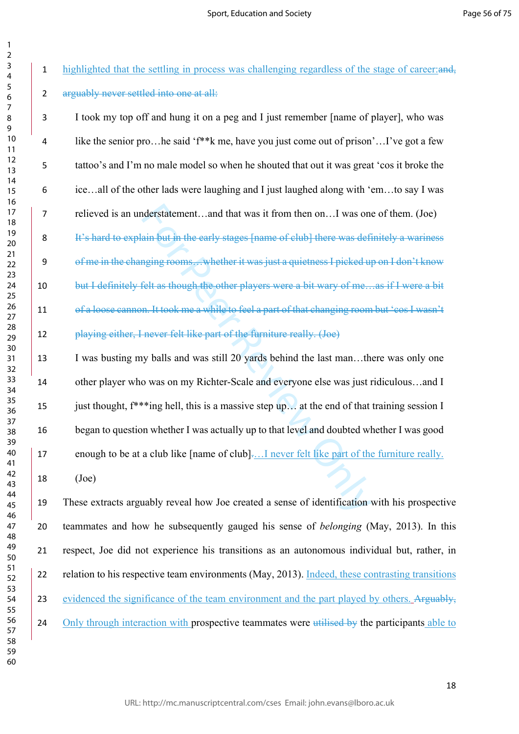1 highlighted that the settling in process was challenging regardless of the stage of career: 2 arguably never settled into one at all:

nderstatement...and that was it from then on...I was one<br>ain but in the early stages [name of club] there was definging rooms...whether it was just a quietness I picked up<br>felt as though the other players were a bit wary o I took my top off and hung it on a peg and I just remember [name of player], who was like the senior pro…he said 'f\*\*k me, have you just come out of prison'…I've got a few tattoo's and I'm no male model so when he shouted that out it was great 'cos it broke the ice…all of the other lads were laughing and I just laughed along with 'em…to say I was relieved is an understatement…and that was it from then on…I was one of them. (Joe) 8 It's hard to explain but in the early stages [name of club] there was definitely a wariness of me in the changing rooms…whether it was just a quietness I picked up on I don't know 10 but I definitely felt as though the other players were a bit wary of me... as if I were a bit of a loose cannon. It took me a while to feel a part of that changing room but 'cos I wasn't playing either, I never felt like part of the furniture really. (Joe) 13 I was busting my balls and was still 20 yards behind the last man...there was only one other player who was on my Richter-Scale and everyone else was just ridiculous…and I 15 just thought,  $f^{**}$ ing hell, this is a massive step up… at the end of that training session I began to question whether I was actually up to that level and doubted whether I was good enough to be at a club like [name of club].…I never felt like part of the furniture really. (Joe)

 These extracts arguably reveal how Joe created a sense of identification with his prospective teammates and how he subsequently gauged his sense of *belonging* (May, 2013). In this respect, Joe did not experience his transitions as an autonomous individual but, rather, in 22 relation to his respective team environments (May, 2013). Indeed, these contrasting transitions 23 evidenced the significance of the team environment and the part played by others. Arguably, 24 Only through interaction with prospective teammates were utilised by the participants able to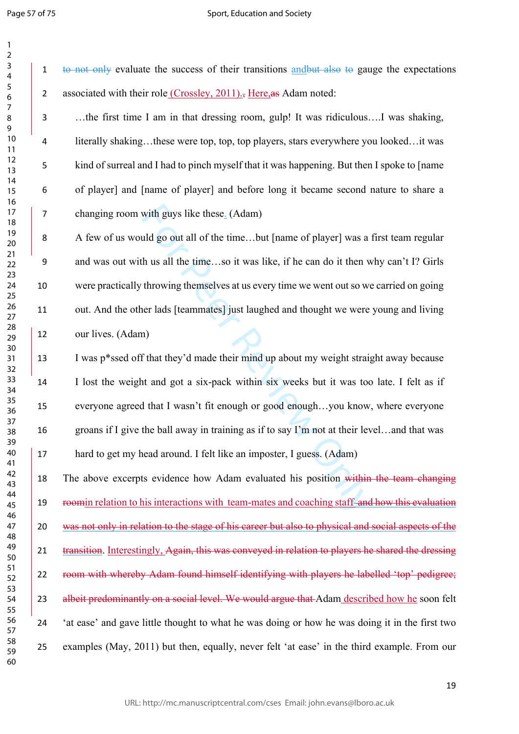#### Sport, Education and Society

1 to not only evaluate the success of their transitions and but also to gauge the expectations

with guys like these<sub>-</sub> (Adam)<br>uld go out all of the time...but [name of player] was a<br>h us all the time...so it was like, if he can do it then w<br>throwing themselves at us every time we went out so we<br>ner lads [teammates] 2 associated with their role (Crossley, 2011)., Here, as Adam noted: …the first time I am in that dressing room, gulp! It was ridiculous….I was shaking, literally shaking…these were top, top, top players, stars everywhere you looked…it was kind of surreal and I had to pinch myself that it was happening. But then I spoke to [name of player] and [name of player] and before long it became second nature to share a changing room with guys like these. (Adam) A few of us would go out all of the time…but [name of player] was a first team regular and was out with us all the time…so it was like, if he can do it then why can't I? Girls were practically throwing themselves at us every time we went out so we carried on going out. And the other lads [teammates] just laughed and thought we were young and living our lives. (Adam) I was p\*ssed off that they'd made their mind up about my weight straight away because I lost the weight and got a six-pack within six weeks but it was too late. I felt as if everyone agreed that I wasn't fit enough or good enough…you know, where everyone groans if I give the ball away in training as if to say I'm not at their level…and that was hard to get my head around. I felt like an imposter, I guess. (Adam) 18 The above excerpts evidence how Adam evaluated his position within the team changing roomin relation to his interactions with team-mates and coaching staff and how this evaluation was not only in relation to the stage of his career but also to physical and social aspects of the 21 transition. Interestingly, Again, this was conveyed in relation to players he shared the dressing room with whereby Adam found himself identifying with players he labelled 'top' pedigree; 23 albeit predominantly on a social level. We would argue that Adam described how he soon felt 'at ease' and gave little thought to what he was doing or how he was doing it in the first two examples (May, 2011) but then, equally, never felt 'at ease' in the third example. From our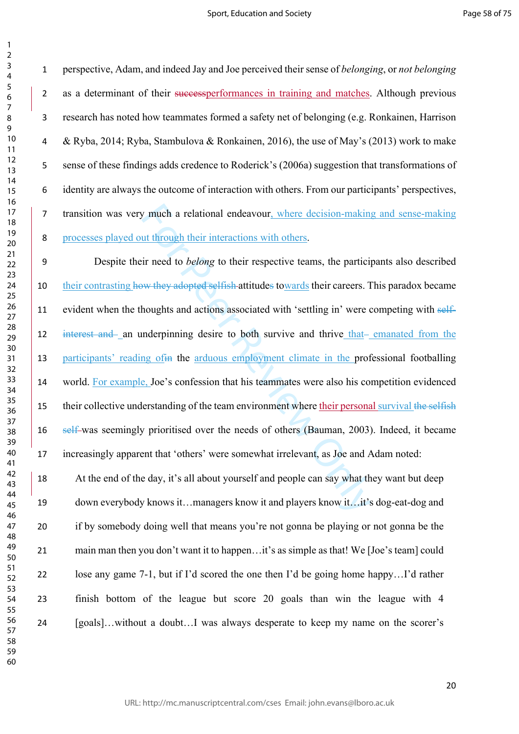$\mathbf{1}$ 

 perspective, Adam, and indeed Jay and Joe perceived their sense of *belonging*, or *not belonging* 2 as a determinant of their successperformances in training and matches. Although previous research has noted how teammates formed a safety net of belonging (e.g. Ronkainen, Harrison & Ryba, 2014; Ryba, Stambulova & Ronkainen, 2016), the use of May's (2013) work to make sense of these findings adds credence to Roderick's (2006a) suggestion that transformations of identity are always the outcome of interaction with others. From our participants' perspectives, transition was very much a relational endeavour, where decision-making and sense-making processes played out through their interactions with others.

of much a relational endeavour, where decision-making<br>tu through their interactions with others.<br>ir need to *belong* to their respective teams, the particity<br>welve they adopted selfish-attitudes towards their careers. Thou Despite their need to *belong* to their respective teams, the participants also described 10 their contrasting how they adopted selfish-attitudes towards their careers. This paradox became 11 evident when the thoughts and actions associated with 'settling in' were competing with self-12 interest and an underpinning desire to both survive and thrive that-emanated from the participants' reading ofin the arduous employment climate in the professional footballing world. For example, Joe's confession that his teammates were also his competition evidenced 15 their collective understanding of the team environment where their personal survival the selfish 16 self-was seemingly prioritised over the needs of others (Bauman, 2003). Indeed, it became increasingly apparent that 'others' were somewhat irrelevant, as Joe and Adam noted:

18 At the end of the day, it's all about yourself and people can say what they want but deep down everybody knows it…managers know it and players know it…it's dog-eat-dog and if by somebody doing well that means you're not gonna be playing or not gonna be the main man then you don't want it to happen…it's as simple as that! We [Joe's team] could lose any game 7-1, but if I'd scored the one then I'd be going home happy…I'd rather finish bottom of the league but score 20 goals than win the league with 4 [goals]…without a doubt…I was always desperate to keep my name on the scorer's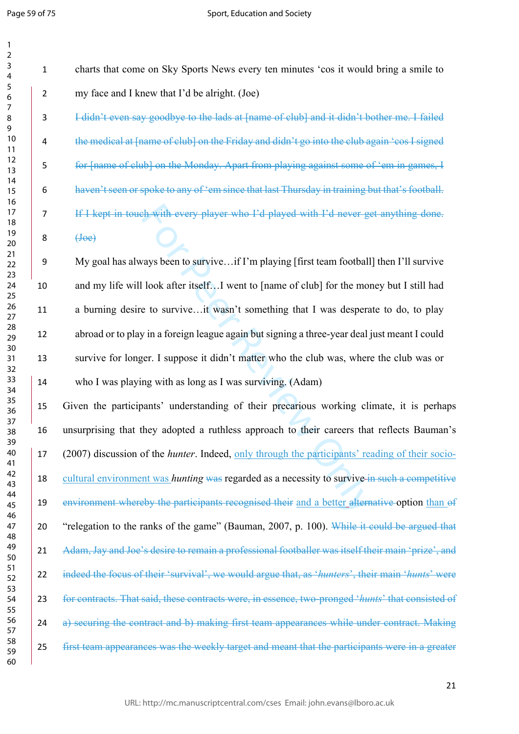b with every player who Fd played with Fd never get<br>with every player who Fd played with Fd never get<br>ways been to survive...if I'm playing [first team football<br>look after itself...I went to [name of club] for the mot<br>to s charts that come on Sky Sports News every ten minutes 'cos it would bring a smile to my face and I knew that I'd be alright. (Joe) I didn't even say goodbye to the lads at [name of club] and it didn't bother me. I failed the medical at [name of club] on the Friday and didn't go into the club again 'cos I signed for [name of club] on the Monday. Apart from playing against some of 'em in games, I haven't seen or spoke to any of 'em since that last Thursday in training but that's football. If I kept in touch with every player who I'd played with I'd never get anything done.  $(\text{Joe})$  My goal has always been to survive…if I'm playing [first team football] then I'll survive and my life will look after itself…I went to [name of club] for the money but I still had 11 a burning desire to survive...it wasn't something that I was desperate to do, to play abroad or to play in a foreign league again but signing a three-year deal just meant I could survive for longer. I suppose it didn't matter who the club was, where the club was or who I was playing with as long as I was surviving. (Adam) Given the participants' understanding of their precarious working climate, it is perhaps unsurprising that they adopted a ruthless approach to their careers that reflects Bauman's (2007) discussion of the *hunter*. Indeed, only through the participants' reading of their socio- cultural environment was *hunting* was regarded as a necessity to survive in such a competitive environment whereby the participants recognised their and a better alternative option than of "relegation to the ranks of the game" (Bauman, 2007, p. 100). While it could be argued that 21 Adam, Jay and Joe's desire to remain a professional footballer was itself their main 'prize', and indeed the focus of their 'survival', we would argue that, as '*hunters*', their main '*hunts*' were for contracts. That said, these contracts were, in essence, two-pronged '*hunts*' that consisted of 24 a) securing the contract and b) making first team appearances while under contract. Making 25 first team appearances was the weekly target and meant that the participants were in a greater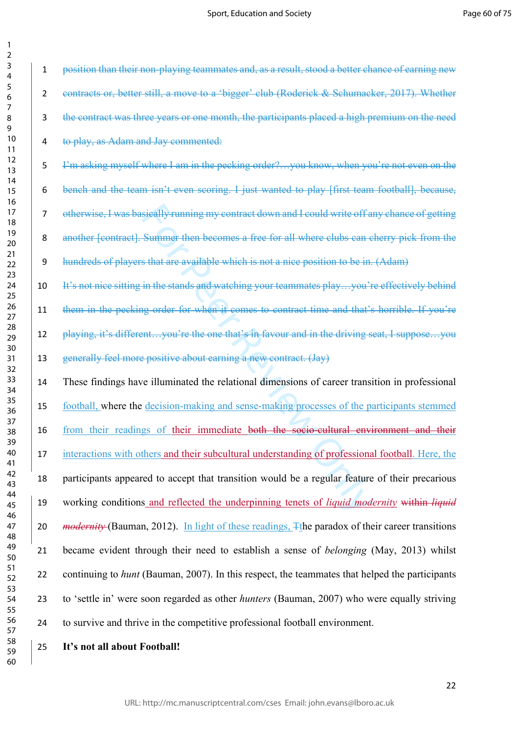| 1                                |
|----------------------------------|
| ,                                |
| 3                                |
| 4                                |
| 5                                |
| 6                                |
| 7                                |
| 8                                |
| )<br>d                           |
|                                  |
| 10                               |
| 1<br>$\mathbf{1}$                |
| 12                               |
| $\mathbf{1}$<br>3                |
| $\overline{14}$                  |
| 15                               |
| 16                               |
| 1<br>7                           |
| 18                               |
| 19                               |
| 20                               |
| $\overline{21}$                  |
|                                  |
| $\overline{2}$<br>2              |
| $\overline{2}$<br>3              |
| $\overline{24}$                  |
| 25                               |
| 26                               |
| 27                               |
| $^{28}$                          |
| 29                               |
| 30                               |
| $\overline{\textbf{3}}$          |
| 3<br>2                           |
| $\overline{\mathbf{3}}$<br>ξ     |
|                                  |
| ş.<br>4                          |
| $35^{\circ}$                     |
| 36                               |
| 37                               |
| 3ś<br>ξ                          |
| 39                               |
| 40                               |
| 41                               |
| $\overline{c}$<br>$\overline{4}$ |
| $\overline{4}$<br>3              |
| 44                               |
|                                  |
| 45                               |
| 46                               |
| 47                               |
| 48                               |
| 49                               |
| 50                               |
| 51                               |
| 5<br>$\overline{c}$              |
| $\overline{\mathbf{5}}$<br>ξ     |
| 54                               |
| 55                               |
| 56                               |
| 57                               |
|                                  |
| 58                               |
| 59                               |

 $\mathbf{1}$  $\overline{\phantom{a}}$ 

sieally running my contract down and I could write off a<br>Summer then becomes a free for all where clubs can c<br>s that are available which is not a nice position to be in<br>in the stands and watching your teammates play...you' position than their non-playing teammates and, as a result, stood a better chance of earning new 2 contracts or, better still, a move to a 'bigger' club (Roderick & Schumacker, 2017). Whether the contract was three years or one month, the participants placed a high premium on the need to play, as Adam and Jay commented: I'm asking myself where I am in the pecking order?…you know, when you're not even on the bench and the team isn't even scoring. I just wanted to play [first team football], because, otherwise, I was basically running my contract down and I could write off any chance of getting 8 another [contract]. Summer then becomes a free for all where clubs can cherry pick from the hundreds of players that are available which is not a nice position to be in. (Adam) 10 It's not nice sitting in the stands and watching your teammates play...you're effectively behind 11 them in the pecking order for when it comes to contract time and that's horrible. If you're 12 playing, it's different...you're the one that's in favour and in the driving seat, I suppose...you generally feel more positive about earning a new contract. (Jay) These findings have illuminated the relational dimensions of career transition in professional football, where the decision-making and sense-making processes of the participants stemmed from their readings of their immediate both the socio-cultural environment and their interactions with others and their subcultural understanding of professional football. Here, the participants appeared to accept that transition would be a regular feature of their precarious working conditions and reflected the underpinning tenets of *liquid modernity* within *liquid modernity* (Bauman, 2012). In light of these readings,  $\overline{\text{F}}$ the paradox of their career transitions became evident through their need to establish a sense of *belonging* (May, 2013) whilst continuing to *hunt* (Bauman, 2007). In this respect, the teammates that helped the participants to 'settle in' were soon regarded as other *hunters* (Bauman, 2007) who were equally striving

to survive and thrive in the competitive professional football environment.

**It's not all about Football!**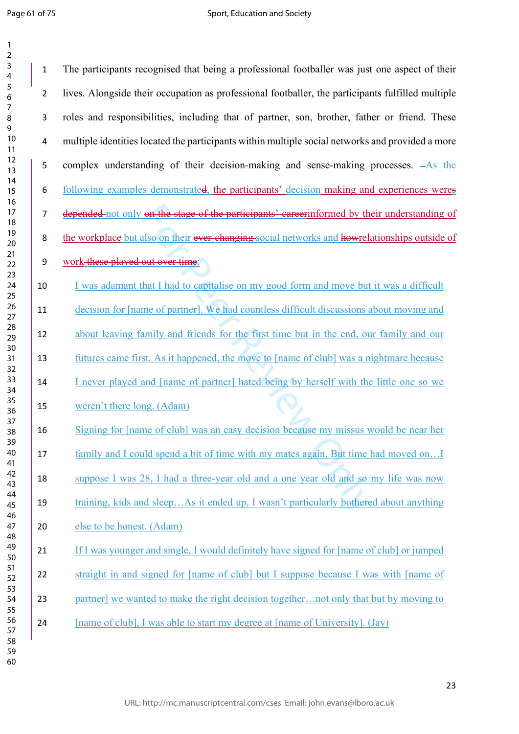$\mathbf{1}$  $\overline{2}$ 

on the stage of the participants' eareer informed by the also on their ever changing social networks and howels<br>out over time.<br>hat I had to capitalise on my good form and move but<br>me of partner]. We had countless difficult The participants recognised that being a professional footballer was just one aspect of their lives. Alongside their occupation as professional footballer, the participants fulfilled multiple roles and responsibilities, including that of partner, son, brother, father or friend. These multiple identities located the participants within multiple social networks and provided a more 5 complex understanding of their decision-making and sense-making processes.  $-As$  the following examples demonstrated, the participants' decision making and experiences weres 7 depended not only on the stage of the participants' careerinformed by their understanding of 8 the workplace but also on their ever-changing-social networks and howeller displaces of the workplace of work these played out over time: I was adamant that I had to capitalise on my good form and move but it was a difficult decision for [name of partner]. We had countless difficult discussions about moving and about leaving family and friends for the first time but in the end, our family and our futures came first. As it happened, the move to [name of club] was a nightmare because 14 I never played and [name of partner] hated being by herself with the little one so we weren't there long. (Adam) Signing for [name of club] was an easy decision because my missus would be near her 17 family and I could spend a bit of time with my mates again. But time had moved on... suppose I was 28, I had a three-year old and a one year old and so my life was now training, kids and sleep…As it ended up, I wasn't particularly bothered about anything else to be honest. (Adam) 21 If I was younger and single, I would definitely have signed for [name of club] or jumped straight in and signed for [name of club] but I suppose because I was with [name of 23 partner] we wanted to make the right decision together…not only that but by moving to 24 [name of club], I was able to start my degree at [name of University]. (Jay)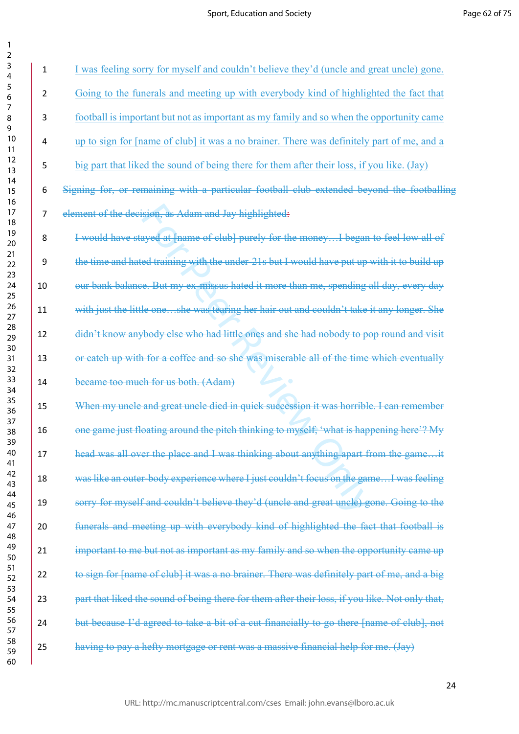$\mathbf{1}$  $\overline{2}$  $\overline{3}$  $\overline{4}$  $\overline{7}$  $\overline{9}$ 

| 3<br>4         | $\mathbf{1}$   | I was feeling sorry for myself and couldn't believe they'd (uncle and great uncle) gone.        |
|----------------|----------------|-------------------------------------------------------------------------------------------------|
| 5<br>6         | $\overline{2}$ | Going to the funerals and meeting up with everybody kind of highlighted the fact that           |
| 7<br>8<br>9    | $\mathbf{3}$   | football is important but not as important as my family and so when the opportunity came        |
| 10<br>11       | $\overline{4}$ | up to sign for [name of club] it was a no brainer. There was definitely part of me, and a       |
| 12<br>13       | 5              | big part that liked the sound of being there for them after their loss, if you like. (Jay)      |
| 14<br>15<br>16 | 6              | Signing for, or remaining with a particular football club extended beyond the footballing       |
| 17<br>18       | $\overline{7}$ | element of the decision, as Adam and Jay highlighted:                                           |
| 19<br>20       | 8              | I would have stayed at [name of club] purely for the moneyI began to feel low all of            |
| 21<br>22<br>23 | 9              | the time and hated training with the under-21s but I would have put up with it to build up      |
| 24<br>25       | 10             | our bank balance. But my ex-missus hated it more than me, spending all day, every day           |
| 26<br>27       | 11             | with just the little oneshe was tearing her hair out and couldn't take it any longer. She       |
| 28<br>29<br>30 | 12             | didn't know anybody else who had little ones and she had nobody to pop round and visit          |
| 31<br>32       | 13             | or catch up with for a coffee and so she was miserable all of the time which eventually         |
| 33<br>34       | 14             | became too much for us both. (Adam)                                                             |
| 35<br>36       | 15             | When my uncle and great uncle died in quick succession it was horrible. I can remember          |
| 37<br>38<br>39 | 16             | one game just floating around the pitch thinking to myself, 'what is happening here'? My        |
| 40<br>41       | 17             | head was all over the place and I was thinking about anything apart from the gameit             |
| 42<br>43       | 18             | was like an outer-body experience where I just couldn't focus on the gameI was feeling          |
| 44<br>45<br>46 | 19             | sorry for myself and couldn't believe they'd (uncle and great uncle) gone. Going to the         |
| 47<br>48       | 20             | funerals and meeting up with everybody kind of highlighted the fact that football is            |
| 49<br>50       | 21             | important to me but not as important as my family and so when the opportunity came up           |
| 51<br>52<br>53 | 22             | to sign for [name of club] it was a no brainer. There was definitely part of me, and a big      |
| 54<br>55       | 23             | part that liked the sound of being there for them after their loss, if you like. Not only that, |
| 56<br>57       | 24             | but because I'd agreed to take a bit of a cut financially to go there [name of club], not       |
| 58<br>59<br>60 | 25             | having to pay a hefty mortgage or rent was a massive financial help for me. (Jay)               |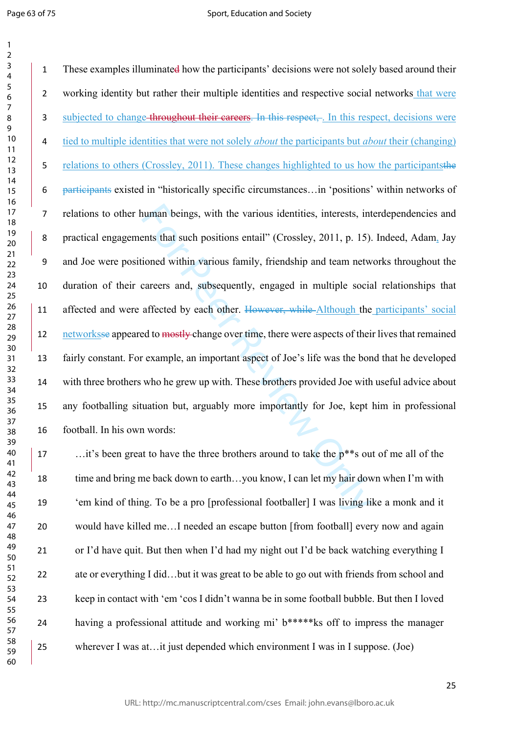#### Sport, Education and Society

numan beings, with the various identities, interests, interests that such positions entail" (Crossley, 2011, p. 15).<br>
Sioned within various family, friendship and team netwook various family, friendship and team netwook<br>
c 1 These examples illuminated how the participants' decisions were not solely based around their working identity but rather their multiple identities and respective social networks that were 3 subjected to change throughout their careers. In this respect, . In this respect, decisions were 4 tied to multiple identities that were not solely *about* the participants but *about* their (changing) 5 relations to others (Crossley, 2011). These changes highlighted to us how the participantsthe participants existed in "historically specific circumstances…in 'positions' within networks of relations to other human beings, with the various identities, interests, interdependencies and practical engagements that such positions entail" (Crossley, 2011, p. 15). Indeed, Adam, Jay and Joe were positioned within various family, friendship and team networks throughout the duration of their careers and, subsequently, engaged in multiple social relationships that 11 affected and were affected by each other. However, while Although the participants' social 12 networksse appeared to mostly-change over time, there were aspects of their lives that remained fairly constant. For example, an important aspect of Joe's life was the bond that he developed with three brothers who he grew up with. These brothers provided Joe with useful advice about any footballing situation but, arguably more importantly for Joe, kept him in professional football. In his own words:

17 ... it's been great to have the three brothers around to take the  $p^{**}$ s out of me all of the 18 time and bring me back down to earth...you know, I can let my hair down when I'm with 'em kind of thing. To be a pro [professional footballer] I was living like a monk and it would have killed me…I needed an escape button [from football] every now and again or I'd have quit. But then when I'd had my night out I'd be back watching everything I ate or everything I did…but it was great to be able to go out with friends from school and keep in contact with 'em 'cos I didn't wanna be in some football bubble. But then I loved having a professional attitude and working mi' b\*\*\*\*\*ks off to impress the manager wherever I was at…it just depended which environment I was in I suppose. (Joe)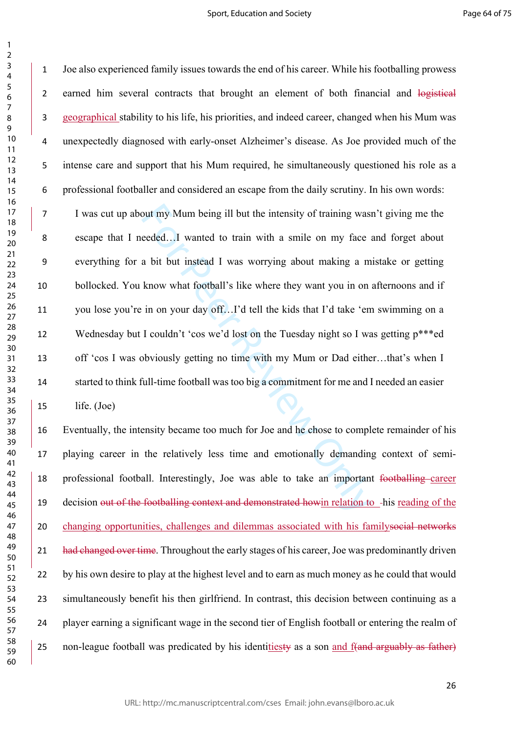$\mathbf{1}$ 

but my Mum being ill but the intensity of training waseded...I wanted to train with a smile on my face a bit but instead I was worrying about making a m know what football's like where they want you in on in on your day of Joe also experienced family issues towards the end of his career. While his footballing prowess 2 earned him several contracts that brought an element of both financial and logistical geographical stability to his life, his priorities, and indeed career, changed when his Mum was unexpectedly diagnosed with early-onset Alzheimer's disease. As Joe provided much of the intense care and support that his Mum required, he simultaneously questioned his role as a professional footballer and considered an escape from the daily scrutiny. In his own words: I was cut up about my Mum being ill but the intensity of training wasn't giving me the escape that I needed…I wanted to train with a smile on my face and forget about everything for a bit but instead I was worrying about making a mistake or getting bollocked. You know what football's like where they want you in on afternoons and if you lose you're in on your day off…I'd tell the kids that I'd take 'em swimming on a Wednesday but I couldn't 'cos we'd lost on the Tuesday night so I was getting p\*\*\*ed off 'cos I was obviously getting no time with my Mum or Dad either…that's when I started to think full-time football was too big a commitment for me and I needed an easier life. (Joe)

 Eventually, the intensity became too much for Joe and he chose to complete remainder of his playing career in the relatively less time and emotionally demanding context of semi- professional football. Interestingly, Joe was able to take an important footballing career 19 decision out of the footballing context and demonstrated howin relation to -his reading of the changing opportunities, challenges and dilemmas associated with his familysocial networks 21 had changed over time. Throughout the early stages of his career, Joe was predominantly driven by his own desire to play at the highest level and to earn as much money as he could that would simultaneously benefit his then girlfriend. In contrast, this decision between continuing as a player earning a significant wage in the second tier of English football or entering the realm of 25 non-league football was predicated by his identitiesty as a son and f(and arguably as father)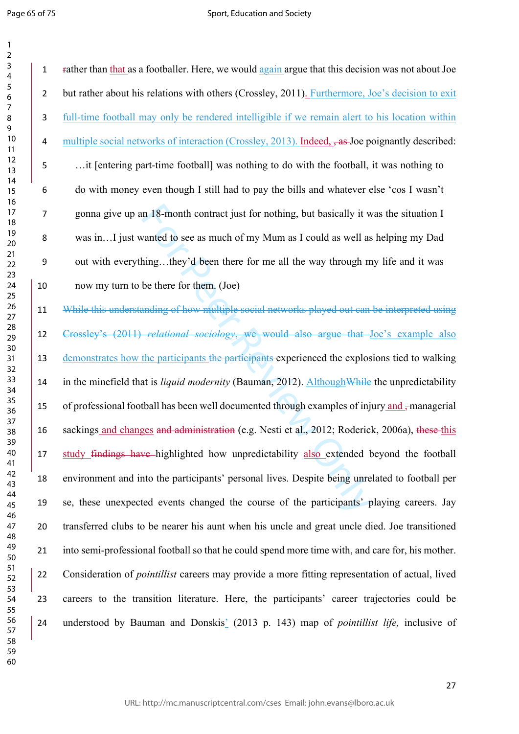In 18-month contract just for nothing, but basically it wanted to see as much of my Mum as I could as well as<br>hing...they'd been there for me all the way through m<br>be there for them. (Joe)<br>be there for them. (Joe)<br>anding o rather than that as a footballer. Here, we would again argue that this decision was not about Joe but rather about his relations with others (Crossley, 2011). Furthermore, Joe's decision to exit full-time football may only be rendered intelligible if we remain alert to his location within 4 multiple social networks of interaction (Crossley, 2013). Indeed,  $\frac{1}{2}$ , as Joe poignantly described: …it [entering part-time football] was nothing to do with the football, it was nothing to do with money even though I still had to pay the bills and whatever else 'cos I wasn't gonna give up an 18-month contract just for nothing, but basically it was the situation I was in…I just wanted to see as much of my Mum as I could as well as helping my Dad out with everything…they'd been there for me all the way through my life and it was now my turn to be there for them. (Joe) While this understanding of how multiple social networks played out can be interpreted using Crossley's (2011) *relational sociology*, we would also argue that Joe's example also 13 demonstrates how the participants the participants experienced the explosions tied to walking in the minefield that is *liquid modernity* (Bauman, 2012). AlthoughWhile the unpredictability 15 of professional football has been well documented through examples of injury and -managerial

 sackings and changes and administration (e.g. Nesti et al., 2012; Roderick, 2006a), these this study findings have highlighted how unpredictability also extended beyond the football environment and into the participants' personal lives. Despite being unrelated to football per se, these unexpected events changed the course of the participants' playing careers. Jay transferred clubs to be nearer his aunt when his uncle and great uncle died. Joe transitioned into semi-professional football so that he could spend more time with, and care for, his mother. Consideration of *pointillist* careers may provide a more fitting representation of actual, lived careers to the transition literature. Here, the participants' career trajectories could be understood by Bauman and Donskis ' (2013 p. 143) map of *pointillist life,* inclusive of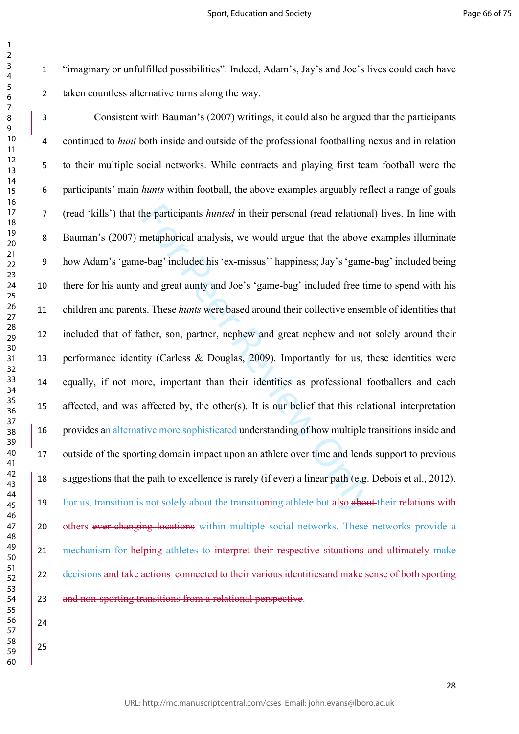$\mathbf{1}$ 

 

 "imaginary or unfulfilled possibilities". Indeed, Adam's, Jay's and Joe's lives could each have taken countless alternative turns along the way.

he participants *hunted* in their personal (read relationa<br>metaphorical analysis, we would argue that the above<br><sup>2</sup>-bag' included his 'ex-missus'' happiness; Jay's 'game-<br>and great aunty and Joe's 'game-bag' included free Consistent with Bauman's (2007) writings, it could also be argued that the participants continued to *hunt* both inside and outside of the professional footballing nexus and in relation to their multiple social networks. While contracts and playing first team football were the participants' main *hunts* within football, the above examples arguably reflect a range of goals (read 'kills') that the participants *hunted* in their personal (read relational) lives. In line with Bauman's (2007) metaphorical analysis, we would argue that the above examples illuminate how Adam's 'game-bag' included his 'ex-missus'' happiness; Jay's 'game-bag' included being there for his aunty and great aunty and Joe's 'game-bag' included free time to spend with his children and parents. These *hunts* were based around their collective ensemble of identities that included that of father, son, partner, nephew and great nephew and not solely around their performance identity (Carless & Douglas, 2009). Importantly for us, these identities were equally, if not more, important than their identities as professional footballers and each affected, and was affected by, the other(s). It is our belief that this relational interpretation 16 provides an alternative more sophisticated understanding of how multiple transitions inside and outside of the sporting domain impact upon an athlete over time and lends support to previous suggestions that the path to excellence is rarely (if ever) a linear path (e.g. Debois et al., 2012). 19 For us, transition is not solely about the transitioning athlete but also about their relations with 20 others ever-changing locations within multiple social networks. These networks provide a mechanism for helping athletes to interpret their respective situations and ultimately make 22 decisions and take actions-connected to their various identities and make sense of both sporting 23 and non-sporting transitions from a relational perspective.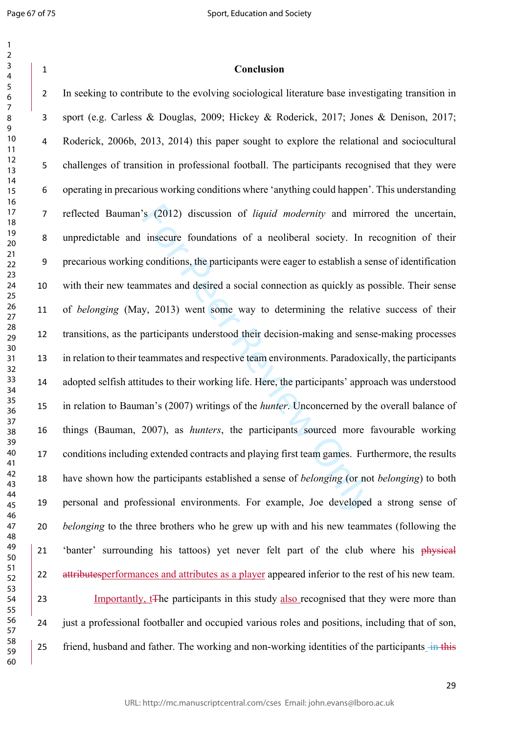**Conclusion**

S (2012) discussion of *liquid modernity* and mirrimsecure foundations of a neoliberal society. In r conditions, the participants were eager to establish a semmates and desired a social connection as quickly as p y, 2013) In seeking to contribute to the evolving sociological literature base investigating transition in sport (e.g. Carless & Douglas, 2009; Hickey & Roderick, 2017; Jones & Denison, 2017; Roderick, 2006b, 2013, 2014) this paper sought to explore the relational and sociocultural challenges of transition in professional football. The participants recognised that they were operating in precarious working conditions where 'anything could happen'. This understanding reflected Bauman's (2012) discussion of *liquid modernity* and mirrored the uncertain, unpredictable and insecure foundations of a neoliberal society. In recognition of their precarious working conditions, the participants were eager to establish a sense of identification with their new teammates and desired a social connection as quickly as possible. Their sense of *belonging* (May, 2013) went some way to determining the relative success of their transitions, as the participants understood their decision-making and sense-making processes in relation to their teammates and respective team environments. Paradoxically, the participants adopted selfish attitudes to their working life. Here, the participants' approach was understood in relation to Bauman's (2007) writings of the *hunter*. Unconcerned by the overall balance of things (Bauman, 2007), as *hunters*, the participants sourced more favourable working conditions including extended contracts and playing first team games. Furthermore, the results have shown how the participants established a sense of *belonging* (or not *belonging*) to both personal and professional environments. For example, Joe developed a strong sense of *belonging* to the three brothers who he grew up with and his new teammates (following the 21 'banter' surrounding his tattoos) yet never felt part of the club where his physical 22 attributesperformances and attributes as a player appeared inferior to the rest of his new team. 23 Importantly, t<sub>the participants</sub> in this study also recognised that they were more than just a professional footballer and occupied various roles and positions, including that of son,

25 friend, husband and father. The working and non-working identities of the participants in this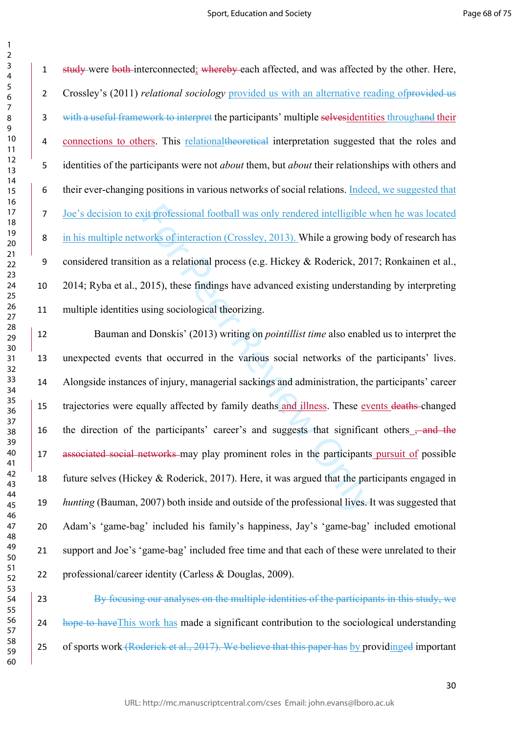$\mathbf{1}$  $\overline{2}$ 

1 study were both interconnected; whereby each affected, and was affected by the other. Here, 2 Crossley's (2011) *relational sociology* provided us with an alternative reading of provided us with a useful framework to interpret the participants' multiple selvesidentities throughand their connections to others. This relationaltheoretical interpretation suggested that the roles and identities of the participants were not *about* them, but *about* their relationships with others and their ever-changing positions in various networks of social relations. Indeed, we suggested that Joe's decision to exit professional football was only rendered intelligible when he was located in his multiple networks of interaction (Crossley, 2013). While a growing body of research has considered transition as a relational process (e.g. Hickey & Roderick, 2017; Ronkainen et al., 2014; Ryba et al., 2015), these findings have advanced existing understanding by interpreting multiple identities using sociological theorizing.

xit professional football was only rendered intelligible v<br>vorks of interaction (Crossley, 2013). While a growing lon as a relational process (e.g. Hickey & Roderick, 201<br>2015), these findings have advanced existing unders Bauman and Donskis' (2013) writing on *pointillist time* also enabled us to interpret the unexpected events that occurred in the various social networks of the participants' lives. Alongside instances of injury, managerial sackings and administration, the participants' career trajectories were equally affected by family deaths and illness. These events deaths changed 16 the direction of the participants' career's and suggests that significant others <del>, and the</del> 17 associated social networks may play prominent roles in the participants pursuit of possible future selves (Hickey & Roderick, 2017). Here, it was argued that the participants engaged in *hunting* (Bauman, 2007) both inside and outside of the professional lives. It was suggested that Adam's 'game-bag' included his family's happiness, Jay's 'game-bag' included emotional support and Joe's 'game-bag' included free time and that each of these were unrelated to their professional/career identity (Carless & Douglas, 2009).

 By focusing our analyses on the multiple identities of the participants in this study, we 24 hope to have This work has made a significant contribution to the sociological understanding 25 of sports work (Roderick et al., 2017). We believe that this paper has by providinged important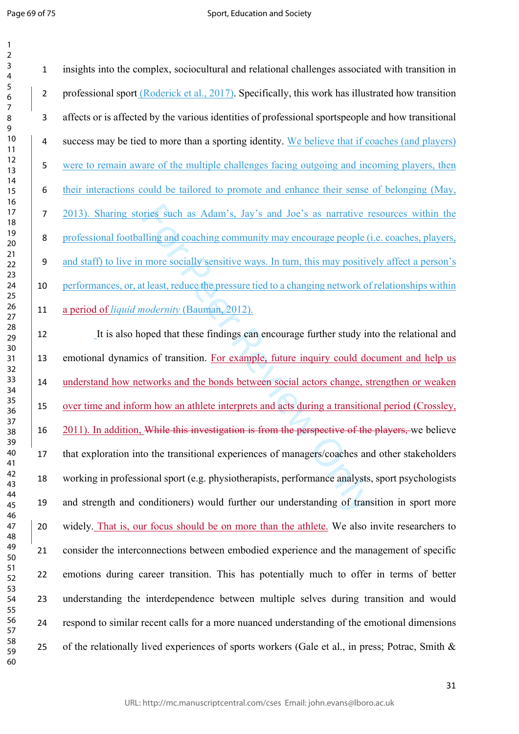insights into the complex, sociocultural and relational challenges associated with transition in 2 professional sport (Roderick et al., 2017). Specifically, this work has illustrated how transition affects or is affected by the various identities of professional sportspeople and how transitional success may be tied to more than a sporting identity. We believe that if coaches (and players) were to remain aware of the multiple challenges facing outgoing and incoming players, then their interactions could be tailored to promote and enhance their sense of belonging (May, 2013). Sharing stories such as Adam's, Jay's and Joe's as narrative resources within the professional footballing and coaching community may encourage people (i.e. coaches, players, and staff) to live in more socially sensitive ways. In turn, this may positively affect a person's performances, or, at least, reduce the pressure tied to a changing network of relationships within a period of *liquid modernity* (Bauman, 2012).

pries such as Adam's, Jay's and Joe's as narrative r<br>Illing and coaching community may encourage people (i<br>more socially sensitive ways. In turn, this may positiv<br>t least, reduce the pressure tied to a changing network of<br> It is also hoped that these findings can encourage further study into the relational and emotional dynamics of transition. For example, future inquiry could document and help us understand how networks and the bonds between social actors change, strengthen or weaken over time and inform how an athlete interprets and acts during a transitional period (Crossley, 16 2011). In addition, While this investigation is from the perspective of the players, we believe that exploration into the transitional experiences of managers/coaches and other stakeholders working in professional sport (e.g. physiotherapists, performance analysts, sport psychologists and strength and conditioners) would further our understanding of transition in sport more widely. That is, our focus should be on more than the athlete. We also invite researchers to consider the interconnections between embodied experience and the management of specific emotions during career transition. This has potentially much to offer in terms of better understanding the interdependence between multiple selves during transition and would respond to similar recent calls for a more nuanced understanding of the emotional dimensions 25 of the relationally lived experiences of sports workers (Gale et al., in press; Potrac, Smith  $\&$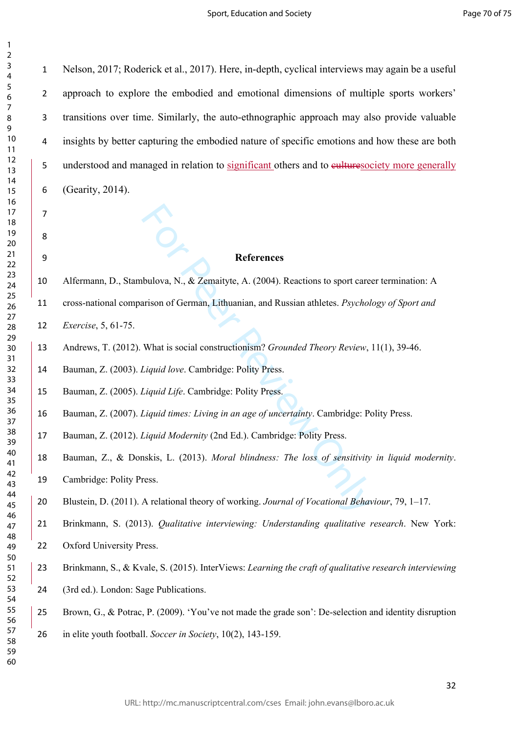$\mathbf{1}$ 

 

References<br>
bulova, N., & Zemaityte, A. (2004). Reactions to sport care<br>
arison of German, Lithuanian, and Russian athletes. *Psychol*<br>
What is social constructionism? *Grounded Theory Review*,<br> *Liquid Life.* Cambridge: P Nelson, 2017; Roderick et al., 2017). Here, in-depth, cyclical interviews may again be a useful approach to explore the embodied and emotional dimensions of multiple sports workers' transitions over time. Similarly, the auto-ethnographic approach may also provide valuable insights by better capturing the embodied nature of specific emotions and how these are both understood and managed in relation to significant others and to culturesociety more generally (Gearity, 2014). **References** Alfermann, D., Stambulova, N., & Zemaityte, A. (2004). Reactions to sport career termination: A cross-national comparison of German, Lithuanian, and Russian athletes. *Psychology of Sport and Exercise*, 5, 61-75. Andrews, T. (2012). What is social constructionism? *Grounded Theory Review*, 11(1), 39-46. Bauman, Z. (2003). *Liquid love*. Cambridge: Polity Press. Bauman, Z. (2005). *Liquid Life*. Cambridge: Polity Press. Bauman, Z. (2007). *Liquid times: Living in an age of uncertainty*. Cambridge: Polity Press. Bauman, Z. (2012). *Liquid Modernity* (2nd Ed.). Cambridge: Polity Press. Bauman, Z., & Donskis, L. (2013). *Moral blindness: The loss of sensitivity in liquid modernity*. Cambridge: Polity Press. Blustein, D. (2011). A relational theory of working. *Journal of Vocational Behaviour*, 79, 1–17. Brinkmann, S. (2013). *Qualitative interviewing: Understanding qualitative research*. New York: Oxford University Press. Brinkmann, S., & Kvale, S. (2015). InterViews: *Learning the craft of qualitative research interviewing*  (3rd ed.). London: Sage Publications. Brown, G., & Potrac, P. (2009). 'You've not made the grade son': De-selection and identity disruption in elite youth football. *Soccer in Society*, 10(2), 143-159.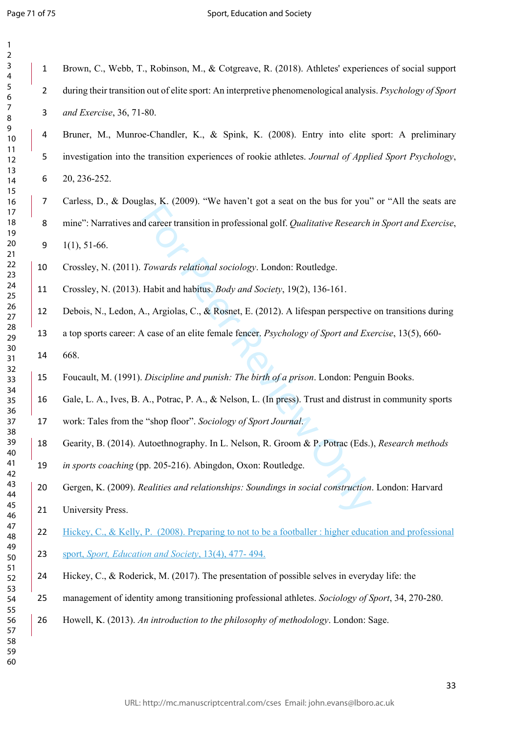$\mathbf{1}$  $\overline{2}$ 

 Brown, C., Webb, T., Robinson, M., & Cotgreave, R. (2018). Athletes' experiences of social support during their transition out of elite sport: An interpretive phenomenological analysis. *Psychology of Sport and Exercise*, 36, 71-80.

 Bruner, M., Munroe-Chandler, K., & Spink, K. (2008). Entry into elite sport: A preliminary investigation into the transition experiences of rookie athletes. *Journal of Applied Sport Psychology*, 20, 236-252.

For Cases). The militar egge a seat of the test car get<br>d career transition in professional golf. Qualitative Research<br>Towards relational sociology. London: Routledge.<br>Habit and habitus. Body and Society, 19(2), 136-161.<br> Carless, D., & Douglas, K. (2009). "We haven't got a seat on the bus for you" or "All the seats are mine": Narratives and career transition in professional golf. *Qualitative Research in Sport and Exercise*,

1(1), 51-66.

Crossley, N. (2011). *Towards relational sociology*. London: Routledge.

- Crossley, N. (2013). Habit and habitus. *Body and Society*, 19(2), 136-161.
- Debois, N., Ledon, A., Argiolas, C., & Rosnet, E. (2012). A lifespan perspective on transitions during
- a top sports career: A case of an elite female fencer. *Psychology of Sport and Exercise*, 13(5), 660-
- 668.
- Foucault, M. (1991). *Discipline and punish: The birth of a prison*. London: Penguin Books.
- Gale, L. A., Ives, B. A., Potrac, P. A., & Nelson, L. (In press). Trust and distrust in community sports
- work: Tales from the "shop floor". *Sociology of Sport Journal* .
- Gearity, B. (2014). Autoethnography. In L. Nelson, R. Groom & P. Potrac (Eds.), *Research methods*
- *in sports coaching* (pp. 205-216). Abingdon, Oxon: Routledge.
- Gergen, K. (2009). *Realities and relationships: Soundings in social construction*. London: Harvard University Press.
- 22 Hickey, C., & Kelly, P. (2008). Preparing to not to be a footballer : higher education and professional sport, *Sport, Education and Society*, 13(4), 477- 494.
	- Hickey, C., & Roderick, M. (2017). The presentation of possible selves in everyday life: the
	- management of identity among transitioning professional athletes. *Sociology of Sport*, 34, 270-280.
	- Howell, K. (2013). *An introduction to the philosophy of methodology*. London: Sage.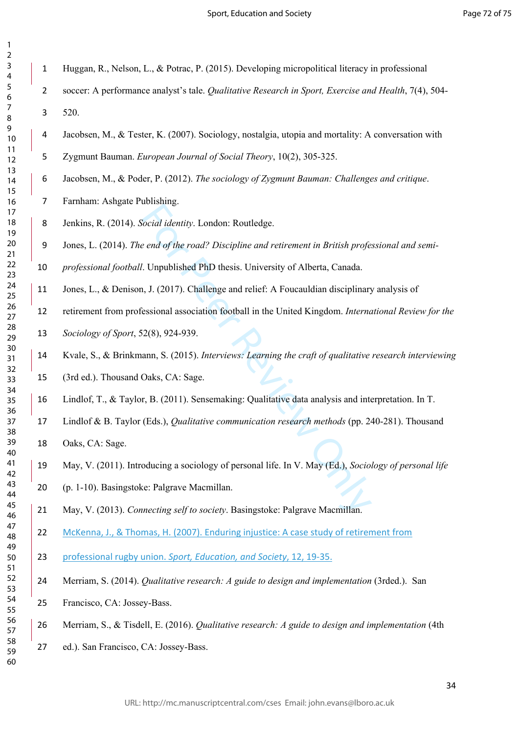$\mathbf{1}$  $\overline{2}$ 

- Huggan, R., Nelson, L., & Potrac, P. (2015). Developing micropolitical literacy in professional
- soccer: A performance analyst's tale. *Qualitative Research in Sport, Exercise and Health*, 7(4), 504- 520.
- Jacobsen, M., & Tester, K. (2007). Sociology, nostalgia, utopia and mortality: A conversation with
- Zygmunt Bauman. *European Journal of Social Theory*, 10(2), 305-325.
- Jacobsen, M., & Poder, P. (2012). *The sociology of Zygmunt Bauman: Challenges and critique*.
- Farnham: Ashgate Publishing.
- Jenkins, R. (2014). *Social identity*. London: Routledge.
- Jones, L. (2014). *The end of the road? Discipline and retirement in British professional and semi-*
- *professional football*. Unpublished PhD thesis. University of Alberta, Canada.
- Jones, L., & Denison, J. (2017). Challenge and relief: A Foucauldian disciplinary analysis of
- retirement from professional association football in the United Kingdom. *International Review for the*
- *Sociology of Sport*, 52(8), 924-939.
- Cocial identity. London: Routledge.<br>
20 e end of the road? Discipline and retirement in British profeters.<br>
2017). Challenge and relief: A Foucauldian disciplinary<br>
2018). Challenge and relief: A Foucauldian disciplinary<br> Kvale, S., & Brinkmann, S. (2015). *Interviews: Learning the craft of qualitative research interviewing*
- (3rd ed.). Thousand Oaks, CA: Sage.
- Lindlof, T., & Taylor, B. (2011). Sensemaking: Qualitative data analysis and interpretation. In T.
- Lindlof & B. Taylor (Eds.), *Qualitative communication research methods* (pp. 240-281). Thousand
- Oaks, CA: Sage.
- May, V. (2011). Introducing a sociology of personal life. In V. May (Ed.), *Sociology of personal life*
- (p. 1-10). Basingstoke: Palgrave Macmillan.
- May, V. (2013). *Connecting self to society*. Basingstoke: Palgrave Macmillan.
- McKenna, J., & Thomas, H. (2007). Enduring injustice: A case study of retirement from
- professional rugby union. *Sport, Education, and Society*, 12, 19-35.
- Merriam, S. (2014). *Qualitative research: A guide to design and implementation* (3rded.). San
- Francisco, CA: Jossey-Bass.
- Merriam, S., & Tisdell, E. (2016). *Qualitative research: A guide to design and implementation* (4th
- ed.). San Francisco, CA: Jossey-Bass.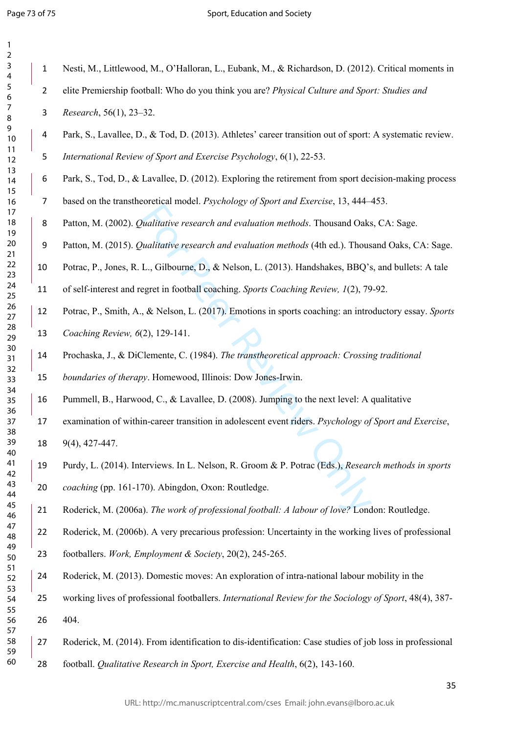Intertation intertion, the Intertion, Theorem Intertional Dakes<br>
Walitative research and evaluation methods (4th ed.). Thousand Oaks<br>
Walitative research and evaluation methods (4th ed.). Thous<br>
L., Gilbourne, D., & Nelson Nesti, M., Littlewood, M., O'Halloran, L., Eubank, M., & Richardson, D. (2012). Critical moments in elite Premiership football: Who do you think you are? *Physical Culture and Sport: Studies and Research*, 56(1), 23–32. Park, S., Lavallee, D., & Tod, D. (2013). Athletes' career transition out of sport: A systematic review. *International Review of Sport and Exercise Psychology*, 6(1), 22-53. Park, S., Tod, D., & Lavallee, D. (2012). Exploring the retirement from sport decision-making process based on the transtheoretical model. *Psychology of Sport and Exercise*, 13, 444–453. Patton, M. (2002). *Qualitative research and evaluation methods*. Thousand Oaks, CA: Sage. Patton, M. (2015). *Qualitative research and evaluation methods* (4th ed.). Thousand Oaks, CA: Sage. Potrac, P., Jones, R. L., Gilbourne, D., & Nelson, L. (2013). Handshakes, BBQ's, and bullets: A tale of self-interest and regret in football coaching. *Sports Coaching Review, 1*(2), 79-92. Potrac, P., Smith, A., & Nelson, L. (2017). Emotions in sports coaching: an introductory essay. *Sports Coaching Review, 6*(2), 129-141. Prochaska, J., & DiClemente, C. (1984). *The transtheoretical approach: Crossing traditional boundaries of therapy*. Homewood, Illinois: Dow Jones-Irwin. Pummell, B., Harwood, C., & Lavallee, D. (2008). Jumping to the next level: A qualitative examination of within-career transition in adolescent event riders. *Psychology of Sport and Exercise*, 9(4), 427-447. Purdy, L. (2014). Interviews. In L. Nelson, R. Groom & P. Potrac (Eds.), *Research methods in sports coaching* (pp. 161-170). Abingdon, Oxon: Routledge. Roderick, M. (2006a). *The work of professional football: A labour of love?* London: Routledge. Roderick, M. (2006b). A very precarious profession: Uncertainty in the working lives of professional footballers. *Work, Employment & Society*, 20(2), 245-265. Roderick, M. (2013). Domestic moves: An exploration of intra-national labour mobility in the working lives of professional footballers. *International Review for the Sociology of Sport*, 48(4), 387- 404. Roderick, M. (2014). From identification to dis-identification: Case studies of job loss in professional

football. *Qualitative Research in Sport, Exercise and Health*, 6(2), 143-160.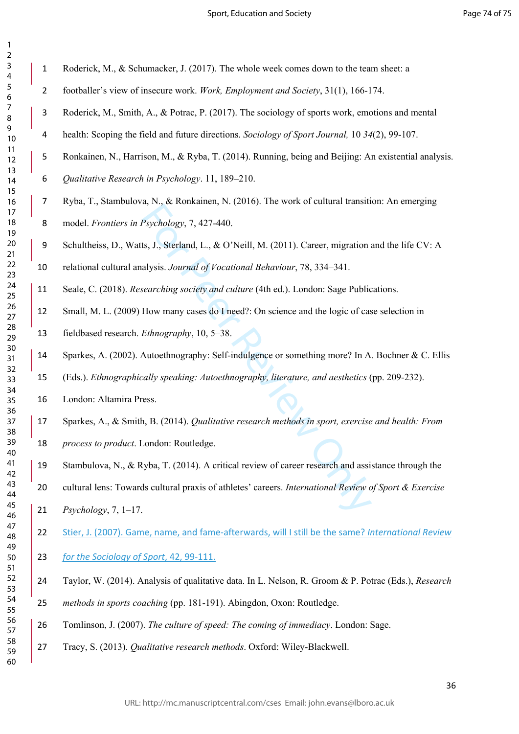| 2                       |                 |
|-------------------------|-----------------|
| 3                       |                 |
| 4                       |                 |
| 5                       |                 |
|                         |                 |
| 6                       |                 |
| 7                       |                 |
| 8                       |                 |
| )<br>$\mathbf$          |                 |
|                         | 10              |
| 1                       | $\mathbf{1}$    |
|                         |                 |
|                         | 12              |
| $\overline{1}$ :        | 3               |
|                         | $\overline{14}$ |
|                         | 15              |
|                         | 16              |
| 1                       | $\overline{7}$  |
|                         | 18              |
|                         |                 |
|                         | 19              |
|                         | $\overline{20}$ |
|                         | $\overline{21}$ |
| $\overline{2}$          | 2               |
| $\overline{2}$          | 3               |
|                         | 24              |
|                         |                 |
|                         | 25              |
|                         | 26              |
|                         | $\frac{27}{2}$  |
|                         | 28              |
|                         | 29              |
|                         | 30              |
|                         |                 |
|                         | $\overline{31}$ |
| $\overline{\mathbf{3}}$ | 2               |
| 3                       | ξ               |
|                         | 34              |
|                         |                 |
|                         |                 |
|                         | 35              |
|                         | 36              |
|                         | 37              |
| 3ś                      | ξ               |
|                         | 39              |
|                         | 40              |
| 41                      |                 |
|                         |                 |
| $\overline{4}$          | $\overline{c}$  |
| $\overline{4}$          | R               |
| 44                      |                 |
| 45                      |                 |
| 46                      |                 |
| 47                      |                 |
|                         |                 |
| 48                      |                 |
|                         |                 |
| 49<br>50                |                 |
|                         |                 |
|                         |                 |
|                         | ξ               |
| 51<br>52<br>5.<br>54    |                 |
|                         |                 |
|                         |                 |
| 55<br>56                |                 |
| 57                      |                 |
|                         | 58<br>59        |

 $\mathbf{1}$  $\overline{z}$ 

Roderick, M., & Schumacker, J. (2017). The whole week comes down to the team sheet: a

- footballer's view of insecure work. *Work, Employment and Society*, 31(1), 166-174.
- Roderick, M., Smith, A., & Potrac, P. (2017). The sociology of sports work, emotions and mental
- health: Scoping the field and future directions. *Sociology of Sport Journal,* 10 *34*(2), 99-107.
- Ronkainen, N., Harrison, M., & Ryba, T. (2014). Running, being and Beijing: An existential analysis.
- *Qualitative Research in Psychology*. 11, 189–210.
- Ryba, T., Stambulova, N., & Ronkainen, N. (2016). The work of cultural transition: An emerging
- model. *Frontiers in Psychology*, 7, 427-440.
- Schultheiss, D., Watts, J., Sterland, L., & O'Neill, M. (2011). Career, migration and the life CV: A

relational cultural analysis. *Journal of Vocational Behaviour*, 78, 334–341.

- Seale, C. (2018). *Researching society and culture* (4th ed.). London: Sage Publications.
- Small, M. L. (2009) How many cases do I need?: On science and the logic of case selection in
- fieldbased research. *Ethnography*, 10, 5–38.
- Sparkes, A. (2002). Autoethnography: Self-indulgence or something more? In A. Bochner & C. Ellis
	- (Eds.). *Ethnographically speaking: Autoethnography, literature, and aesthetics* (pp. 209-232).
- London: Altamira Press.
- Sparkes, A., & Smith, B. (2014). *Qualitative research methods in sport, exercise and health: From process to product*. London: Routledge.
- Stambulova, N., & Ryba, T. (2014). A critical review of career research and assistance through the
- Psychology, 7, 427-440.<br>
Its, J., Sterland, L., & O'Neill, M. (2011). Career, migration and<br>
sists. Journal of Vocational Behaviour, 78, 334–341.<br>
searching society and culture (4th ed.). London: Sage Public<br>
How many case cultural lens: Towards cultural praxis of athletes' careers. *International Review of Sport & Exercise Psychology*, 7, 1–17.
	- Stier, J. (2007). Game, name, and fame-afterwards, will I still be the same? *International Review*
	- *for the Sociology of Sport*, 42, 99-111.
	- Taylor, W. (2014). Analysis of qualitative data. In L. Nelson, R. Groom & P. Potrac (Eds.), *Research*
	- *methods in sports coaching* (pp. 181-191). Abingdon, Oxon: Routledge.
	- Tomlinson, J. (2007). *The culture of speed: The coming of immediacy*. London: Sage.
	- Tracy, S. (2013). *Qualitative research methods*. Oxford: Wiley-Blackwell.